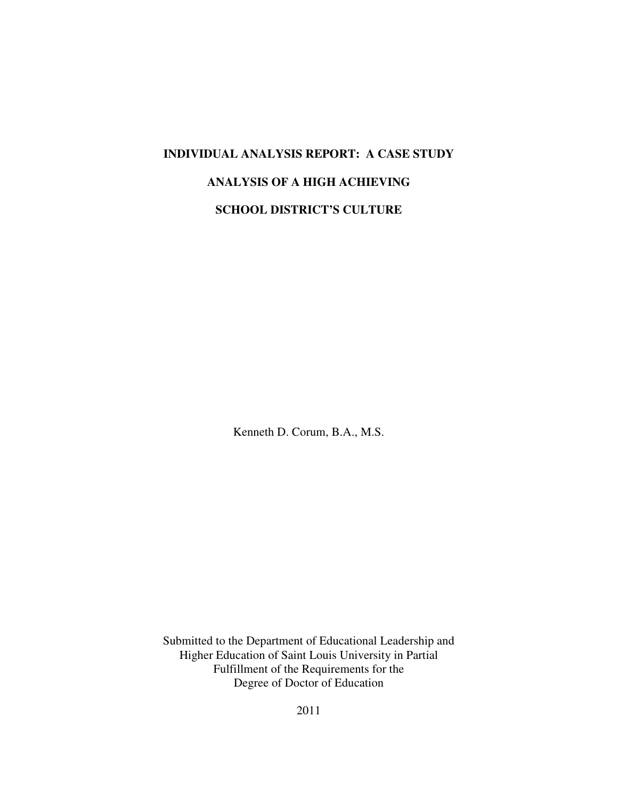# **INDIVIDUAL ANALYSIS REPORT: A CASE STUDY ANALYSIS OF A HIGH ACHIEVING SCHOOL DISTRICT'S CULTURE**

Kenneth D. Corum, B.A., M.S.

Submitted to the Department of Educational Leadership and Higher Education of Saint Louis University in Partial Fulfillment of the Requirements for the Degree of Doctor of Education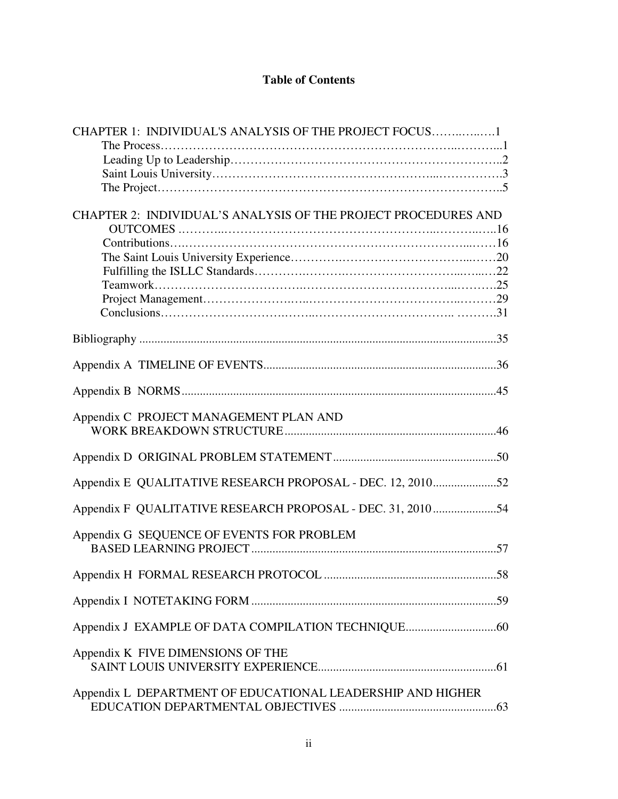# **Table of Contents**

| CHAPTER 1: INDIVIDUAL'S ANALYSIS OF THE PROJECT FOCUS1         |
|----------------------------------------------------------------|
|                                                                |
|                                                                |
|                                                                |
|                                                                |
|                                                                |
| CHAPTER 2: INDIVIDUAL'S ANALYSIS OF THE PROJECT PROCEDURES AND |
|                                                                |
|                                                                |
|                                                                |
|                                                                |
|                                                                |
|                                                                |
|                                                                |
|                                                                |
|                                                                |
|                                                                |
|                                                                |
|                                                                |
|                                                                |
| Appendix C PROJECT MANAGEMENT PLAN AND                         |
|                                                                |
|                                                                |
|                                                                |
| Appendix E QUALITATIVE RESEARCH PROPOSAL - DEC. 12, 201052     |
|                                                                |
| Appendix F QUALITATIVE RESEARCH PROPOSAL - DEC. 31, 201054     |
|                                                                |
| Appendix G SEQUENCE OF EVENTS FOR PROBLEM                      |
|                                                                |
| .58                                                            |
|                                                                |
|                                                                |
|                                                                |
|                                                                |
|                                                                |
| Appendix K FIVE DIMENSIONS OF THE                              |
|                                                                |
| Appendix L DEPARTMENT OF EDUCATIONAL LEADERSHIP AND HIGHER     |
|                                                                |
|                                                                |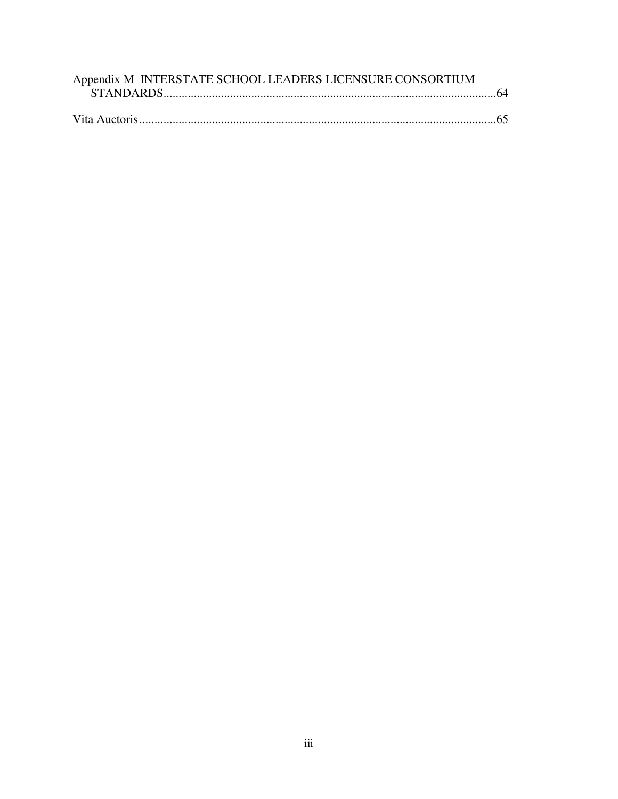| Appendix M INTERSTATE SCHOOL LEADERS LICENSURE CONSORTIUM |  |
|-----------------------------------------------------------|--|
|                                                           |  |
|                                                           |  |
|                                                           |  |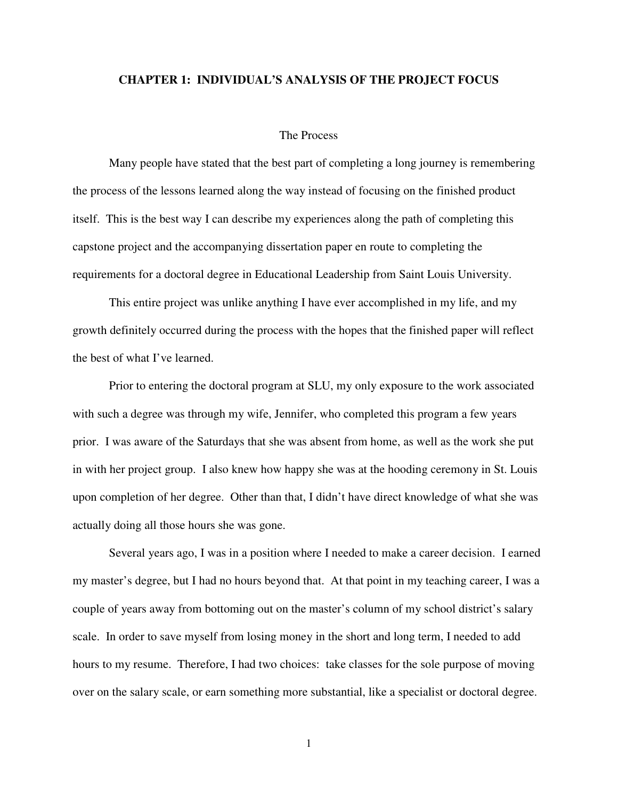#### **CHAPTER 1: INDIVIDUAL'S ANALYSIS OF THE PROJECT FOCUS**

### The Process

 Many people have stated that the best part of completing a long journey is remembering the process of the lessons learned along the way instead of focusing on the finished product itself. This is the best way I can describe my experiences along the path of completing this capstone project and the accompanying dissertation paper en route to completing the requirements for a doctoral degree in Educational Leadership from Saint Louis University.

 This entire project was unlike anything I have ever accomplished in my life, and my growth definitely occurred during the process with the hopes that the finished paper will reflect the best of what I've learned.

 Prior to entering the doctoral program at SLU, my only exposure to the work associated with such a degree was through my wife, Jennifer, who completed this program a few years prior. I was aware of the Saturdays that she was absent from home, as well as the work she put in with her project group. I also knew how happy she was at the hooding ceremony in St. Louis upon completion of her degree. Other than that, I didn't have direct knowledge of what she was actually doing all those hours she was gone.

 Several years ago, I was in a position where I needed to make a career decision. I earned my master's degree, but I had no hours beyond that. At that point in my teaching career, I was a couple of years away from bottoming out on the master's column of my school district's salary scale. In order to save myself from losing money in the short and long term, I needed to add hours to my resume. Therefore, I had two choices: take classes for the sole purpose of moving over on the salary scale, or earn something more substantial, like a specialist or doctoral degree.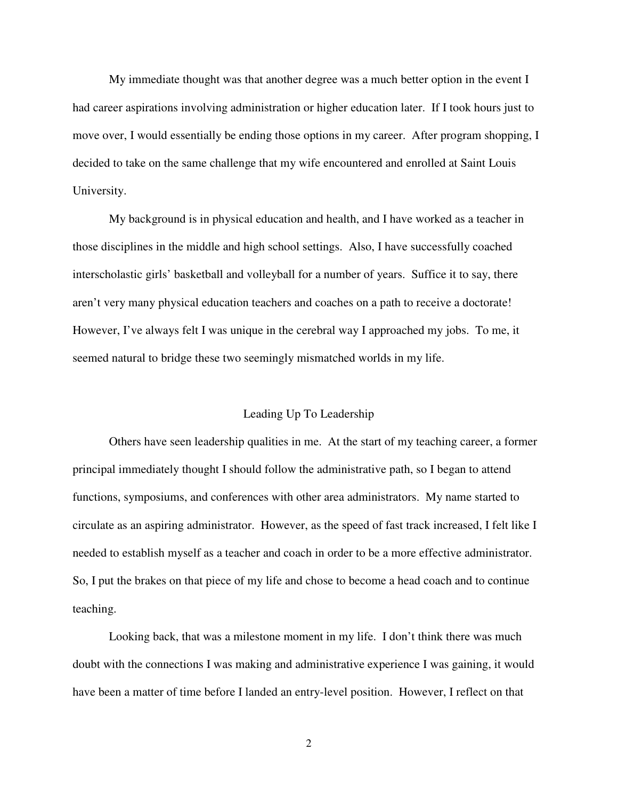My immediate thought was that another degree was a much better option in the event I had career aspirations involving administration or higher education later. If I took hours just to move over, I would essentially be ending those options in my career. After program shopping, I decided to take on the same challenge that my wife encountered and enrolled at Saint Louis University.

 My background is in physical education and health, and I have worked as a teacher in those disciplines in the middle and high school settings. Also, I have successfully coached interscholastic girls' basketball and volleyball for a number of years. Suffice it to say, there aren't very many physical education teachers and coaches on a path to receive a doctorate! However, I've always felt I was unique in the cerebral way I approached my jobs. To me, it seemed natural to bridge these two seemingly mismatched worlds in my life.

#### Leading Up To Leadership

 Others have seen leadership qualities in me. At the start of my teaching career, a former principal immediately thought I should follow the administrative path, so I began to attend functions, symposiums, and conferences with other area administrators. My name started to circulate as an aspiring administrator. However, as the speed of fast track increased, I felt like I needed to establish myself as a teacher and coach in order to be a more effective administrator. So, I put the brakes on that piece of my life and chose to become a head coach and to continue teaching.

 Looking back, that was a milestone moment in my life. I don't think there was much doubt with the connections I was making and administrative experience I was gaining, it would have been a matter of time before I landed an entry-level position. However, I reflect on that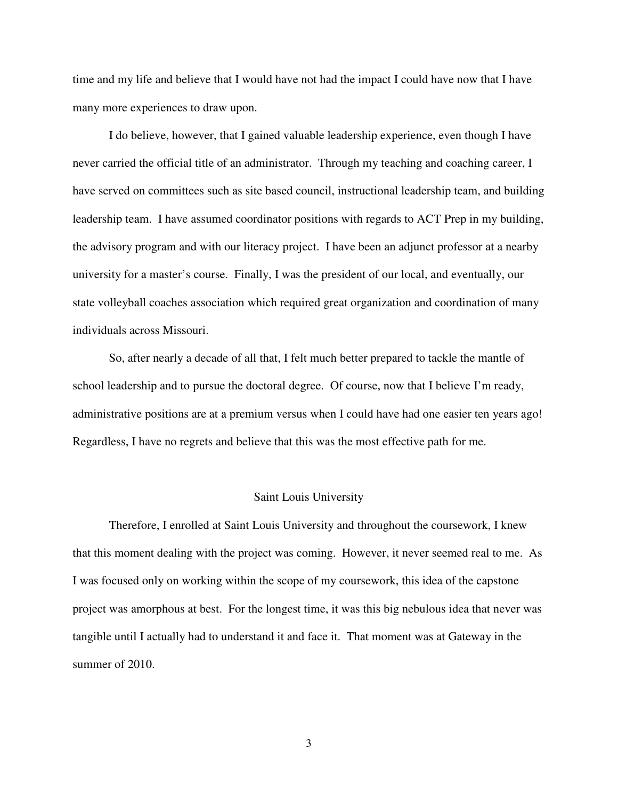time and my life and believe that I would have not had the impact I could have now that I have many more experiences to draw upon.

 I do believe, however, that I gained valuable leadership experience, even though I have never carried the official title of an administrator. Through my teaching and coaching career, I have served on committees such as site based council, instructional leadership team, and building leadership team. I have assumed coordinator positions with regards to ACT Prep in my building, the advisory program and with our literacy project. I have been an adjunct professor at a nearby university for a master's course. Finally, I was the president of our local, and eventually, our state volleyball coaches association which required great organization and coordination of many individuals across Missouri.

 So, after nearly a decade of all that, I felt much better prepared to tackle the mantle of school leadership and to pursue the doctoral degree. Of course, now that I believe I'm ready, administrative positions are at a premium versus when I could have had one easier ten years ago! Regardless, I have no regrets and believe that this was the most effective path for me.

#### Saint Louis University

 Therefore, I enrolled at Saint Louis University and throughout the coursework, I knew that this moment dealing with the project was coming. However, it never seemed real to me. As I was focused only on working within the scope of my coursework, this idea of the capstone project was amorphous at best. For the longest time, it was this big nebulous idea that never was tangible until I actually had to understand it and face it. That moment was at Gateway in the summer of 2010.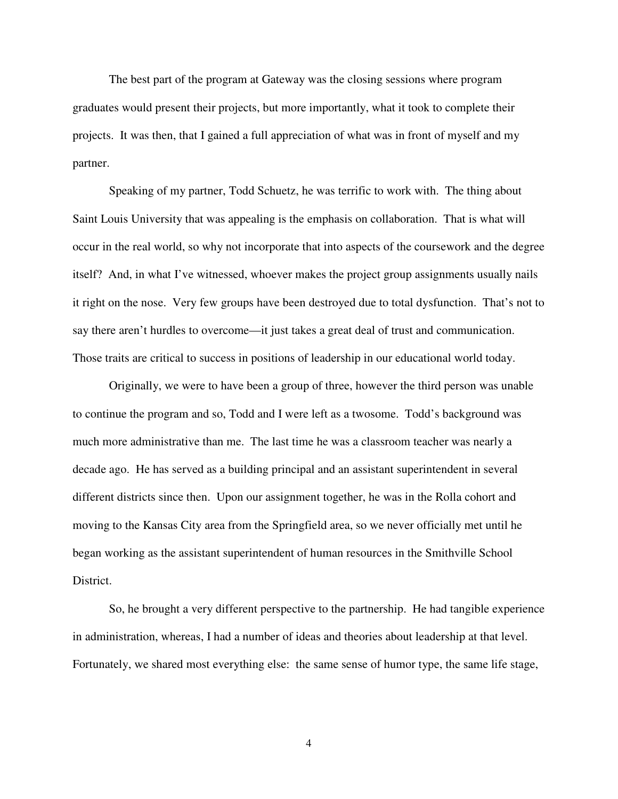The best part of the program at Gateway was the closing sessions where program graduates would present their projects, but more importantly, what it took to complete their projects. It was then, that I gained a full appreciation of what was in front of myself and my partner.

 Speaking of my partner, Todd Schuetz, he was terrific to work with. The thing about Saint Louis University that was appealing is the emphasis on collaboration. That is what will occur in the real world, so why not incorporate that into aspects of the coursework and the degree itself? And, in what I've witnessed, whoever makes the project group assignments usually nails it right on the nose. Very few groups have been destroyed due to total dysfunction. That's not to say there aren't hurdles to overcome—it just takes a great deal of trust and communication. Those traits are critical to success in positions of leadership in our educational world today.

 Originally, we were to have been a group of three, however the third person was unable to continue the program and so, Todd and I were left as a twosome. Todd's background was much more administrative than me. The last time he was a classroom teacher was nearly a decade ago. He has served as a building principal and an assistant superintendent in several different districts since then. Upon our assignment together, he was in the Rolla cohort and moving to the Kansas City area from the Springfield area, so we never officially met until he began working as the assistant superintendent of human resources in the Smithville School District.

 So, he brought a very different perspective to the partnership. He had tangible experience in administration, whereas, I had a number of ideas and theories about leadership at that level. Fortunately, we shared most everything else: the same sense of humor type, the same life stage,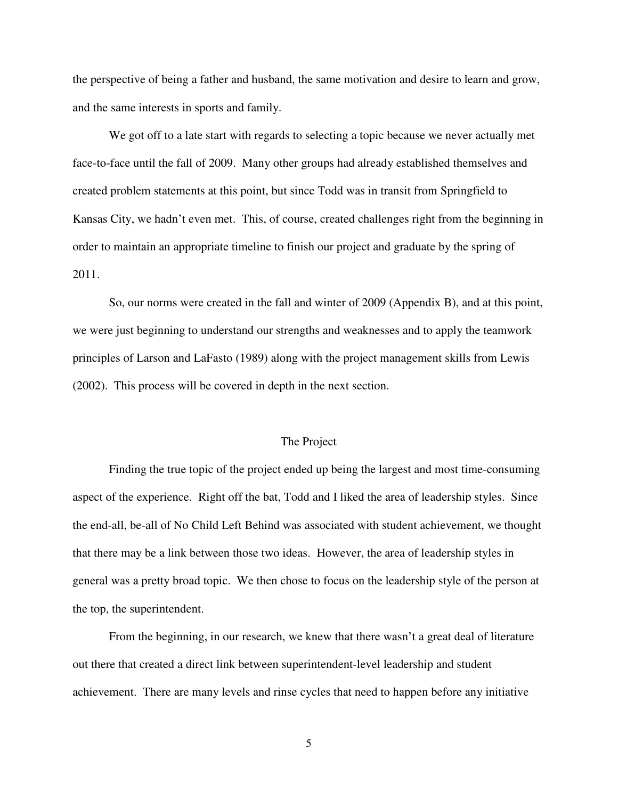the perspective of being a father and husband, the same motivation and desire to learn and grow, and the same interests in sports and family.

 We got off to a late start with regards to selecting a topic because we never actually met face-to-face until the fall of 2009. Many other groups had already established themselves and created problem statements at this point, but since Todd was in transit from Springfield to Kansas City, we hadn't even met. This, of course, created challenges right from the beginning in order to maintain an appropriate timeline to finish our project and graduate by the spring of 2011.

 So, our norms were created in the fall and winter of 2009 (Appendix B), and at this point, we were just beginning to understand our strengths and weaknesses and to apply the teamwork principles of Larson and LaFasto (1989) along with the project management skills from Lewis (2002). This process will be covered in depth in the next section.

#### The Project

 Finding the true topic of the project ended up being the largest and most time-consuming aspect of the experience. Right off the bat, Todd and I liked the area of leadership styles. Since the end-all, be-all of No Child Left Behind was associated with student achievement, we thought that there may be a link between those two ideas. However, the area of leadership styles in general was a pretty broad topic. We then chose to focus on the leadership style of the person at the top, the superintendent.

 From the beginning, in our research, we knew that there wasn't a great deal of literature out there that created a direct link between superintendent-level leadership and student achievement. There are many levels and rinse cycles that need to happen before any initiative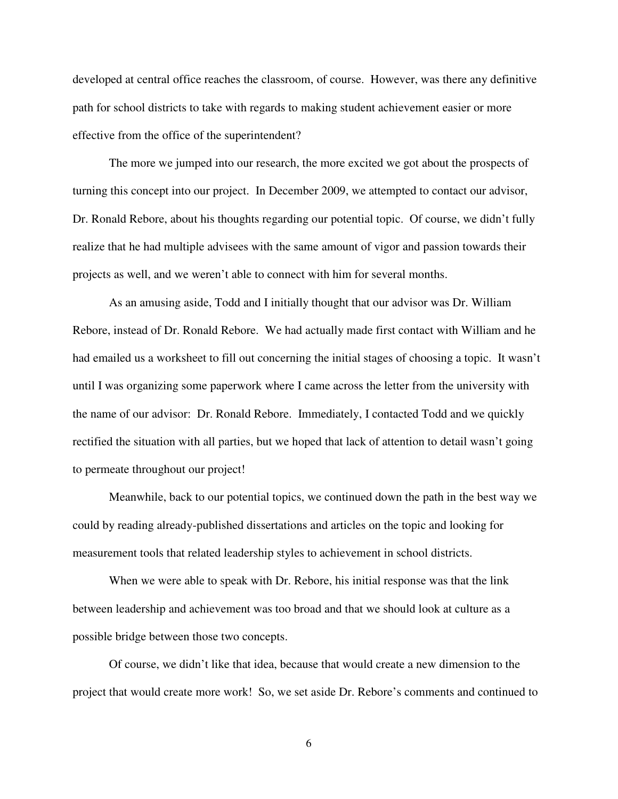developed at central office reaches the classroom, of course. However, was there any definitive path for school districts to take with regards to making student achievement easier or more effective from the office of the superintendent?

 The more we jumped into our research, the more excited we got about the prospects of turning this concept into our project. In December 2009, we attempted to contact our advisor, Dr. Ronald Rebore, about his thoughts regarding our potential topic. Of course, we didn't fully realize that he had multiple advisees with the same amount of vigor and passion towards their projects as well, and we weren't able to connect with him for several months.

 As an amusing aside, Todd and I initially thought that our advisor was Dr. William Rebore, instead of Dr. Ronald Rebore. We had actually made first contact with William and he had emailed us a worksheet to fill out concerning the initial stages of choosing a topic. It wasn't until I was organizing some paperwork where I came across the letter from the university with the name of our advisor: Dr. Ronald Rebore. Immediately, I contacted Todd and we quickly rectified the situation with all parties, but we hoped that lack of attention to detail wasn't going to permeate throughout our project!

Meanwhile, back to our potential topics, we continued down the path in the best way we could by reading already-published dissertations and articles on the topic and looking for measurement tools that related leadership styles to achievement in school districts.

When we were able to speak with Dr. Rebore, his initial response was that the link between leadership and achievement was too broad and that we should look at culture as a possible bridge between those two concepts.

 Of course, we didn't like that idea, because that would create a new dimension to the project that would create more work! So, we set aside Dr. Rebore's comments and continued to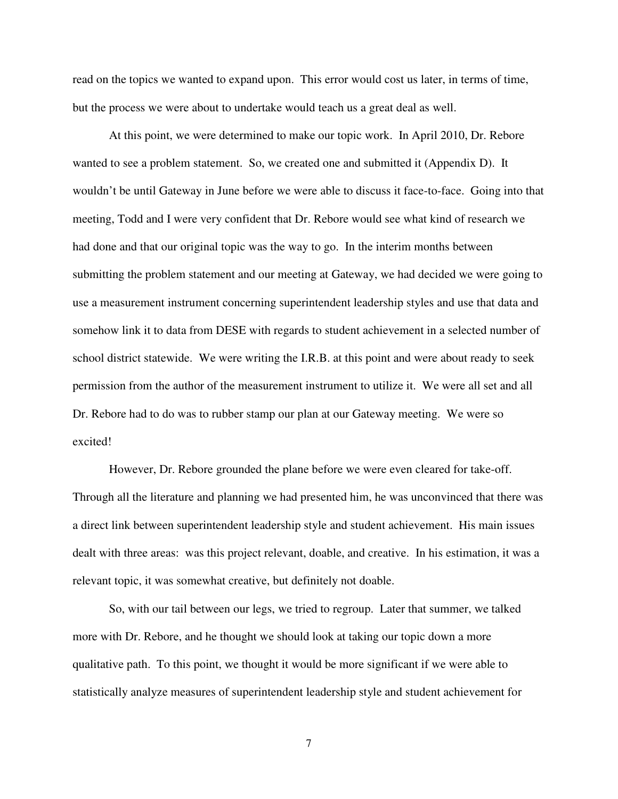read on the topics we wanted to expand upon. This error would cost us later, in terms of time, but the process we were about to undertake would teach us a great deal as well.

 At this point, we were determined to make our topic work. In April 2010, Dr. Rebore wanted to see a problem statement. So, we created one and submitted it (Appendix D). It wouldn't be until Gateway in June before we were able to discuss it face-to-face. Going into that meeting, Todd and I were very confident that Dr. Rebore would see what kind of research we had done and that our original topic was the way to go. In the interim months between submitting the problem statement and our meeting at Gateway, we had decided we were going to use a measurement instrument concerning superintendent leadership styles and use that data and somehow link it to data from DESE with regards to student achievement in a selected number of school district statewide. We were writing the I.R.B. at this point and were about ready to seek permission from the author of the measurement instrument to utilize it. We were all set and all Dr. Rebore had to do was to rubber stamp our plan at our Gateway meeting. We were so excited!

 However, Dr. Rebore grounded the plane before we were even cleared for take-off. Through all the literature and planning we had presented him, he was unconvinced that there was a direct link between superintendent leadership style and student achievement. His main issues dealt with three areas: was this project relevant, doable, and creative. In his estimation, it was a relevant topic, it was somewhat creative, but definitely not doable.

 So, with our tail between our legs, we tried to regroup. Later that summer, we talked more with Dr. Rebore, and he thought we should look at taking our topic down a more qualitative path. To this point, we thought it would be more significant if we were able to statistically analyze measures of superintendent leadership style and student achievement for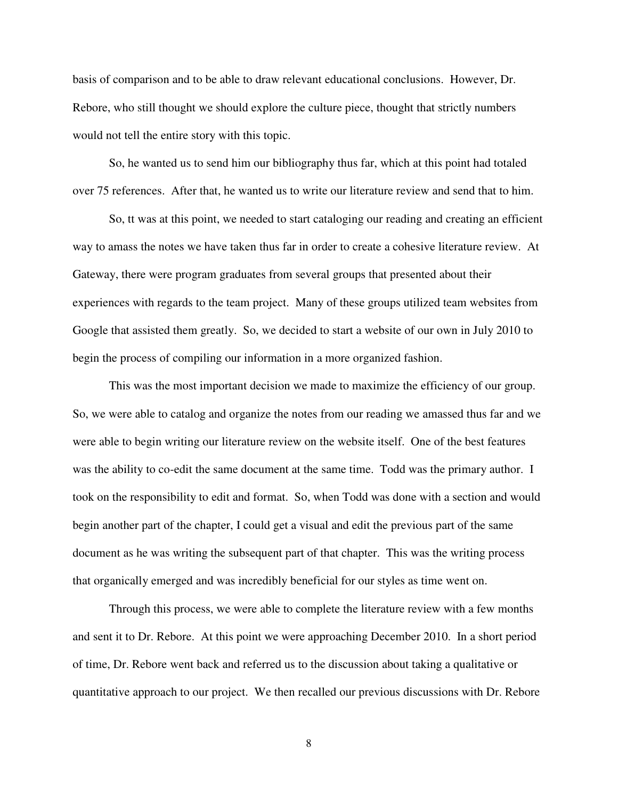basis of comparison and to be able to draw relevant educational conclusions. However, Dr. Rebore, who still thought we should explore the culture piece, thought that strictly numbers would not tell the entire story with this topic.

 So, he wanted us to send him our bibliography thus far, which at this point had totaled over 75 references. After that, he wanted us to write our literature review and send that to him.

 So, tt was at this point, we needed to start cataloging our reading and creating an efficient way to amass the notes we have taken thus far in order to create a cohesive literature review. At Gateway, there were program graduates from several groups that presented about their experiences with regards to the team project. Many of these groups utilized team websites from Google that assisted them greatly. So, we decided to start a website of our own in July 2010 to begin the process of compiling our information in a more organized fashion.

 This was the most important decision we made to maximize the efficiency of our group. So, we were able to catalog and organize the notes from our reading we amassed thus far and we were able to begin writing our literature review on the website itself. One of the best features was the ability to co-edit the same document at the same time. Todd was the primary author. I took on the responsibility to edit and format. So, when Todd was done with a section and would begin another part of the chapter, I could get a visual and edit the previous part of the same document as he was writing the subsequent part of that chapter. This was the writing process that organically emerged and was incredibly beneficial for our styles as time went on.

 Through this process, we were able to complete the literature review with a few months and sent it to Dr. Rebore. At this point we were approaching December 2010. In a short period of time, Dr. Rebore went back and referred us to the discussion about taking a qualitative or quantitative approach to our project. We then recalled our previous discussions with Dr. Rebore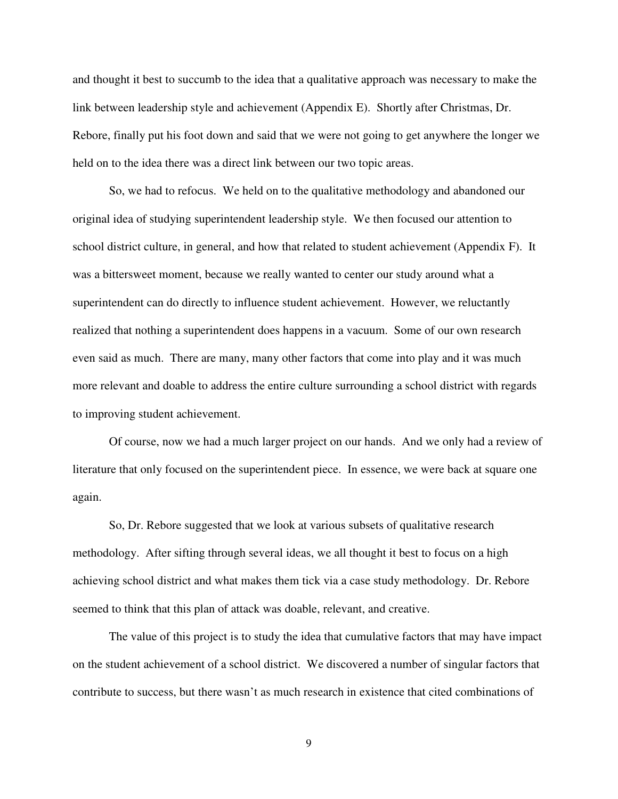and thought it best to succumb to the idea that a qualitative approach was necessary to make the link between leadership style and achievement (Appendix E). Shortly after Christmas, Dr. Rebore, finally put his foot down and said that we were not going to get anywhere the longer we held on to the idea there was a direct link between our two topic areas.

 So, we had to refocus. We held on to the qualitative methodology and abandoned our original idea of studying superintendent leadership style. We then focused our attention to school district culture, in general, and how that related to student achievement (Appendix F). It was a bittersweet moment, because we really wanted to center our study around what a superintendent can do directly to influence student achievement. However, we reluctantly realized that nothing a superintendent does happens in a vacuum. Some of our own research even said as much. There are many, many other factors that come into play and it was much more relevant and doable to address the entire culture surrounding a school district with regards to improving student achievement.

 Of course, now we had a much larger project on our hands. And we only had a review of literature that only focused on the superintendent piece. In essence, we were back at square one again.

 So, Dr. Rebore suggested that we look at various subsets of qualitative research methodology. After sifting through several ideas, we all thought it best to focus on a high achieving school district and what makes them tick via a case study methodology. Dr. Rebore seemed to think that this plan of attack was doable, relevant, and creative.

 The value of this project is to study the idea that cumulative factors that may have impact on the student achievement of a school district. We discovered a number of singular factors that contribute to success, but there wasn't as much research in existence that cited combinations of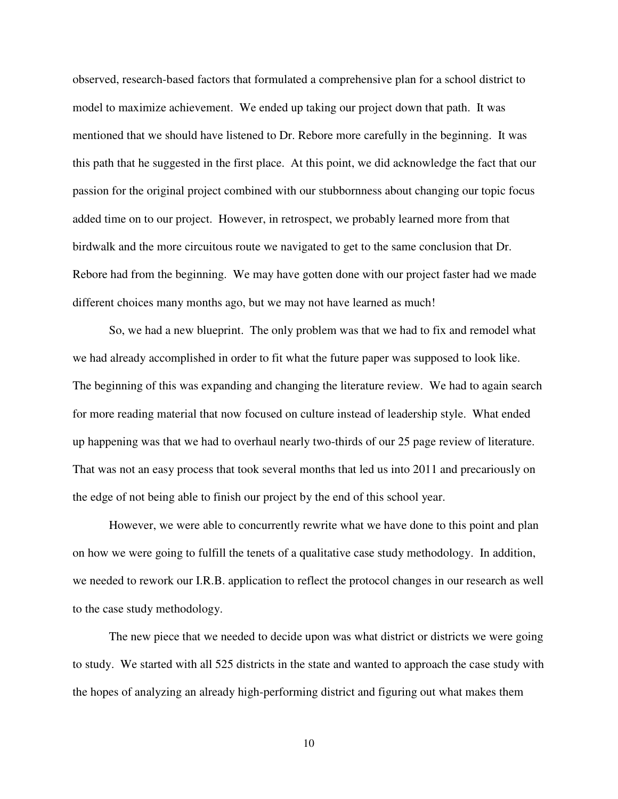observed, research-based factors that formulated a comprehensive plan for a school district to model to maximize achievement. We ended up taking our project down that path. It was mentioned that we should have listened to Dr. Rebore more carefully in the beginning. It was this path that he suggested in the first place. At this point, we did acknowledge the fact that our passion for the original project combined with our stubbornness about changing our topic focus added time on to our project. However, in retrospect, we probably learned more from that birdwalk and the more circuitous route we navigated to get to the same conclusion that Dr. Rebore had from the beginning. We may have gotten done with our project faster had we made different choices many months ago, but we may not have learned as much!

 So, we had a new blueprint. The only problem was that we had to fix and remodel what we had already accomplished in order to fit what the future paper was supposed to look like. The beginning of this was expanding and changing the literature review. We had to again search for more reading material that now focused on culture instead of leadership style. What ended up happening was that we had to overhaul nearly two-thirds of our 25 page review of literature. That was not an easy process that took several months that led us into 2011 and precariously on the edge of not being able to finish our project by the end of this school year.

 However, we were able to concurrently rewrite what we have done to this point and plan on how we were going to fulfill the tenets of a qualitative case study methodology. In addition, we needed to rework our I.R.B. application to reflect the protocol changes in our research as well to the case study methodology.

 The new piece that we needed to decide upon was what district or districts we were going to study. We started with all 525 districts in the state and wanted to approach the case study with the hopes of analyzing an already high-performing district and figuring out what makes them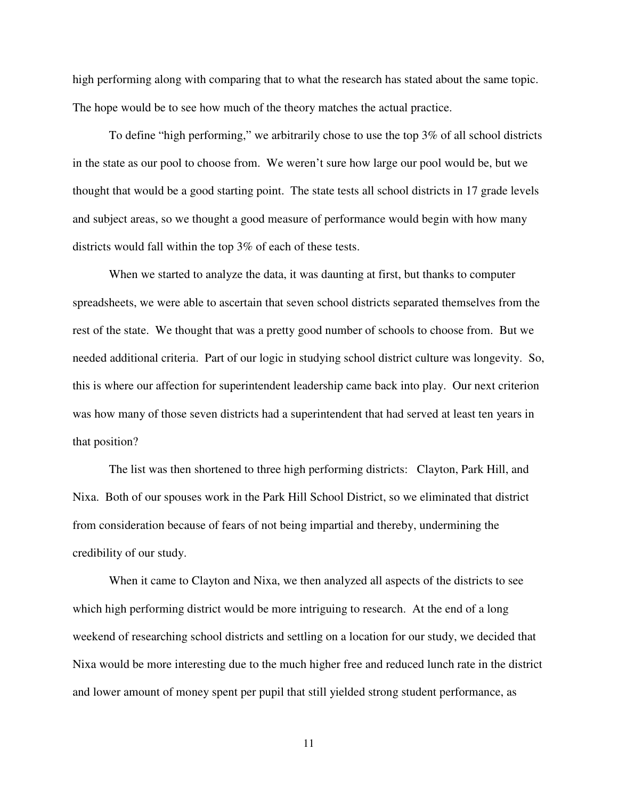high performing along with comparing that to what the research has stated about the same topic. The hope would be to see how much of the theory matches the actual practice.

 To define "high performing," we arbitrarily chose to use the top 3% of all school districts in the state as our pool to choose from. We weren't sure how large our pool would be, but we thought that would be a good starting point. The state tests all school districts in 17 grade levels and subject areas, so we thought a good measure of performance would begin with how many districts would fall within the top 3% of each of these tests.

 When we started to analyze the data, it was daunting at first, but thanks to computer spreadsheets, we were able to ascertain that seven school districts separated themselves from the rest of the state. We thought that was a pretty good number of schools to choose from. But we needed additional criteria. Part of our logic in studying school district culture was longevity. So, this is where our affection for superintendent leadership came back into play. Our next criterion was how many of those seven districts had a superintendent that had served at least ten years in that position?

 The list was then shortened to three high performing districts: Clayton, Park Hill, and Nixa. Both of our spouses work in the Park Hill School District, so we eliminated that district from consideration because of fears of not being impartial and thereby, undermining the credibility of our study.

 When it came to Clayton and Nixa, we then analyzed all aspects of the districts to see which high performing district would be more intriguing to research. At the end of a long weekend of researching school districts and settling on a location for our study, we decided that Nixa would be more interesting due to the much higher free and reduced lunch rate in the district and lower amount of money spent per pupil that still yielded strong student performance, as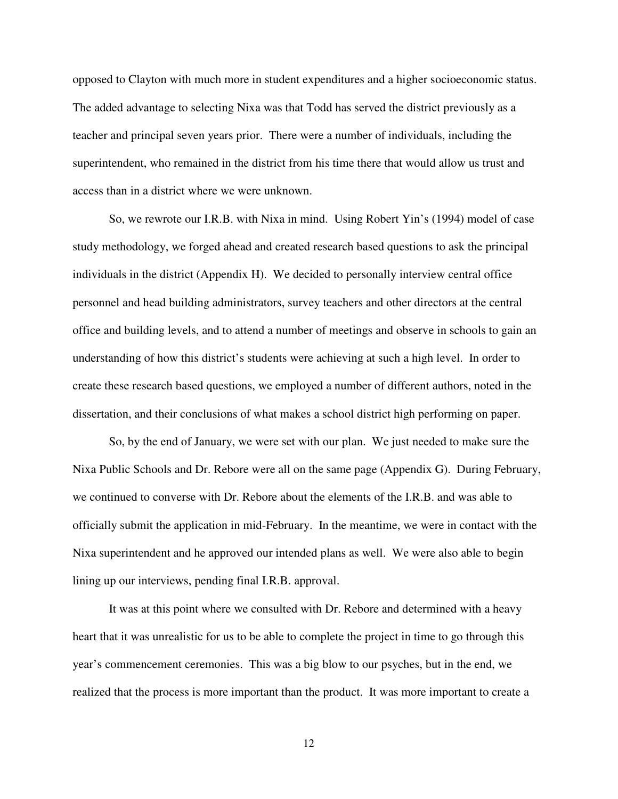opposed to Clayton with much more in student expenditures and a higher socioeconomic status. The added advantage to selecting Nixa was that Todd has served the district previously as a teacher and principal seven years prior. There were a number of individuals, including the superintendent, who remained in the district from his time there that would allow us trust and access than in a district where we were unknown.

 So, we rewrote our I.R.B. with Nixa in mind. Using Robert Yin's (1994) model of case study methodology, we forged ahead and created research based questions to ask the principal individuals in the district (Appendix H). We decided to personally interview central office personnel and head building administrators, survey teachers and other directors at the central office and building levels, and to attend a number of meetings and observe in schools to gain an understanding of how this district's students were achieving at such a high level. In order to create these research based questions, we employed a number of different authors, noted in the dissertation, and their conclusions of what makes a school district high performing on paper.

 So, by the end of January, we were set with our plan. We just needed to make sure the Nixa Public Schools and Dr. Rebore were all on the same page (Appendix G). During February, we continued to converse with Dr. Rebore about the elements of the I.R.B. and was able to officially submit the application in mid-February. In the meantime, we were in contact with the Nixa superintendent and he approved our intended plans as well. We were also able to begin lining up our interviews, pending final I.R.B. approval.

 It was at this point where we consulted with Dr. Rebore and determined with a heavy heart that it was unrealistic for us to be able to complete the project in time to go through this year's commencement ceremonies. This was a big blow to our psyches, but in the end, we realized that the process is more important than the product. It was more important to create a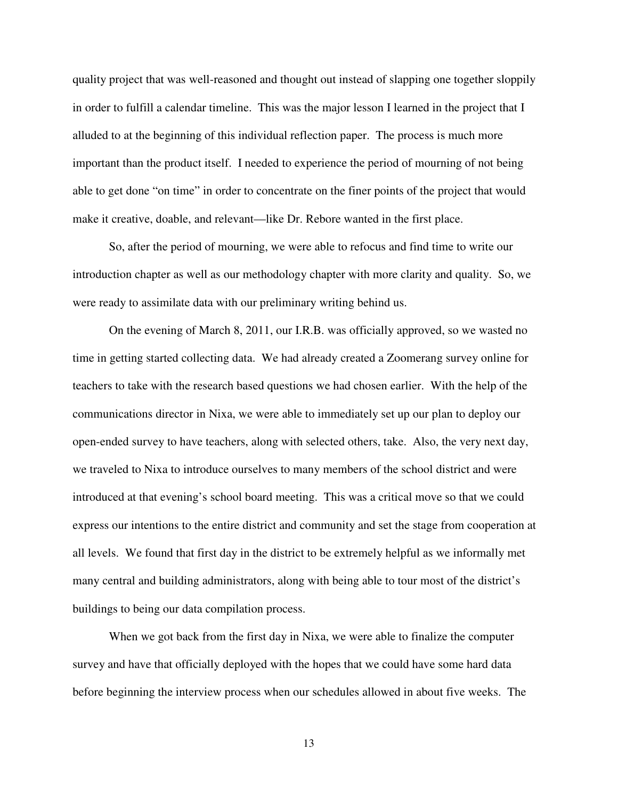quality project that was well-reasoned and thought out instead of slapping one together sloppily in order to fulfill a calendar timeline. This was the major lesson I learned in the project that I alluded to at the beginning of this individual reflection paper. The process is much more important than the product itself. I needed to experience the period of mourning of not being able to get done "on time" in order to concentrate on the finer points of the project that would make it creative, doable, and relevant—like Dr. Rebore wanted in the first place.

 So, after the period of mourning, we were able to refocus and find time to write our introduction chapter as well as our methodology chapter with more clarity and quality. So, we were ready to assimilate data with our preliminary writing behind us.

 On the evening of March 8, 2011, our I.R.B. was officially approved, so we wasted no time in getting started collecting data. We had already created a Zoomerang survey online for teachers to take with the research based questions we had chosen earlier. With the help of the communications director in Nixa, we were able to immediately set up our plan to deploy our open-ended survey to have teachers, along with selected others, take. Also, the very next day, we traveled to Nixa to introduce ourselves to many members of the school district and were introduced at that evening's school board meeting. This was a critical move so that we could express our intentions to the entire district and community and set the stage from cooperation at all levels. We found that first day in the district to be extremely helpful as we informally met many central and building administrators, along with being able to tour most of the district's buildings to being our data compilation process.

 When we got back from the first day in Nixa, we were able to finalize the computer survey and have that officially deployed with the hopes that we could have some hard data before beginning the interview process when our schedules allowed in about five weeks. The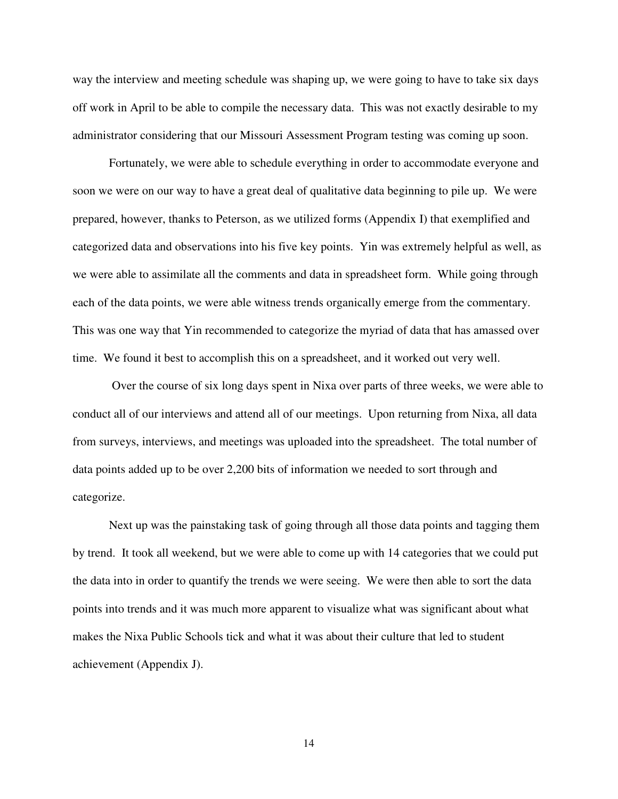way the interview and meeting schedule was shaping up, we were going to have to take six days off work in April to be able to compile the necessary data. This was not exactly desirable to my administrator considering that our Missouri Assessment Program testing was coming up soon.

 Fortunately, we were able to schedule everything in order to accommodate everyone and soon we were on our way to have a great deal of qualitative data beginning to pile up. We were prepared, however, thanks to Peterson, as we utilized forms (Appendix I) that exemplified and categorized data and observations into his five key points. Yin was extremely helpful as well, as we were able to assimilate all the comments and data in spreadsheet form. While going through each of the data points, we were able witness trends organically emerge from the commentary. This was one way that Yin recommended to categorize the myriad of data that has amassed over time. We found it best to accomplish this on a spreadsheet, and it worked out very well.

 Over the course of six long days spent in Nixa over parts of three weeks, we were able to conduct all of our interviews and attend all of our meetings. Upon returning from Nixa, all data from surveys, interviews, and meetings was uploaded into the spreadsheet. The total number of data points added up to be over 2,200 bits of information we needed to sort through and categorize.

 Next up was the painstaking task of going through all those data points and tagging them by trend. It took all weekend, but we were able to come up with 14 categories that we could put the data into in order to quantify the trends we were seeing. We were then able to sort the data points into trends and it was much more apparent to visualize what was significant about what makes the Nixa Public Schools tick and what it was about their culture that led to student achievement (Appendix J).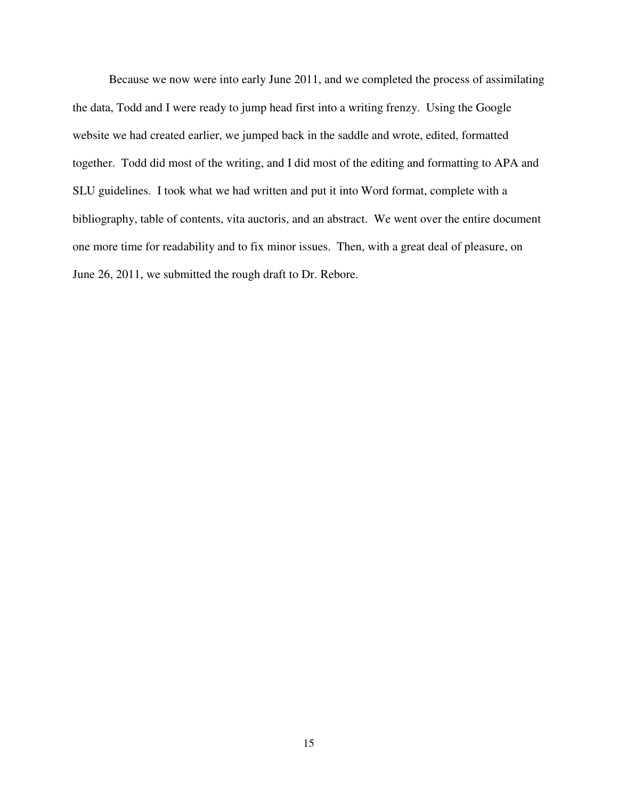Because we now were into early June 2011, and we completed the process of assimilating the data, Todd and I were ready to jump head first into a writing frenzy. Using the Google website we had created earlier, we jumped back in the saddle and wrote, edited, formatted together. Todd did most of the writing, and I did most of the editing and formatting to APA and SLU guidelines. I took what we had written and put it into Word format, complete with a bibliography, table of contents, vita auctoris, and an abstract. We went over the entire document one more time for readability and to fix minor issues. Then, with a great deal of pleasure, on June 26, 2011, we submitted the rough draft to Dr. Rebore.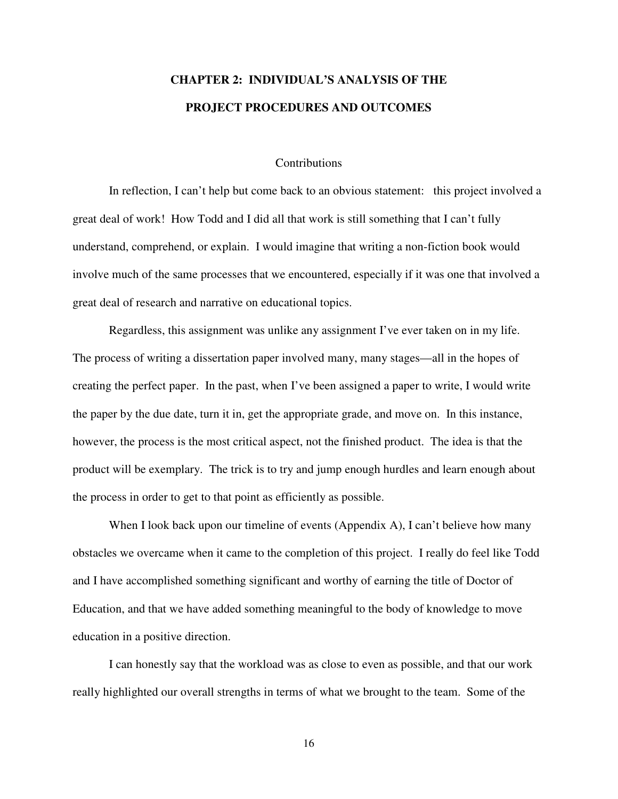# **CHAPTER 2: INDIVIDUAL'S ANALYSIS OF THE PROJECT PROCEDURES AND OUTCOMES**

#### **Contributions**

 In reflection, I can't help but come back to an obvious statement: this project involved a great deal of work! How Todd and I did all that work is still something that I can't fully understand, comprehend, or explain. I would imagine that writing a non-fiction book would involve much of the same processes that we encountered, especially if it was one that involved a great deal of research and narrative on educational topics.

Regardless, this assignment was unlike any assignment I've ever taken on in my life. The process of writing a dissertation paper involved many, many stages—all in the hopes of creating the perfect paper. In the past, when I've been assigned a paper to write, I would write the paper by the due date, turn it in, get the appropriate grade, and move on. In this instance, however, the process is the most critical aspect, not the finished product. The idea is that the product will be exemplary. The trick is to try and jump enough hurdles and learn enough about the process in order to get to that point as efficiently as possible.

When I look back upon our timeline of events (Appendix A), I can't believe how many obstacles we overcame when it came to the completion of this project. I really do feel like Todd and I have accomplished something significant and worthy of earning the title of Doctor of Education, and that we have added something meaningful to the body of knowledge to move education in a positive direction.

I can honestly say that the workload was as close to even as possible, and that our work really highlighted our overall strengths in terms of what we brought to the team. Some of the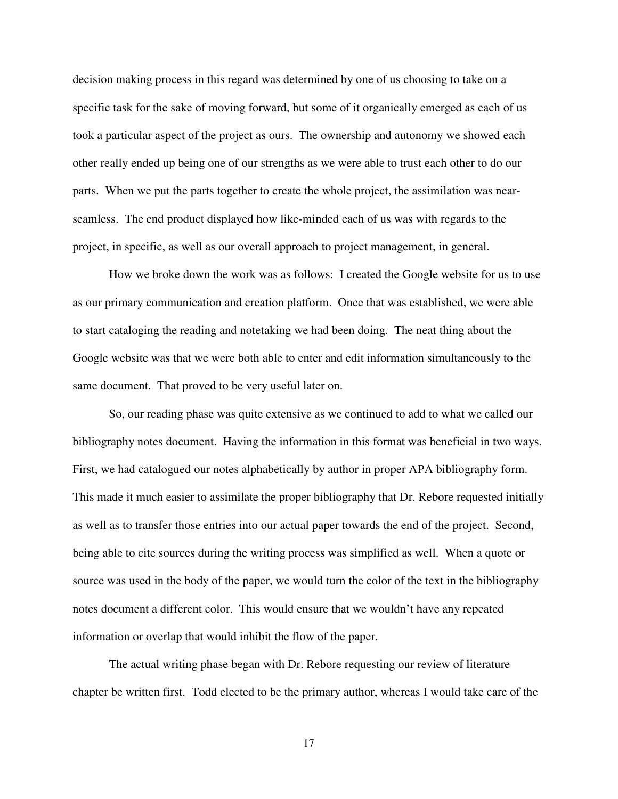decision making process in this regard was determined by one of us choosing to take on a specific task for the sake of moving forward, but some of it organically emerged as each of us took a particular aspect of the project as ours. The ownership and autonomy we showed each other really ended up being one of our strengths as we were able to trust each other to do our parts. When we put the parts together to create the whole project, the assimilation was nearseamless. The end product displayed how like-minded each of us was with regards to the project, in specific, as well as our overall approach to project management, in general.

How we broke down the work was as follows: I created the Google website for us to use as our primary communication and creation platform. Once that was established, we were able to start cataloging the reading and notetaking we had been doing. The neat thing about the Google website was that we were both able to enter and edit information simultaneously to the same document. That proved to be very useful later on.

So, our reading phase was quite extensive as we continued to add to what we called our bibliography notes document. Having the information in this format was beneficial in two ways. First, we had catalogued our notes alphabetically by author in proper APA bibliography form. This made it much easier to assimilate the proper bibliography that Dr. Rebore requested initially as well as to transfer those entries into our actual paper towards the end of the project. Second, being able to cite sources during the writing process was simplified as well. When a quote or source was used in the body of the paper, we would turn the color of the text in the bibliography notes document a different color. This would ensure that we wouldn't have any repeated information or overlap that would inhibit the flow of the paper.

The actual writing phase began with Dr. Rebore requesting our review of literature chapter be written first. Todd elected to be the primary author, whereas I would take care of the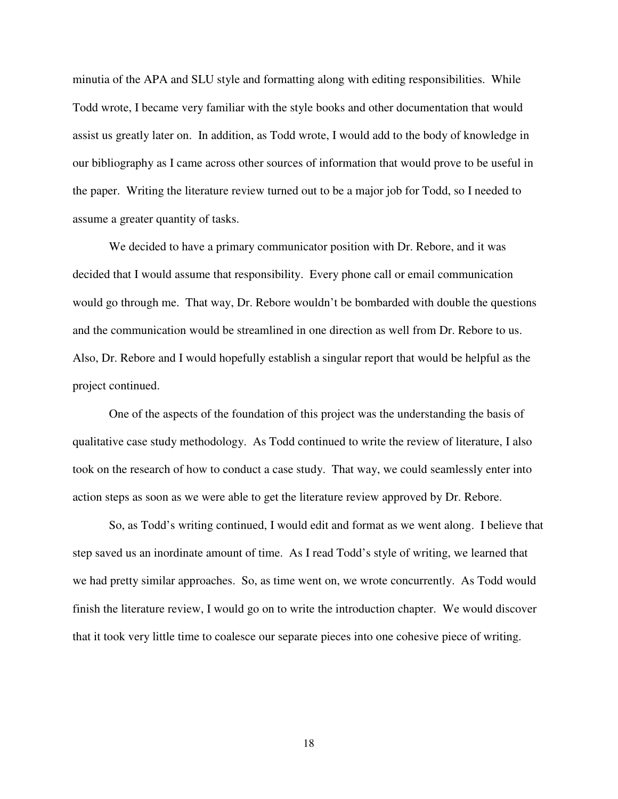minutia of the APA and SLU style and formatting along with editing responsibilities. While Todd wrote, I became very familiar with the style books and other documentation that would assist us greatly later on. In addition, as Todd wrote, I would add to the body of knowledge in our bibliography as I came across other sources of information that would prove to be useful in the paper. Writing the literature review turned out to be a major job for Todd, so I needed to assume a greater quantity of tasks.

We decided to have a primary communicator position with Dr. Rebore, and it was decided that I would assume that responsibility. Every phone call or email communication would go through me. That way, Dr. Rebore wouldn't be bombarded with double the questions and the communication would be streamlined in one direction as well from Dr. Rebore to us. Also, Dr. Rebore and I would hopefully establish a singular report that would be helpful as the project continued.

One of the aspects of the foundation of this project was the understanding the basis of qualitative case study methodology. As Todd continued to write the review of literature, I also took on the research of how to conduct a case study. That way, we could seamlessly enter into action steps as soon as we were able to get the literature review approved by Dr. Rebore.

So, as Todd's writing continued, I would edit and format as we went along. I believe that step saved us an inordinate amount of time. As I read Todd's style of writing, we learned that we had pretty similar approaches. So, as time went on, we wrote concurrently. As Todd would finish the literature review, I would go on to write the introduction chapter. We would discover that it took very little time to coalesce our separate pieces into one cohesive piece of writing.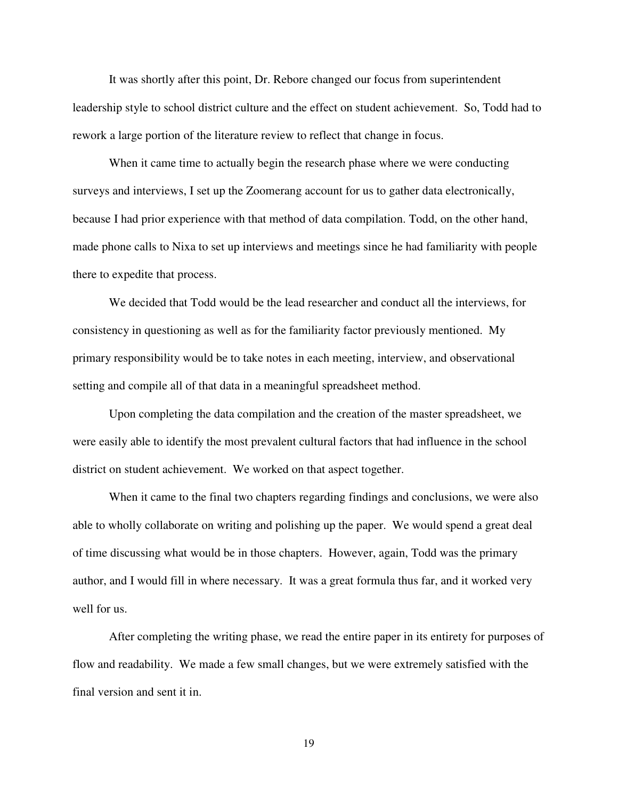It was shortly after this point, Dr. Rebore changed our focus from superintendent leadership style to school district culture and the effect on student achievement. So, Todd had to rework a large portion of the literature review to reflect that change in focus.

When it came time to actually begin the research phase where we were conducting surveys and interviews, I set up the Zoomerang account for us to gather data electronically, because I had prior experience with that method of data compilation. Todd, on the other hand, made phone calls to Nixa to set up interviews and meetings since he had familiarity with people there to expedite that process.

We decided that Todd would be the lead researcher and conduct all the interviews, for consistency in questioning as well as for the familiarity factor previously mentioned. My primary responsibility would be to take notes in each meeting, interview, and observational setting and compile all of that data in a meaningful spreadsheet method.

Upon completing the data compilation and the creation of the master spreadsheet, we were easily able to identify the most prevalent cultural factors that had influence in the school district on student achievement. We worked on that aspect together.

When it came to the final two chapters regarding findings and conclusions, we were also able to wholly collaborate on writing and polishing up the paper. We would spend a great deal of time discussing what would be in those chapters. However, again, Todd was the primary author, and I would fill in where necessary. It was a great formula thus far, and it worked very well for us.

After completing the writing phase, we read the entire paper in its entirety for purposes of flow and readability. We made a few small changes, but we were extremely satisfied with the final version and sent it in.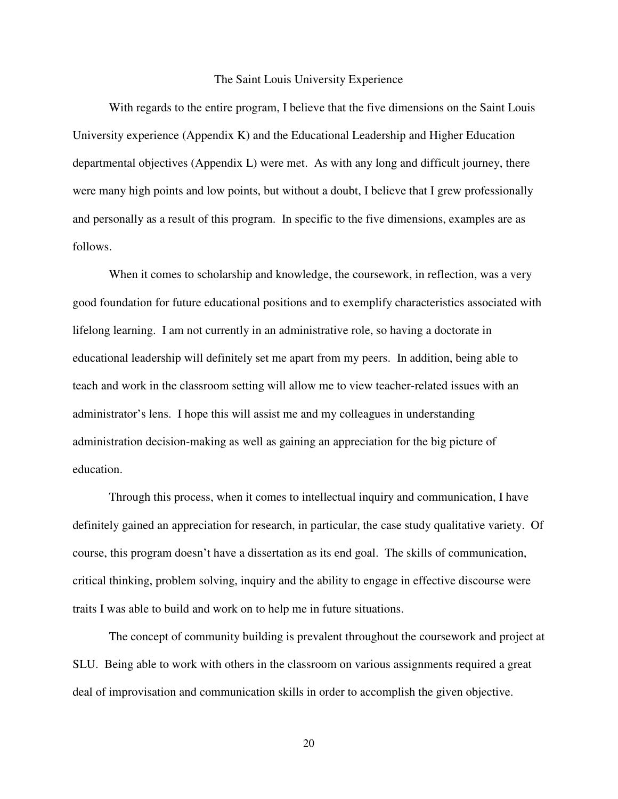#### The Saint Louis University Experience

 With regards to the entire program, I believe that the five dimensions on the Saint Louis University experience (Appendix K) and the Educational Leadership and Higher Education departmental objectives (Appendix L) were met. As with any long and difficult journey, there were many high points and low points, but without a doubt, I believe that I grew professionally and personally as a result of this program. In specific to the five dimensions, examples are as follows.

 When it comes to scholarship and knowledge, the coursework, in reflection, was a very good foundation for future educational positions and to exemplify characteristics associated with lifelong learning. I am not currently in an administrative role, so having a doctorate in educational leadership will definitely set me apart from my peers. In addition, being able to teach and work in the classroom setting will allow me to view teacher-related issues with an administrator's lens. I hope this will assist me and my colleagues in understanding administration decision-making as well as gaining an appreciation for the big picture of education.

 Through this process, when it comes to intellectual inquiry and communication, I have definitely gained an appreciation for research, in particular, the case study qualitative variety. Of course, this program doesn't have a dissertation as its end goal. The skills of communication, critical thinking, problem solving, inquiry and the ability to engage in effective discourse were traits I was able to build and work on to help me in future situations.

 The concept of community building is prevalent throughout the coursework and project at SLU. Being able to work with others in the classroom on various assignments required a great deal of improvisation and communication skills in order to accomplish the given objective.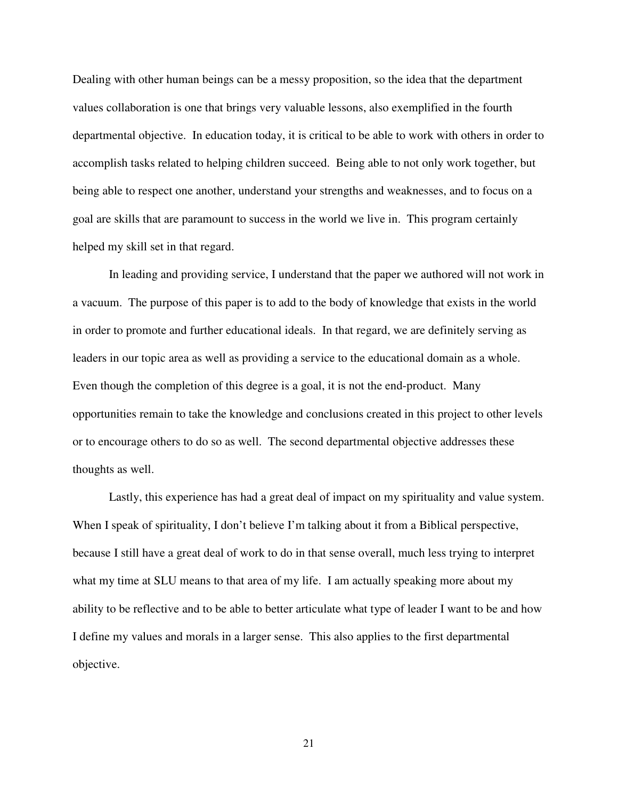Dealing with other human beings can be a messy proposition, so the idea that the department values collaboration is one that brings very valuable lessons, also exemplified in the fourth departmental objective. In education today, it is critical to be able to work with others in order to accomplish tasks related to helping children succeed. Being able to not only work together, but being able to respect one another, understand your strengths and weaknesses, and to focus on a goal are skills that are paramount to success in the world we live in. This program certainly helped my skill set in that regard.

 In leading and providing service, I understand that the paper we authored will not work in a vacuum. The purpose of this paper is to add to the body of knowledge that exists in the world in order to promote and further educational ideals. In that regard, we are definitely serving as leaders in our topic area as well as providing a service to the educational domain as a whole. Even though the completion of this degree is a goal, it is not the end-product. Many opportunities remain to take the knowledge and conclusions created in this project to other levels or to encourage others to do so as well. The second departmental objective addresses these thoughts as well.

 Lastly, this experience has had a great deal of impact on my spirituality and value system. When I speak of spirituality, I don't believe I'm talking about it from a Biblical perspective, because I still have a great deal of work to do in that sense overall, much less trying to interpret what my time at SLU means to that area of my life. I am actually speaking more about my ability to be reflective and to be able to better articulate what type of leader I want to be and how I define my values and morals in a larger sense. This also applies to the first departmental objective.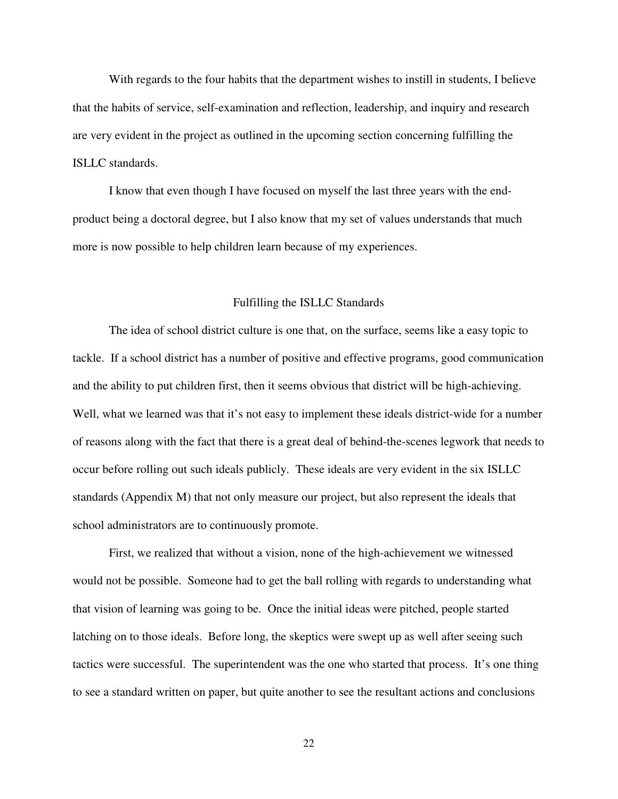With regards to the four habits that the department wishes to instill in students, I believe that the habits of service, self-examination and reflection, leadership, and inquiry and research are very evident in the project as outlined in the upcoming section concerning fulfilling the ISLLC standards.

I know that even though I have focused on myself the last three years with the endproduct being a doctoral degree, but I also know that my set of values understands that much more is now possible to help children learn because of my experiences.

#### Fulfilling the ISLLC Standards

 The idea of school district culture is one that, on the surface, seems like a easy topic to tackle. If a school district has a number of positive and effective programs, good communication and the ability to put children first, then it seems obvious that district will be high-achieving. Well, what we learned was that it's not easy to implement these ideals district-wide for a number of reasons along with the fact that there is a great deal of behind-the-scenes legwork that needs to occur before rolling out such ideals publicly. These ideals are very evident in the six ISLLC standards (Appendix M) that not only measure our project, but also represent the ideals that school administrators are to continuously promote.

 First, we realized that without a vision, none of the high-achievement we witnessed would not be possible. Someone had to get the ball rolling with regards to understanding what that vision of learning was going to be. Once the initial ideas were pitched, people started latching on to those ideals. Before long, the skeptics were swept up as well after seeing such tactics were successful. The superintendent was the one who started that process. It's one thing to see a standard written on paper, but quite another to see the resultant actions and conclusions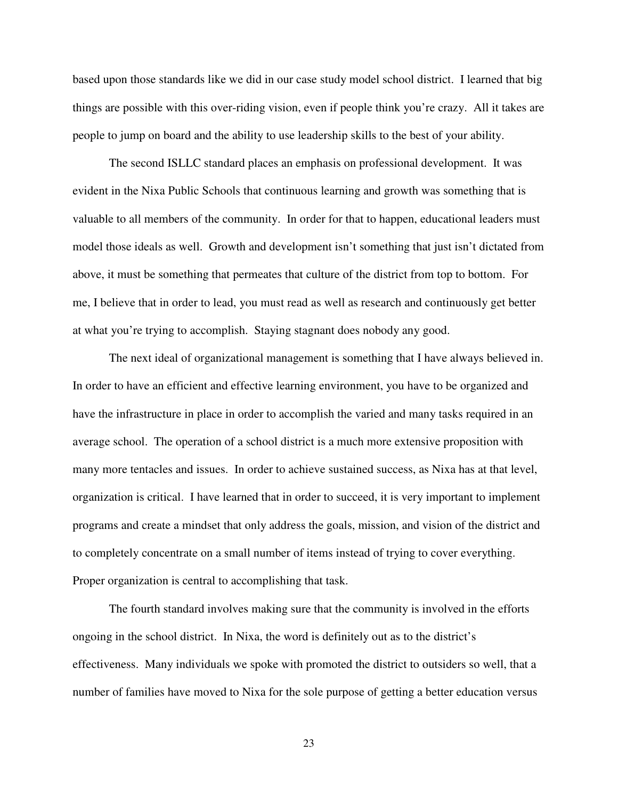based upon those standards like we did in our case study model school district. I learned that big things are possible with this over-riding vision, even if people think you're crazy. All it takes are people to jump on board and the ability to use leadership skills to the best of your ability.

 The second ISLLC standard places an emphasis on professional development. It was evident in the Nixa Public Schools that continuous learning and growth was something that is valuable to all members of the community. In order for that to happen, educational leaders must model those ideals as well. Growth and development isn't something that just isn't dictated from above, it must be something that permeates that culture of the district from top to bottom. For me, I believe that in order to lead, you must read as well as research and continuously get better at what you're trying to accomplish. Staying stagnant does nobody any good.

 The next ideal of organizational management is something that I have always believed in. In order to have an efficient and effective learning environment, you have to be organized and have the infrastructure in place in order to accomplish the varied and many tasks required in an average school. The operation of a school district is a much more extensive proposition with many more tentacles and issues. In order to achieve sustained success, as Nixa has at that level, organization is critical. I have learned that in order to succeed, it is very important to implement programs and create a mindset that only address the goals, mission, and vision of the district and to completely concentrate on a small number of items instead of trying to cover everything. Proper organization is central to accomplishing that task.

 The fourth standard involves making sure that the community is involved in the efforts ongoing in the school district. In Nixa, the word is definitely out as to the district's effectiveness. Many individuals we spoke with promoted the district to outsiders so well, that a number of families have moved to Nixa for the sole purpose of getting a better education versus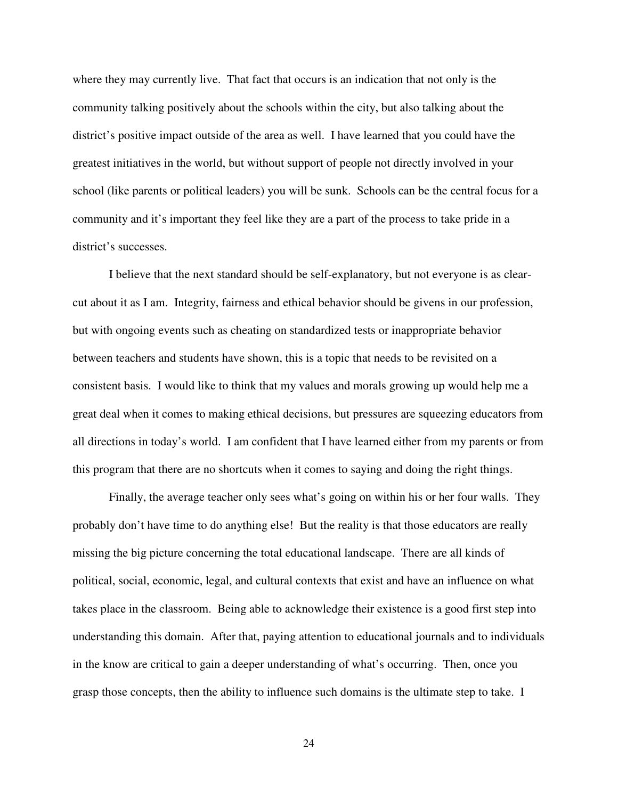where they may currently live. That fact that occurs is an indication that not only is the community talking positively about the schools within the city, but also talking about the district's positive impact outside of the area as well. I have learned that you could have the greatest initiatives in the world, but without support of people not directly involved in your school (like parents or political leaders) you will be sunk. Schools can be the central focus for a community and it's important they feel like they are a part of the process to take pride in a district's successes.

 I believe that the next standard should be self-explanatory, but not everyone is as clearcut about it as I am. Integrity, fairness and ethical behavior should be givens in our profession, but with ongoing events such as cheating on standardized tests or inappropriate behavior between teachers and students have shown, this is a topic that needs to be revisited on a consistent basis. I would like to think that my values and morals growing up would help me a great deal when it comes to making ethical decisions, but pressures are squeezing educators from all directions in today's world. I am confident that I have learned either from my parents or from this program that there are no shortcuts when it comes to saying and doing the right things.

 Finally, the average teacher only sees what's going on within his or her four walls. They probably don't have time to do anything else! But the reality is that those educators are really missing the big picture concerning the total educational landscape. There are all kinds of political, social, economic, legal, and cultural contexts that exist and have an influence on what takes place in the classroom. Being able to acknowledge their existence is a good first step into understanding this domain. After that, paying attention to educational journals and to individuals in the know are critical to gain a deeper understanding of what's occurring. Then, once you grasp those concepts, then the ability to influence such domains is the ultimate step to take. I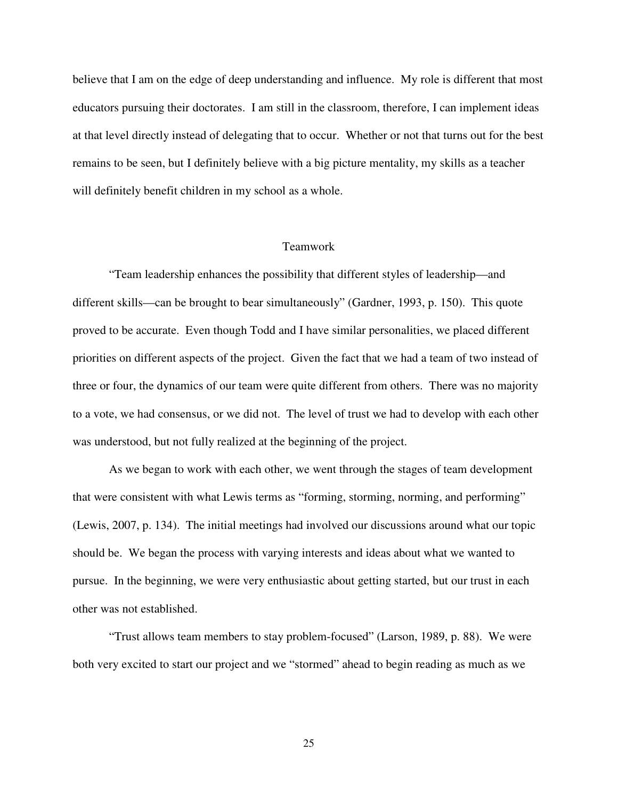believe that I am on the edge of deep understanding and influence. My role is different that most educators pursuing their doctorates. I am still in the classroom, therefore, I can implement ideas at that level directly instead of delegating that to occur. Whether or not that turns out for the best remains to be seen, but I definitely believe with a big picture mentality, my skills as a teacher will definitely benefit children in my school as a whole.

### Teamwork

 "Team leadership enhances the possibility that different styles of leadership—and different skills—can be brought to bear simultaneously" (Gardner, 1993, p. 150). This quote proved to be accurate. Even though Todd and I have similar personalities, we placed different priorities on different aspects of the project. Given the fact that we had a team of two instead of three or four, the dynamics of our team were quite different from others. There was no majority to a vote, we had consensus, or we did not. The level of trust we had to develop with each other was understood, but not fully realized at the beginning of the project.

As we began to work with each other, we went through the stages of team development that were consistent with what Lewis terms as "forming, storming, norming, and performing" (Lewis, 2007, p. 134). The initial meetings had involved our discussions around what our topic should be. We began the process with varying interests and ideas about what we wanted to pursue. In the beginning, we were very enthusiastic about getting started, but our trust in each other was not established.

"Trust allows team members to stay problem-focused" (Larson, 1989, p. 88). We were both very excited to start our project and we "stormed" ahead to begin reading as much as we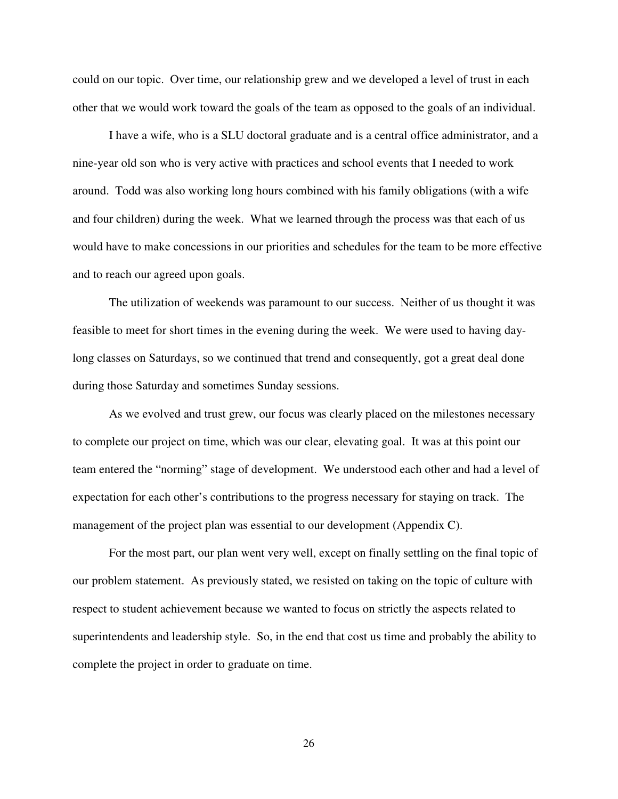could on our topic. Over time, our relationship grew and we developed a level of trust in each other that we would work toward the goals of the team as opposed to the goals of an individual.

I have a wife, who is a SLU doctoral graduate and is a central office administrator, and a nine-year old son who is very active with practices and school events that I needed to work around. Todd was also working long hours combined with his family obligations (with a wife and four children) during the week. What we learned through the process was that each of us would have to make concessions in our priorities and schedules for the team to be more effective and to reach our agreed upon goals.

The utilization of weekends was paramount to our success. Neither of us thought it was feasible to meet for short times in the evening during the week. We were used to having daylong classes on Saturdays, so we continued that trend and consequently, got a great deal done during those Saturday and sometimes Sunday sessions.

As we evolved and trust grew, our focus was clearly placed on the milestones necessary to complete our project on time, which was our clear, elevating goal. It was at this point our team entered the "norming" stage of development. We understood each other and had a level of expectation for each other's contributions to the progress necessary for staying on track. The management of the project plan was essential to our development (Appendix C).

For the most part, our plan went very well, except on finally settling on the final topic of our problem statement. As previously stated, we resisted on taking on the topic of culture with respect to student achievement because we wanted to focus on strictly the aspects related to superintendents and leadership style. So, in the end that cost us time and probably the ability to complete the project in order to graduate on time.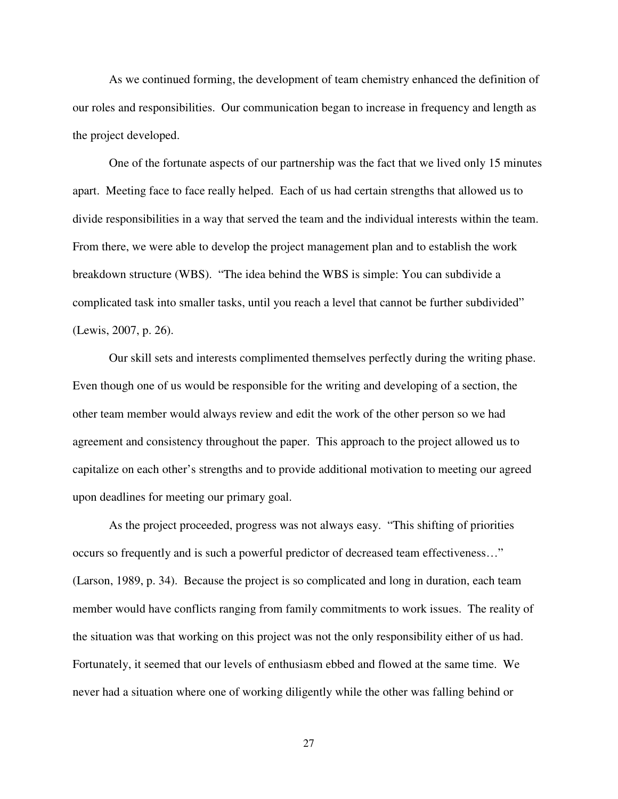As we continued forming, the development of team chemistry enhanced the definition of our roles and responsibilities. Our communication began to increase in frequency and length as the project developed.

One of the fortunate aspects of our partnership was the fact that we lived only 15 minutes apart. Meeting face to face really helped. Each of us had certain strengths that allowed us to divide responsibilities in a way that served the team and the individual interests within the team. From there, we were able to develop the project management plan and to establish the work breakdown structure (WBS). "The idea behind the WBS is simple: You can subdivide a complicated task into smaller tasks, until you reach a level that cannot be further subdivided" (Lewis, 2007, p. 26).

Our skill sets and interests complimented themselves perfectly during the writing phase. Even though one of us would be responsible for the writing and developing of a section, the other team member would always review and edit the work of the other person so we had agreement and consistency throughout the paper. This approach to the project allowed us to capitalize on each other's strengths and to provide additional motivation to meeting our agreed upon deadlines for meeting our primary goal.

 As the project proceeded, progress was not always easy. "This shifting of priorities occurs so frequently and is such a powerful predictor of decreased team effectiveness…" (Larson, 1989, p. 34). Because the project is so complicated and long in duration, each team member would have conflicts ranging from family commitments to work issues. The reality of the situation was that working on this project was not the only responsibility either of us had. Fortunately, it seemed that our levels of enthusiasm ebbed and flowed at the same time. We never had a situation where one of working diligently while the other was falling behind or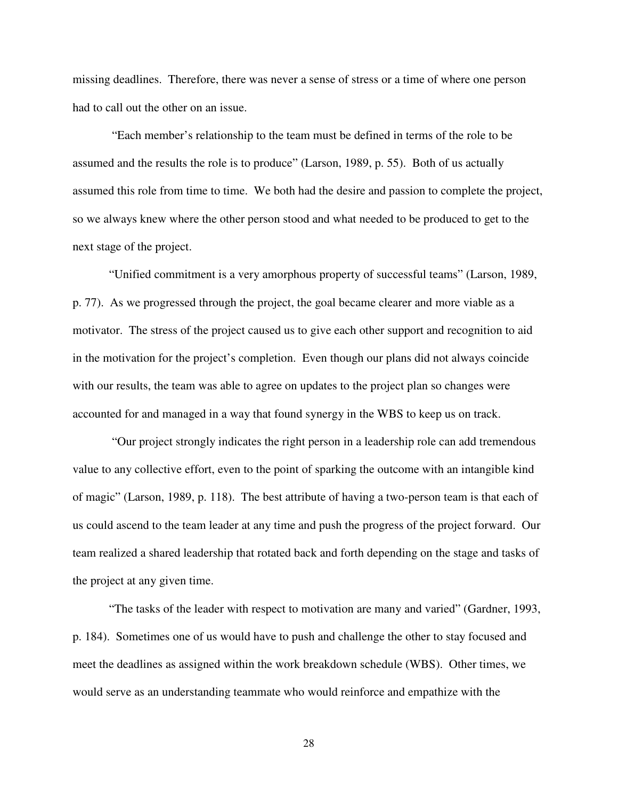missing deadlines. Therefore, there was never a sense of stress or a time of where one person had to call out the other on an issue.

 "Each member's relationship to the team must be defined in terms of the role to be assumed and the results the role is to produce" (Larson, 1989, p. 55). Both of us actually assumed this role from time to time. We both had the desire and passion to complete the project, so we always knew where the other person stood and what needed to be produced to get to the next stage of the project.

"Unified commitment is a very amorphous property of successful teams" (Larson, 1989, p. 77). As we progressed through the project, the goal became clearer and more viable as a motivator. The stress of the project caused us to give each other support and recognition to aid in the motivation for the project's completion. Even though our plans did not always coincide with our results, the team was able to agree on updates to the project plan so changes were accounted for and managed in a way that found synergy in the WBS to keep us on track.

 "Our project strongly indicates the right person in a leadership role can add tremendous value to any collective effort, even to the point of sparking the outcome with an intangible kind of magic" (Larson, 1989, p. 118). The best attribute of having a two-person team is that each of us could ascend to the team leader at any time and push the progress of the project forward. Our team realized a shared leadership that rotated back and forth depending on the stage and tasks of the project at any given time.

"The tasks of the leader with respect to motivation are many and varied" (Gardner, 1993, p. 184). Sometimes one of us would have to push and challenge the other to stay focused and meet the deadlines as assigned within the work breakdown schedule (WBS). Other times, we would serve as an understanding teammate who would reinforce and empathize with the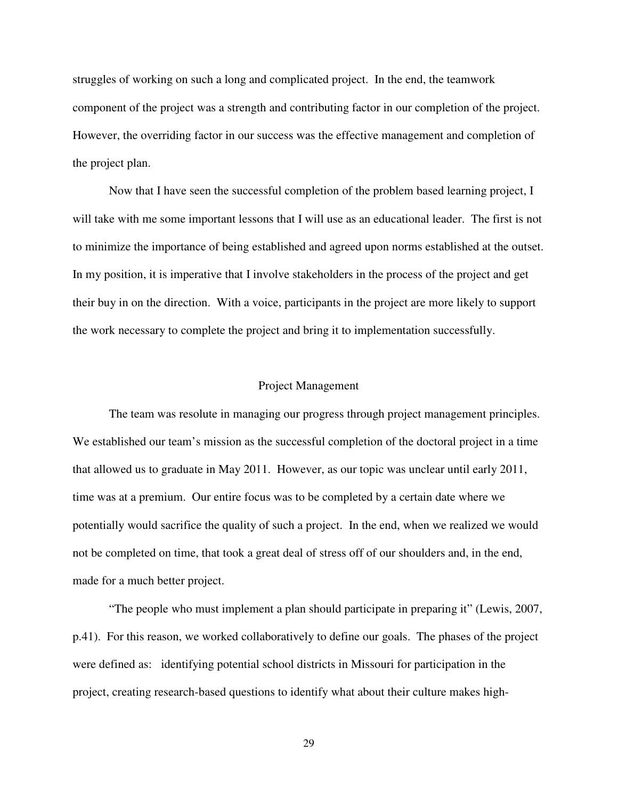struggles of working on such a long and complicated project. In the end, the teamwork component of the project was a strength and contributing factor in our completion of the project. However, the overriding factor in our success was the effective management and completion of the project plan.

Now that I have seen the successful completion of the problem based learning project, I will take with me some important lessons that I will use as an educational leader. The first is not to minimize the importance of being established and agreed upon norms established at the outset. In my position, it is imperative that I involve stakeholders in the process of the project and get their buy in on the direction. With a voice, participants in the project are more likely to support the work necessary to complete the project and bring it to implementation successfully.

#### Project Management

The team was resolute in managing our progress through project management principles. We established our team's mission as the successful completion of the doctoral project in a time that allowed us to graduate in May 2011. However, as our topic was unclear until early 2011, time was at a premium. Our entire focus was to be completed by a certain date where we potentially would sacrifice the quality of such a project. In the end, when we realized we would not be completed on time, that took a great deal of stress off of our shoulders and, in the end, made for a much better project.

"The people who must implement a plan should participate in preparing it" (Lewis, 2007, p.41). For this reason, we worked collaboratively to define our goals. The phases of the project were defined as: identifying potential school districts in Missouri for participation in the project, creating research-based questions to identify what about their culture makes high-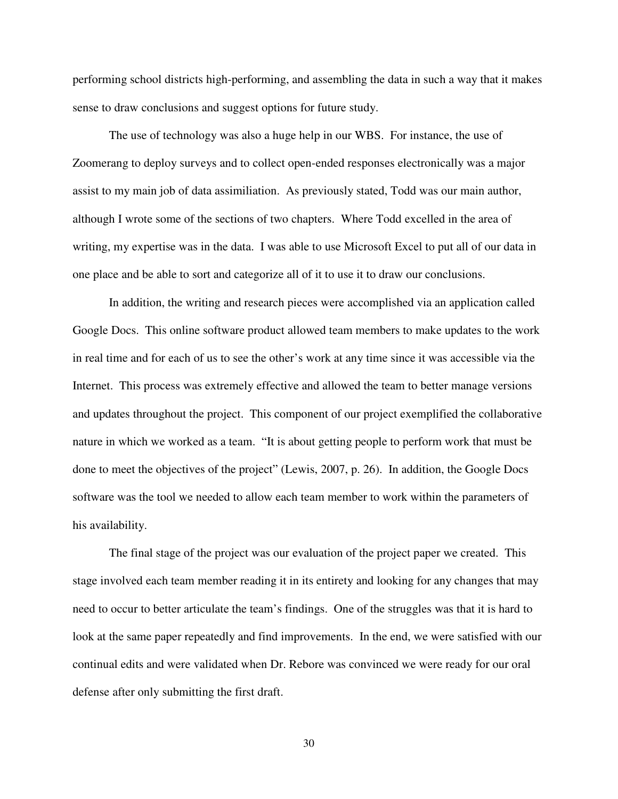performing school districts high-performing, and assembling the data in such a way that it makes sense to draw conclusions and suggest options for future study.

The use of technology was also a huge help in our WBS. For instance, the use of Zoomerang to deploy surveys and to collect open-ended responses electronically was a major assist to my main job of data assimiliation. As previously stated, Todd was our main author, although I wrote some of the sections of two chapters. Where Todd excelled in the area of writing, my expertise was in the data. I was able to use Microsoft Excel to put all of our data in one place and be able to sort and categorize all of it to use it to draw our conclusions.

In addition, the writing and research pieces were accomplished via an application called Google Docs. This online software product allowed team members to make updates to the work in real time and for each of us to see the other's work at any time since it was accessible via the Internet. This process was extremely effective and allowed the team to better manage versions and updates throughout the project. This component of our project exemplified the collaborative nature in which we worked as a team. "It is about getting people to perform work that must be done to meet the objectives of the project" (Lewis, 2007, p. 26). In addition, the Google Docs software was the tool we needed to allow each team member to work within the parameters of his availability.

The final stage of the project was our evaluation of the project paper we created. This stage involved each team member reading it in its entirety and looking for any changes that may need to occur to better articulate the team's findings. One of the struggles was that it is hard to look at the same paper repeatedly and find improvements. In the end, we were satisfied with our continual edits and were validated when Dr. Rebore was convinced we were ready for our oral defense after only submitting the first draft.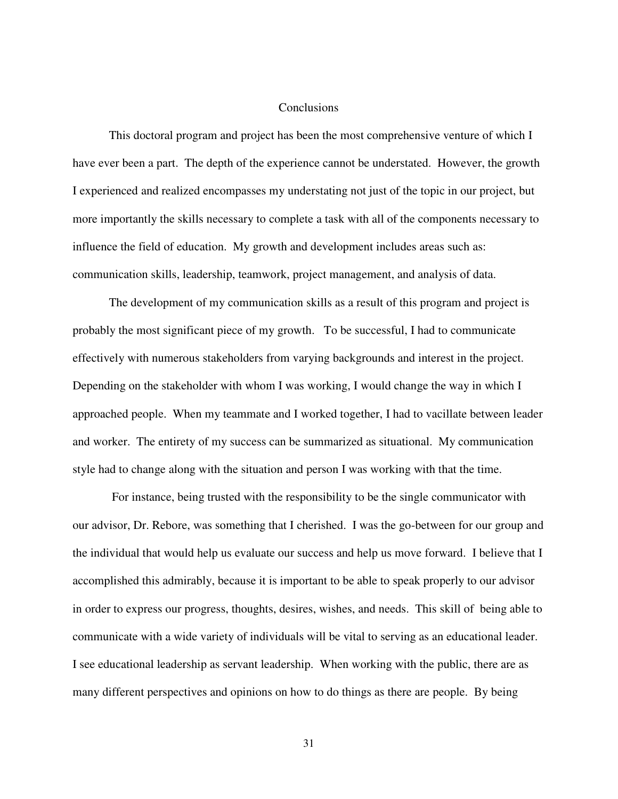#### **Conclusions**

This doctoral program and project has been the most comprehensive venture of which I have ever been a part. The depth of the experience cannot be understated. However, the growth I experienced and realized encompasses my understating not just of the topic in our project, but more importantly the skills necessary to complete a task with all of the components necessary to influence the field of education. My growth and development includes areas such as: communication skills, leadership, teamwork, project management, and analysis of data.

The development of my communication skills as a result of this program and project is probably the most significant piece of my growth. To be successful, I had to communicate effectively with numerous stakeholders from varying backgrounds and interest in the project. Depending on the stakeholder with whom I was working, I would change the way in which I approached people. When my teammate and I worked together, I had to vacillate between leader and worker. The entirety of my success can be summarized as situational. My communication style had to change along with the situation and person I was working with that the time.

 For instance, being trusted with the responsibility to be the single communicator with our advisor, Dr. Rebore, was something that I cherished. I was the go-between for our group and the individual that would help us evaluate our success and help us move forward. I believe that I accomplished this admirably, because it is important to be able to speak properly to our advisor in order to express our progress, thoughts, desires, wishes, and needs. This skill of being able to communicate with a wide variety of individuals will be vital to serving as an educational leader. I see educational leadership as servant leadership. When working with the public, there are as many different perspectives and opinions on how to do things as there are people. By being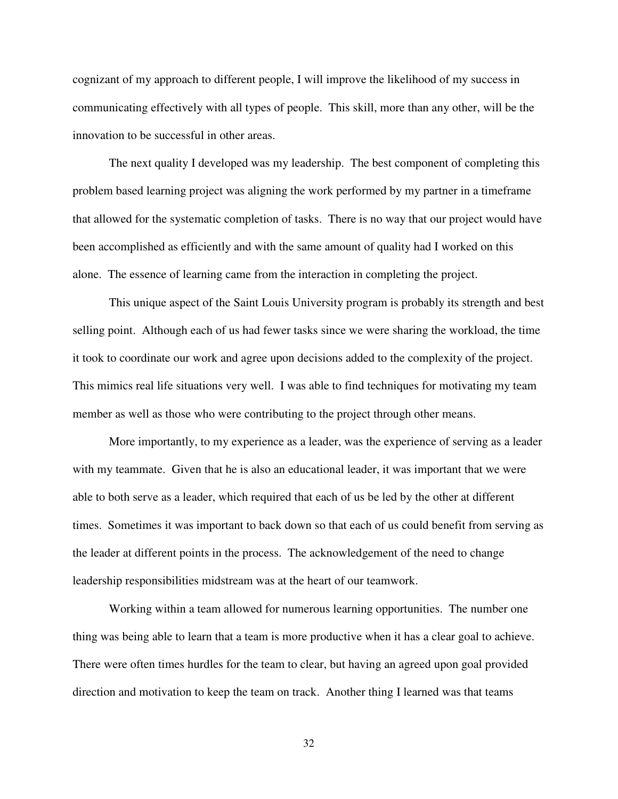cognizant of my approach to different people, I will improve the likelihood of my success in communicating effectively with all types of people. This skill, more than any other, will be the innovation to be successful in other areas.

 The next quality I developed was my leadership. The best component of completing this problem based learning project was aligning the work performed by my partner in a timeframe that allowed for the systematic completion of tasks. There is no way that our project would have been accomplished as efficiently and with the same amount of quality had I worked on this alone. The essence of learning came from the interaction in completing the project.

This unique aspect of the Saint Louis University program is probably its strength and best selling point. Although each of us had fewer tasks since we were sharing the workload, the time it took to coordinate our work and agree upon decisions added to the complexity of the project. This mimics real life situations very well. I was able to find techniques for motivating my team member as well as those who were contributing to the project through other means.

More importantly, to my experience as a leader, was the experience of serving as a leader with my teammate. Given that he is also an educational leader, it was important that we were able to both serve as a leader, which required that each of us be led by the other at different times. Sometimes it was important to back down so that each of us could benefit from serving as the leader at different points in the process. The acknowledgement of the need to change leadership responsibilities midstream was at the heart of our teamwork.

 Working within a team allowed for numerous learning opportunities. The number one thing was being able to learn that a team is more productive when it has a clear goal to achieve. There were often times hurdles for the team to clear, but having an agreed upon goal provided direction and motivation to keep the team on track. Another thing I learned was that teams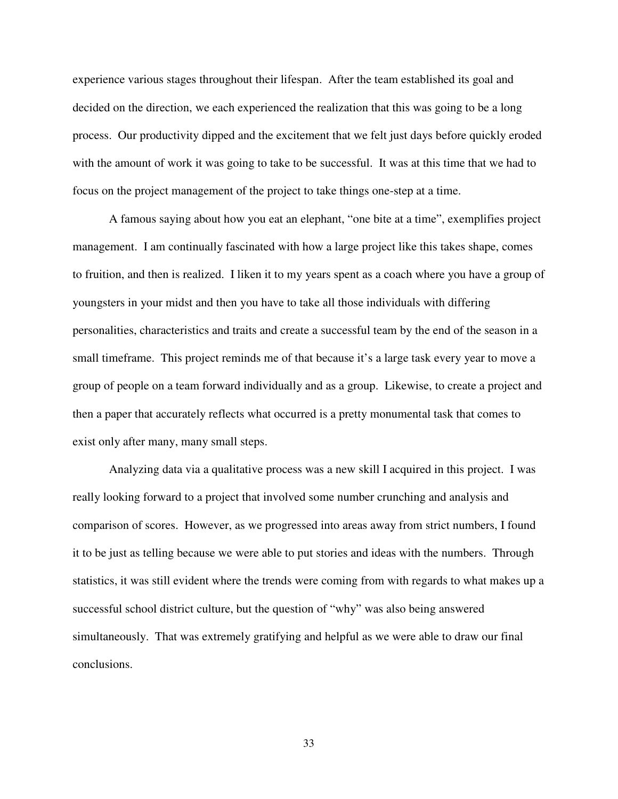experience various stages throughout their lifespan. After the team established its goal and decided on the direction, we each experienced the realization that this was going to be a long process. Our productivity dipped and the excitement that we felt just days before quickly eroded with the amount of work it was going to take to be successful. It was at this time that we had to focus on the project management of the project to take things one-step at a time.

 A famous saying about how you eat an elephant, "one bite at a time", exemplifies project management. I am continually fascinated with how a large project like this takes shape, comes to fruition, and then is realized. I liken it to my years spent as a coach where you have a group of youngsters in your midst and then you have to take all those individuals with differing personalities, characteristics and traits and create a successful team by the end of the season in a small timeframe. This project reminds me of that because it's a large task every year to move a group of people on a team forward individually and as a group. Likewise, to create a project and then a paper that accurately reflects what occurred is a pretty monumental task that comes to exist only after many, many small steps.

 Analyzing data via a qualitative process was a new skill I acquired in this project. I was really looking forward to a project that involved some number crunching and analysis and comparison of scores. However, as we progressed into areas away from strict numbers, I found it to be just as telling because we were able to put stories and ideas with the numbers. Through statistics, it was still evident where the trends were coming from with regards to what makes up a successful school district culture, but the question of "why" was also being answered simultaneously. That was extremely gratifying and helpful as we were able to draw our final conclusions.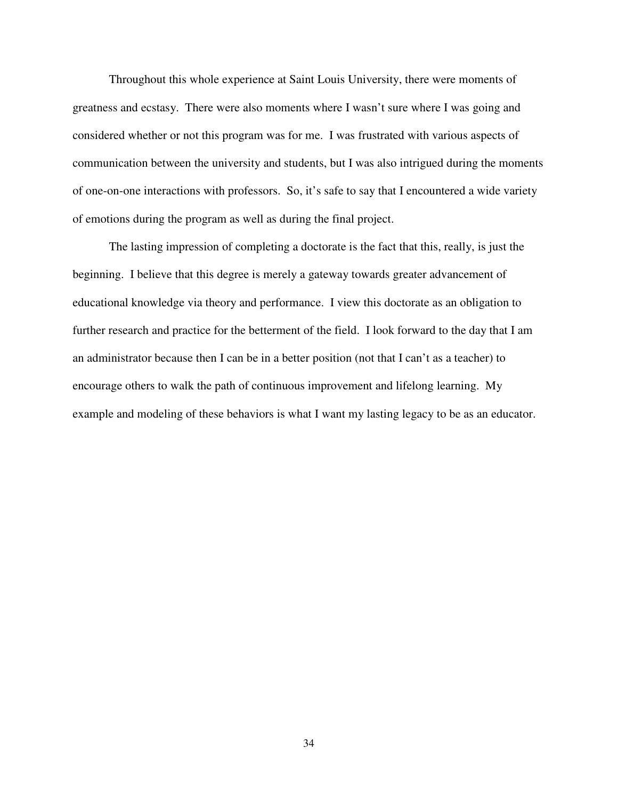Throughout this whole experience at Saint Louis University, there were moments of greatness and ecstasy. There were also moments where I wasn't sure where I was going and considered whether or not this program was for me. I was frustrated with various aspects of communication between the university and students, but I was also intrigued during the moments of one-on-one interactions with professors. So, it's safe to say that I encountered a wide variety of emotions during the program as well as during the final project.

 The lasting impression of completing a doctorate is the fact that this, really, is just the beginning. I believe that this degree is merely a gateway towards greater advancement of educational knowledge via theory and performance. I view this doctorate as an obligation to further research and practice for the betterment of the field. I look forward to the day that I am an administrator because then I can be in a better position (not that I can't as a teacher) to encourage others to walk the path of continuous improvement and lifelong learning. My example and modeling of these behaviors is what I want my lasting legacy to be as an educator.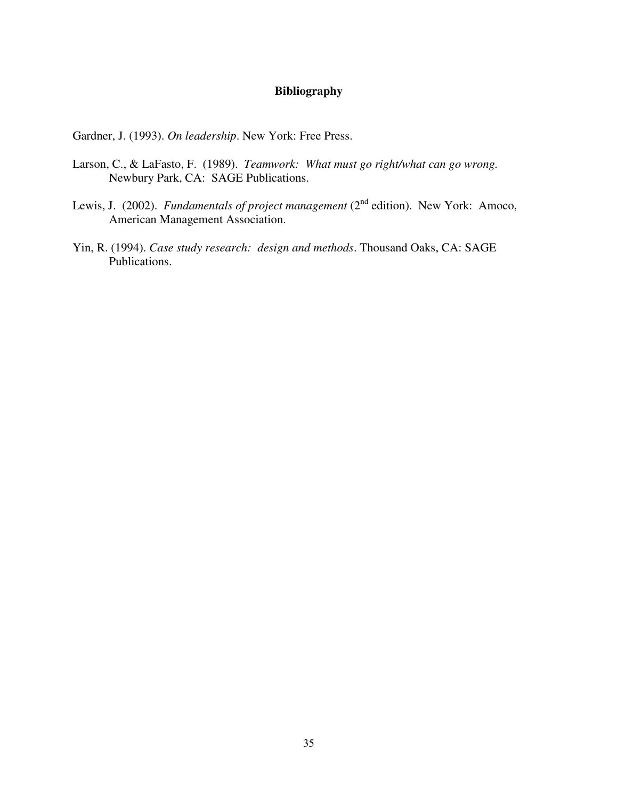# **Bibliography**

Gardner, J. (1993). *On leadership*. New York: Free Press.

- Larson, C., & LaFasto, F. (1989). *Teamwork: What must go right/what can go wrong.* Newbury Park, CA: SAGE Publications.
- Lewis, J. (2002). *Fundamentals of project management* (2<sup>nd</sup> edition). New York: Amoco, American Management Association.
- Yin, R. (1994). *Case study research: design and methods*. Thousand Oaks, CA: SAGE Publications.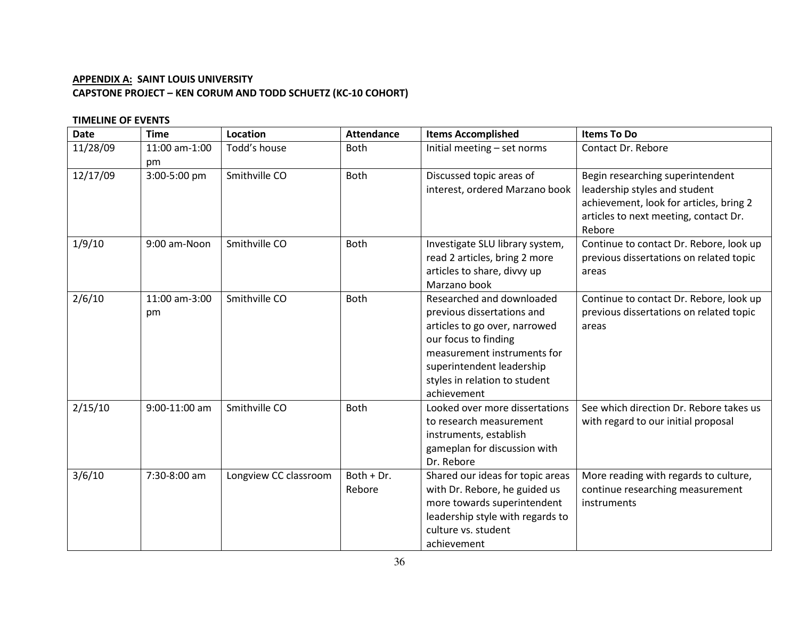# APPENDIX A: SAINT LOUIS UNIVERSITY CAPSTONE PROJECT – KEN CORUM AND TODD SCHUETZ (KC-10 COHORT)

# TIMELINE OF EVENTS

| <b>Date</b> | <b>Time</b>         | Location              | <b>Attendance</b>    | <b>Items Accomplished</b>                                                                                                                                                                                                    | <b>Items To Do</b>                                                                                                                                              |
|-------------|---------------------|-----------------------|----------------------|------------------------------------------------------------------------------------------------------------------------------------------------------------------------------------------------------------------------------|-----------------------------------------------------------------------------------------------------------------------------------------------------------------|
| 11/28/09    | 11:00 am-1:00<br>pm | Todd's house          | <b>Both</b>          | Initial meeting - set norms                                                                                                                                                                                                  | Contact Dr. Rebore                                                                                                                                              |
| 12/17/09    | 3:00-5:00 pm        | Smithville CO         | <b>Both</b>          | Discussed topic areas of<br>interest, ordered Marzano book                                                                                                                                                                   | Begin researching superintendent<br>leadership styles and student<br>achievement, look for articles, bring 2<br>articles to next meeting, contact Dr.<br>Rebore |
| 1/9/10      | 9:00 am-Noon        | Smithville CO         | <b>Both</b>          | Investigate SLU library system,<br>read 2 articles, bring 2 more<br>articles to share, divvy up<br>Marzano book                                                                                                              | Continue to contact Dr. Rebore, look up<br>previous dissertations on related topic<br>areas                                                                     |
| 2/6/10      | 11:00 am-3:00<br>pm | Smithville CO         | <b>Both</b>          | Researched and downloaded<br>previous dissertations and<br>articles to go over, narrowed<br>our focus to finding<br>measurement instruments for<br>superintendent leadership<br>styles in relation to student<br>achievement | Continue to contact Dr. Rebore, look up<br>previous dissertations on related topic<br>areas                                                                     |
| 2/15/10     | 9:00-11:00 am       | Smithville CO         | <b>Both</b>          | Looked over more dissertations<br>to research measurement<br>instruments, establish<br>gameplan for discussion with<br>Dr. Rebore                                                                                            | See which direction Dr. Rebore takes us<br>with regard to our initial proposal                                                                                  |
| 3/6/10      | 7:30-8:00 am        | Longview CC classroom | Both + Dr.<br>Rebore | Shared our ideas for topic areas<br>with Dr. Rebore, he guided us<br>more towards superintendent<br>leadership style with regards to<br>culture vs. student<br>achievement                                                   | More reading with regards to culture,<br>continue researching measurement<br>instruments                                                                        |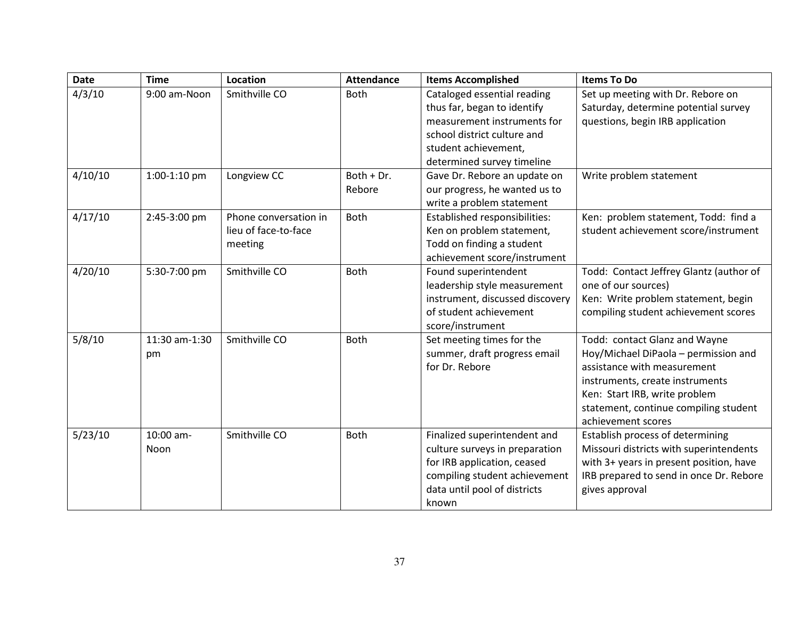| <b>Date</b> | <b>Time</b>   | Location              | <b>Attendance</b> | <b>Items Accomplished</b>       | <b>Items To Do</b>                      |
|-------------|---------------|-----------------------|-------------------|---------------------------------|-----------------------------------------|
| 4/3/10      | 9:00 am-Noon  | Smithville CO         | <b>Both</b>       | Cataloged essential reading     | Set up meeting with Dr. Rebore on       |
|             |               |                       |                   | thus far, began to identify     | Saturday, determine potential survey    |
|             |               |                       |                   | measurement instruments for     | questions, begin IRB application        |
|             |               |                       |                   | school district culture and     |                                         |
|             |               |                       |                   | student achievement,            |                                         |
|             |               |                       |                   | determined survey timeline      |                                         |
| 4/10/10     | 1:00-1:10 pm  | Longview CC           | Both + Dr.        | Gave Dr. Rebore an update on    | Write problem statement                 |
|             |               |                       | Rebore            | our progress, he wanted us to   |                                         |
|             |               |                       |                   | write a problem statement       |                                         |
| 4/17/10     | 2:45-3:00 pm  | Phone conversation in | <b>Both</b>       | Established responsibilities:   | Ken: problem statement, Todd: find a    |
|             |               | lieu of face-to-face  |                   | Ken on problem statement,       | student achievement score/instrument    |
|             |               | meeting               |                   | Todd on finding a student       |                                         |
|             |               |                       |                   | achievement score/instrument    |                                         |
| 4/20/10     | 5:30-7:00 pm  | Smithville CO         | <b>Both</b>       | Found superintendent            | Todd: Contact Jeffrey Glantz (author of |
|             |               |                       |                   | leadership style measurement    | one of our sources)                     |
|             |               |                       |                   | instrument, discussed discovery | Ken: Write problem statement, begin     |
|             |               |                       |                   | of student achievement          | compiling student achievement scores    |
|             |               |                       |                   | score/instrument                |                                         |
| 5/8/10      | 11:30 am-1:30 | Smithville CO         | <b>Both</b>       | Set meeting times for the       | Todd: contact Glanz and Wayne           |
|             | pm            |                       |                   | summer, draft progress email    | Hoy/Michael DiPaola - permission and    |
|             |               |                       |                   | for Dr. Rebore                  | assistance with measurement             |
|             |               |                       |                   |                                 | instruments, create instruments         |
|             |               |                       |                   |                                 | Ken: Start IRB, write problem           |
|             |               |                       |                   |                                 | statement, continue compiling student   |
|             |               |                       |                   |                                 | achievement scores                      |
| 5/23/10     | 10:00 am-     | Smithville CO         | <b>Both</b>       | Finalized superintendent and    | Establish process of determining        |
|             | Noon          |                       |                   | culture surveys in preparation  | Missouri districts with superintendents |
|             |               |                       |                   | for IRB application, ceased     | with 3+ years in present position, have |
|             |               |                       |                   | compiling student achievement   | IRB prepared to send in once Dr. Rebore |
|             |               |                       |                   | data until pool of districts    | gives approval                          |
|             |               |                       |                   | known                           |                                         |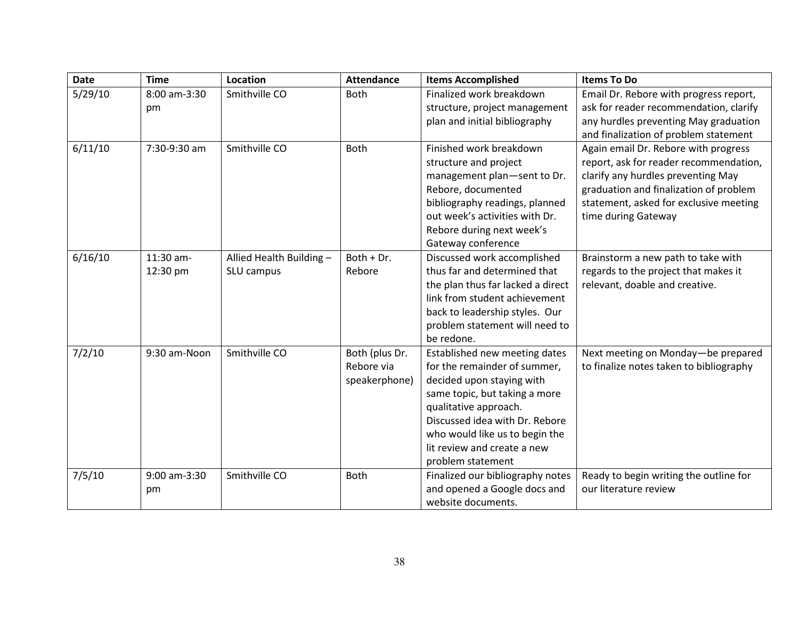| <b>Date</b> | <b>Time</b>  | Location                 | <b>Attendance</b> | <b>Items Accomplished</b>         | <b>Items To Do</b>                      |
|-------------|--------------|--------------------------|-------------------|-----------------------------------|-----------------------------------------|
| 5/29/10     | 8:00 am-3:30 | Smithville CO            | Both              | Finalized work breakdown          | Email Dr. Rebore with progress report,  |
|             | pm           |                          |                   | structure, project management     | ask for reader recommendation, clarify  |
|             |              |                          |                   | plan and initial bibliography     | any hurdles preventing May graduation   |
|             |              |                          |                   |                                   | and finalization of problem statement   |
| 6/11/10     | 7:30-9:30 am | Smithville CO            | Both              | Finished work breakdown           | Again email Dr. Rebore with progress    |
|             |              |                          |                   | structure and project             | report, ask for reader recommendation,  |
|             |              |                          |                   | management plan-sent to Dr.       | clarify any hurdles preventing May      |
|             |              |                          |                   | Rebore, documented                | graduation and finalization of problem  |
|             |              |                          |                   | bibliography readings, planned    | statement, asked for exclusive meeting  |
|             |              |                          |                   | out week's activities with Dr.    | time during Gateway                     |
|             |              |                          |                   | Rebore during next week's         |                                         |
|             |              |                          |                   | Gateway conference                |                                         |
| 6/16/10     | 11:30 am-    | Allied Health Building - | Both + Dr.        | Discussed work accomplished       | Brainstorm a new path to take with      |
|             | 12:30 pm     | SLU campus               | Rebore            | thus far and determined that      | regards to the project that makes it    |
|             |              |                          |                   | the plan thus far lacked a direct | relevant, doable and creative.          |
|             |              |                          |                   | link from student achievement     |                                         |
|             |              |                          |                   | back to leadership styles. Our    |                                         |
|             |              |                          |                   | problem statement will need to    |                                         |
|             |              |                          |                   | be redone.                        |                                         |
| 7/2/10      | 9:30 am-Noon | Smithville CO            | Both (plus Dr.    | Established new meeting dates     | Next meeting on Monday-be prepared      |
|             |              |                          | Rebore via        | for the remainder of summer,      | to finalize notes taken to bibliography |
|             |              |                          | speakerphone)     | decided upon staying with         |                                         |
|             |              |                          |                   | same topic, but taking a more     |                                         |
|             |              |                          |                   | qualitative approach.             |                                         |
|             |              |                          |                   | Discussed idea with Dr. Rebore    |                                         |
|             |              |                          |                   | who would like us to begin the    |                                         |
|             |              |                          |                   | lit review and create a new       |                                         |
|             |              |                          |                   | problem statement                 |                                         |
| 7/5/10      | 9:00 am-3:30 | Smithville CO            | Both              | Finalized our bibliography notes  | Ready to begin writing the outline for  |
|             | pm           |                          |                   | and opened a Google docs and      | our literature review                   |
|             |              |                          |                   | website documents.                |                                         |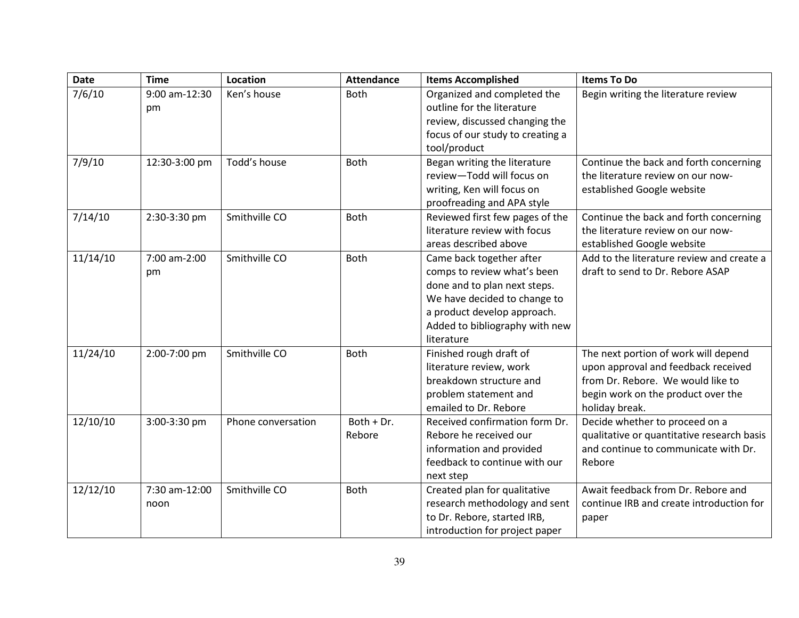| <b>Date</b> | <b>Time</b>         | Location           | <b>Attendance</b> | <b>Items Accomplished</b>                                 | <b>Items To Do</b>                         |  |  |
|-------------|---------------------|--------------------|-------------------|-----------------------------------------------------------|--------------------------------------------|--|--|
| 7/6/10      | 9:00 am-12:30<br>pm | Ken's house        | <b>Both</b>       | Organized and completed the<br>outline for the literature | Begin writing the literature review        |  |  |
|             |                     |                    |                   | review, discussed changing the                            |                                            |  |  |
|             |                     |                    |                   | focus of our study to creating a<br>tool/product          |                                            |  |  |
| 7/9/10      | 12:30-3:00 pm       | Todd's house       | <b>Both</b>       | Began writing the literature                              | Continue the back and forth concerning     |  |  |
|             |                     |                    |                   | review-Todd will focus on                                 | the literature review on our now-          |  |  |
|             |                     |                    |                   | writing, Ken will focus on                                | established Google website                 |  |  |
|             |                     |                    |                   | proofreading and APA style                                |                                            |  |  |
| 7/14/10     | 2:30-3:30 pm        | Smithville CO      | <b>Both</b>       | Reviewed first few pages of the                           | Continue the back and forth concerning     |  |  |
|             |                     |                    |                   | literature review with focus                              | the literature review on our now-          |  |  |
|             |                     |                    |                   | areas described above                                     | established Google website                 |  |  |
| 11/14/10    | 7:00 am-2:00        | Smithville CO      | <b>Both</b>       | Came back together after                                  | Add to the literature review and create a  |  |  |
|             | pm                  |                    |                   | comps to review what's been                               | draft to send to Dr. Rebore ASAP           |  |  |
|             |                     |                    |                   | done and to plan next steps.                              |                                            |  |  |
|             |                     |                    |                   | We have decided to change to                              |                                            |  |  |
|             |                     |                    |                   | a product develop approach.                               |                                            |  |  |
|             |                     |                    |                   | Added to bibliography with new                            |                                            |  |  |
|             |                     |                    |                   | literature                                                |                                            |  |  |
| 11/24/10    | 2:00-7:00 pm        | Smithville CO      | <b>Both</b>       | Finished rough draft of                                   | The next portion of work will depend       |  |  |
|             |                     |                    |                   | literature review, work                                   | upon approval and feedback received        |  |  |
|             |                     |                    |                   | breakdown structure and                                   | from Dr. Rebore. We would like to          |  |  |
|             |                     |                    |                   | problem statement and                                     | begin work on the product over the         |  |  |
|             |                     |                    |                   | emailed to Dr. Rebore                                     | holiday break.                             |  |  |
| 12/10/10    | 3:00-3:30 pm        | Phone conversation | Both + Dr.        | Received confirmation form Dr.                            | Decide whether to proceed on a             |  |  |
|             |                     |                    | Rebore            | Rebore he received our                                    | qualitative or quantitative research basis |  |  |
|             |                     |                    |                   | information and provided                                  | and continue to communicate with Dr.       |  |  |
|             |                     |                    |                   | feedback to continue with our                             | Rebore                                     |  |  |
|             |                     |                    |                   | next step                                                 |                                            |  |  |
| 12/12/10    | 7:30 am-12:00       | Smithville CO      | <b>Both</b>       | Created plan for qualitative                              | Await feedback from Dr. Rebore and         |  |  |
|             | noon                |                    |                   | research methodology and sent                             | continue IRB and create introduction for   |  |  |
|             |                     |                    |                   | to Dr. Rebore, started IRB,                               | paper                                      |  |  |
|             |                     |                    |                   | introduction for project paper                            |                                            |  |  |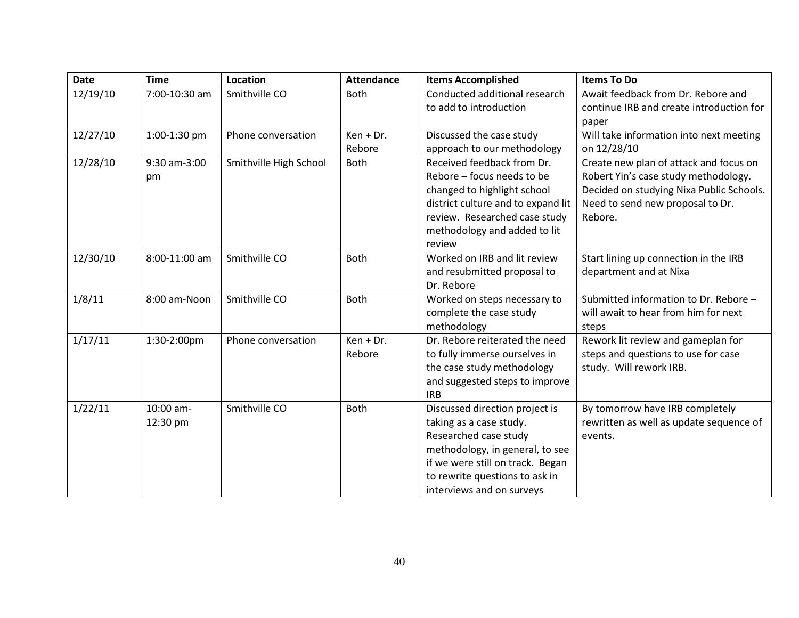| <b>Date</b> | <b>Time</b>   | <b>Location</b>        | <b>Attendance</b> | <b>Items Accomplished</b>          | <b>Items To Do</b>                                |
|-------------|---------------|------------------------|-------------------|------------------------------------|---------------------------------------------------|
| 12/19/10    | 7:00-10:30 am | Smithville CO          | Both              | Conducted additional research      | Await feedback from Dr. Rebore and                |
|             |               |                        |                   | to add to introduction             | continue IRB and create introduction for<br>paper |
| 12/27/10    | 1:00-1:30 pm  | Phone conversation     | $Ken + Dr.$       | Discussed the case study           | Will take information into next meeting           |
|             |               |                        | Rebore            | approach to our methodology        | on 12/28/10                                       |
| 12/28/10    | 9:30 am-3:00  | Smithville High School | <b>Both</b>       | Received feedback from Dr.         | Create new plan of attack and focus on            |
|             | pm            |                        |                   | Rebore - focus needs to be         | Robert Yin's case study methodology.              |
|             |               |                        |                   | changed to highlight school        | Decided on studying Nixa Public Schools.          |
|             |               |                        |                   | district culture and to expand lit | Need to send new proposal to Dr.                  |
|             |               |                        |                   | review. Researched case study      | Rebore.                                           |
|             |               |                        |                   | methodology and added to lit       |                                                   |
|             |               |                        |                   | review                             |                                                   |
| 12/30/10    | 8:00-11:00 am | Smithville CO          | Both              | Worked on IRB and lit review       | Start lining up connection in the IRB             |
|             |               |                        |                   | and resubmitted proposal to        | department and at Nixa                            |
|             |               |                        |                   | Dr. Rebore                         |                                                   |
| 1/8/11      | 8:00 am-Noon  | Smithville CO          | <b>Both</b>       | Worked on steps necessary to       | Submitted information to Dr. Rebore -             |
|             |               |                        |                   | complete the case study            | will await to hear from him for next              |
|             |               |                        |                   | methodology                        | steps                                             |
| 1/17/11     | 1:30-2:00pm   | Phone conversation     | Ken + Dr.         | Dr. Rebore reiterated the need     | Rework lit review and gameplan for                |
|             |               |                        | Rebore            | to fully immerse ourselves in      | steps and questions to use for case               |
|             |               |                        |                   | the case study methodology         | study. Will rework IRB.                           |
|             |               |                        |                   | and suggested steps to improve     |                                                   |
|             |               |                        |                   | <b>IRB</b>                         |                                                   |
| 1/22/11     | 10:00 am-     | Smithville CO          | <b>Both</b>       | Discussed direction project is     | By tomorrow have IRB completely                   |
|             | 12:30 pm      |                        |                   | taking as a case study.            | rewritten as well as update sequence of           |
|             |               |                        |                   | Researched case study              | events.                                           |
|             |               |                        |                   | methodology, in general, to see    |                                                   |
|             |               |                        |                   | if we were still on track. Began   |                                                   |
|             |               |                        |                   | to rewrite questions to ask in     |                                                   |
|             |               |                        |                   | interviews and on surveys          |                                                   |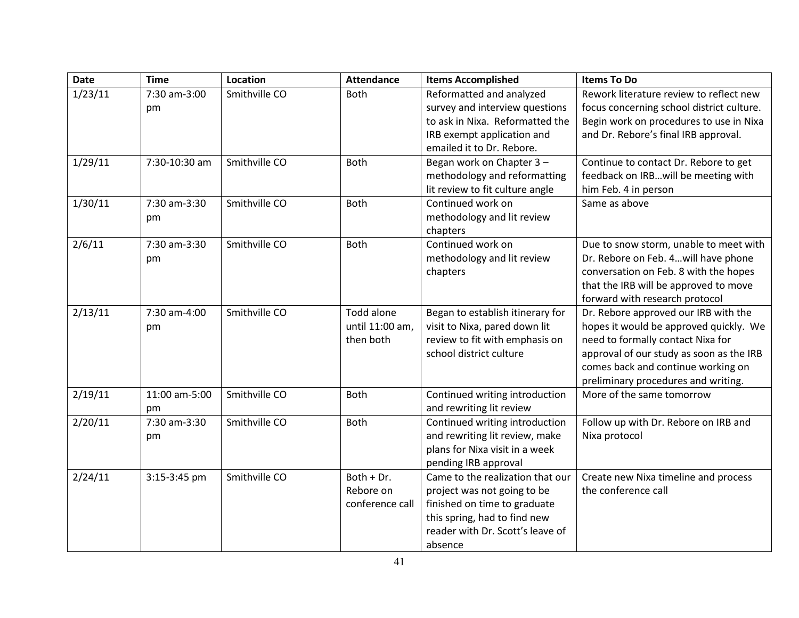| <b>Date</b> | <b>Time</b>   | Location      | <b>Attendance</b> | <b>Items Accomplished</b>        | <b>Items To Do</b>                        |  |  |
|-------------|---------------|---------------|-------------------|----------------------------------|-------------------------------------------|--|--|
| 1/23/11     | 7:30 am-3:00  | Smithville CO | <b>Both</b>       | Reformatted and analyzed         | Rework literature review to reflect new   |  |  |
|             | pm            |               |                   | survey and interview questions   | focus concerning school district culture. |  |  |
|             |               |               |                   | to ask in Nixa. Reformatted the  | Begin work on procedures to use in Nixa   |  |  |
|             |               |               |                   | IRB exempt application and       | and Dr. Rebore's final IRB approval.      |  |  |
|             |               |               |                   | emailed it to Dr. Rebore.        |                                           |  |  |
| 1/29/11     | 7:30-10:30 am | Smithville CO | Both              | Began work on Chapter 3-         | Continue to contact Dr. Rebore to get     |  |  |
|             |               |               |                   | methodology and reformatting     | feedback on IRBwill be meeting with       |  |  |
|             |               |               |                   | lit review to fit culture angle  | him Feb. 4 in person                      |  |  |
| 1/30/11     | 7:30 am-3:30  | Smithville CO | Both              | Continued work on                | Same as above                             |  |  |
|             | pm            |               |                   | methodology and lit review       |                                           |  |  |
|             |               |               |                   | chapters                         |                                           |  |  |
| 2/6/11      | 7:30 am-3:30  | Smithville CO | Both              | Continued work on                | Due to snow storm, unable to meet with    |  |  |
|             | рm            |               |                   | methodology and lit review       | Dr. Rebore on Feb. 4will have phone       |  |  |
|             |               |               |                   | chapters                         | conversation on Feb. 8 with the hopes     |  |  |
|             |               |               |                   |                                  | that the IRB will be approved to move     |  |  |
|             |               |               |                   |                                  | forward with research protocol            |  |  |
| 2/13/11     | 7:30 am-4:00  | Smithville CO | Todd alone        | Began to establish itinerary for | Dr. Rebore approved our IRB with the      |  |  |
|             | pm            |               | until 11:00 am,   | visit to Nixa, pared down lit    | hopes it would be approved quickly. We    |  |  |
|             |               |               | then both         | review to fit with emphasis on   | need to formally contact Nixa for         |  |  |
|             |               |               |                   | school district culture          | approval of our study as soon as the IRB  |  |  |
|             |               |               |                   |                                  | comes back and continue working on        |  |  |
|             |               |               |                   |                                  | preliminary procedures and writing.       |  |  |
| 2/19/11     | 11:00 am-5:00 | Smithville CO | <b>Both</b>       | Continued writing introduction   | More of the same tomorrow                 |  |  |
|             | pm            |               |                   | and rewriting lit review         |                                           |  |  |
| 2/20/11     | 7:30 am-3:30  | Smithville CO | Both              | Continued writing introduction   | Follow up with Dr. Rebore on IRB and      |  |  |
|             | pm            |               |                   | and rewriting lit review, make   | Nixa protocol                             |  |  |
|             |               |               |                   | plans for Nixa visit in a week   |                                           |  |  |
|             |               |               |                   | pending IRB approval             |                                           |  |  |
| 2/24/11     | 3:15-3:45 pm  | Smithville CO | Both + Dr.        | Came to the realization that our | Create new Nixa timeline and process      |  |  |
|             |               |               | Rebore on         | project was not going to be      | the conference call                       |  |  |
|             |               |               | conference call   | finished on time to graduate     |                                           |  |  |
|             |               |               |                   | this spring, had to find new     |                                           |  |  |
|             |               |               |                   | reader with Dr. Scott's leave of |                                           |  |  |
|             |               |               |                   | absence                          |                                           |  |  |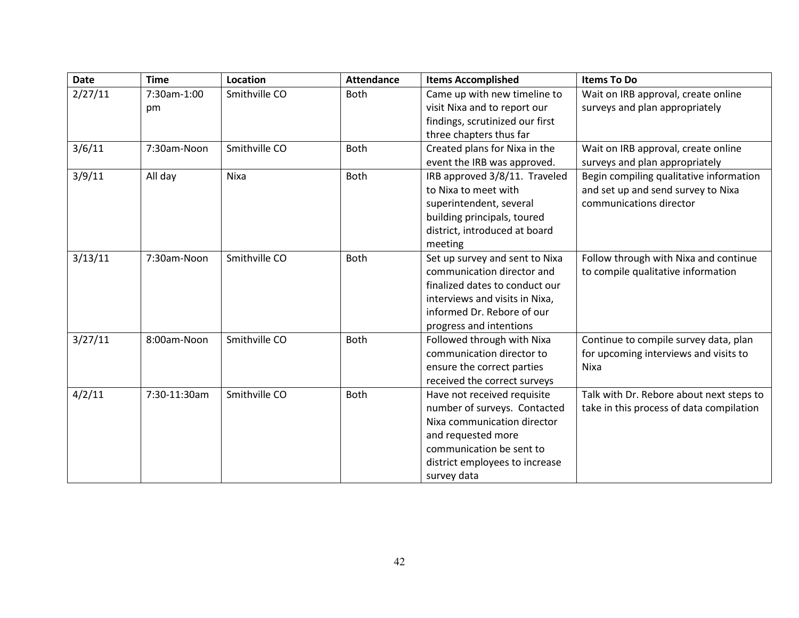| <b>Date</b> | <b>Time</b>  | <b>Location</b> | <b>Attendance</b> | <b>Items Accomplished</b>       | <b>Items To Do</b>                       |
|-------------|--------------|-----------------|-------------------|---------------------------------|------------------------------------------|
| 2/27/11     | 7:30am-1:00  | Smithville CO   | <b>Both</b>       | Came up with new timeline to    | Wait on IRB approval, create online      |
|             | pm           |                 |                   | visit Nixa and to report our    | surveys and plan appropriately           |
|             |              |                 |                   | findings, scrutinized our first |                                          |
|             |              |                 |                   | three chapters thus far         |                                          |
| 3/6/11      | 7:30am-Noon  | Smithville CO   | Both              | Created plans for Nixa in the   | Wait on IRB approval, create online      |
|             |              |                 |                   | event the IRB was approved.     | surveys and plan appropriately           |
| 3/9/11      | All day      | Nixa            | <b>Both</b>       | IRB approved 3/8/11. Traveled   | Begin compiling qualitative information  |
|             |              |                 |                   | to Nixa to meet with            | and set up and send survey to Nixa       |
|             |              |                 |                   | superintendent, several         | communications director                  |
|             |              |                 |                   | building principals, toured     |                                          |
|             |              |                 |                   | district, introduced at board   |                                          |
|             |              |                 |                   | meeting                         |                                          |
| 3/13/11     | 7:30am-Noon  | Smithville CO   | Both              | Set up survey and sent to Nixa  | Follow through with Nixa and continue    |
|             |              |                 |                   | communication director and      | to compile qualitative information       |
|             |              |                 |                   | finalized dates to conduct our  |                                          |
|             |              |                 |                   | interviews and visits in Nixa,  |                                          |
|             |              |                 |                   | informed Dr. Rebore of our      |                                          |
|             |              |                 |                   | progress and intentions         |                                          |
| 3/27/11     | 8:00am-Noon  | Smithville CO   | <b>Both</b>       | Followed through with Nixa      | Continue to compile survey data, plan    |
|             |              |                 |                   | communication director to       | for upcoming interviews and visits to    |
|             |              |                 |                   | ensure the correct parties      | Nixa                                     |
|             |              |                 |                   | received the correct surveys    |                                          |
| 4/2/11      | 7:30-11:30am | Smithville CO   | Both              | Have not received requisite     | Talk with Dr. Rebore about next steps to |
|             |              |                 |                   | number of surveys. Contacted    | take in this process of data compilation |
|             |              |                 |                   | Nixa communication director     |                                          |
|             |              |                 |                   | and requested more              |                                          |
|             |              |                 |                   | communication be sent to        |                                          |
|             |              |                 |                   | district employees to increase  |                                          |
|             |              |                 |                   | survey data                     |                                          |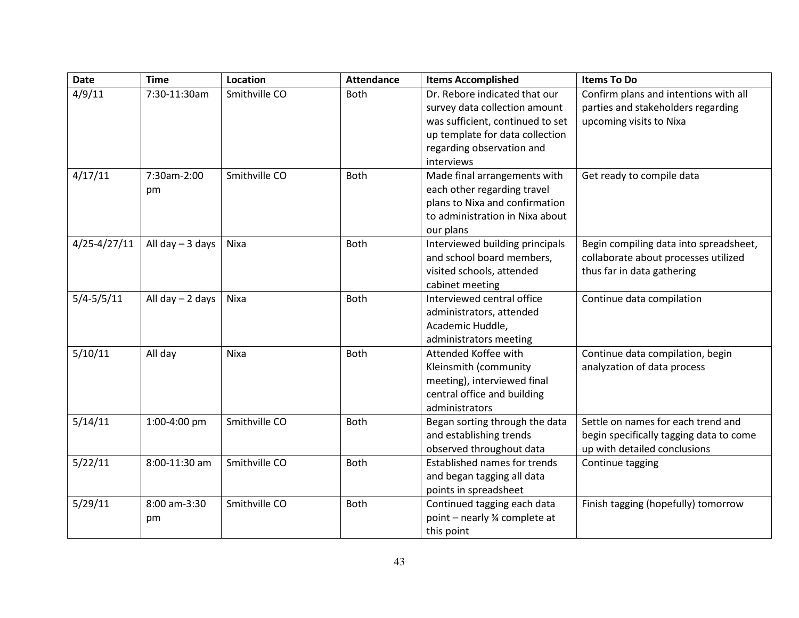| <b>Date</b>      | <b>Time</b>       | Location      | <b>Attendance</b> | <b>Items Accomplished</b>           | <b>Items To Do</b>                      |
|------------------|-------------------|---------------|-------------------|-------------------------------------|-----------------------------------------|
| 4/9/11           | 7:30-11:30am      | Smithville CO | <b>Both</b>       | Dr. Rebore indicated that our       | Confirm plans and intentions with all   |
|                  |                   |               |                   | survey data collection amount       | parties and stakeholders regarding      |
|                  |                   |               |                   | was sufficient, continued to set    | upcoming visits to Nixa                 |
|                  |                   |               |                   | up template for data collection     |                                         |
|                  |                   |               |                   | regarding observation and           |                                         |
|                  |                   |               |                   | interviews                          |                                         |
| 4/17/11          | 7:30am-2:00       | Smithville CO | <b>Both</b>       | Made final arrangements with        | Get ready to compile data               |
|                  | pm                |               |                   | each other regarding travel         |                                         |
|                  |                   |               |                   | plans to Nixa and confirmation      |                                         |
|                  |                   |               |                   | to administration in Nixa about     |                                         |
|                  |                   |               |                   | our plans                           |                                         |
| $4/25 - 4/27/11$ | All day $-3$ days | Nixa          | <b>Both</b>       | Interviewed building principals     | Begin compiling data into spreadsheet,  |
|                  |                   |               |                   | and school board members,           | collaborate about processes utilized    |
|                  |                   |               |                   | visited schools, attended           | thus far in data gathering              |
|                  |                   |               |                   | cabinet meeting                     |                                         |
| $5/4 - 5/5/11$   | All day $-2$ days | Nixa          | <b>Both</b>       | Interviewed central office          | Continue data compilation               |
|                  |                   |               |                   | administrators, attended            |                                         |
|                  |                   |               |                   | Academic Huddle,                    |                                         |
|                  |                   |               |                   | administrators meeting              |                                         |
| 5/10/11          | All day           | Nixa          | <b>Both</b>       | Attended Koffee with                | Continue data compilation, begin        |
|                  |                   |               |                   | Kleinsmith (community               | analyzation of data process             |
|                  |                   |               |                   | meeting), interviewed final         |                                         |
|                  |                   |               |                   | central office and building         |                                         |
|                  |                   |               |                   | administrators                      |                                         |
| 5/14/11          | 1:00-4:00 pm      | Smithville CO | Both              | Began sorting through the data      | Settle on names for each trend and      |
|                  |                   |               |                   | and establishing trends             | begin specifically tagging data to come |
|                  |                   |               |                   | observed throughout data            | up with detailed conclusions            |
| 5/22/11          | 8:00-11:30 am     | Smithville CO | Both              | <b>Established names for trends</b> | Continue tagging                        |
|                  |                   |               |                   | and began tagging all data          |                                         |
|                  |                   |               |                   | points in spreadsheet               |                                         |
| 5/29/11          | 8:00 am-3:30      | Smithville CO | Both              | Continued tagging each data         | Finish tagging (hopefully) tomorrow     |
|                  | pm                |               |                   | point - nearly % complete at        |                                         |
|                  |                   |               |                   | this point                          |                                         |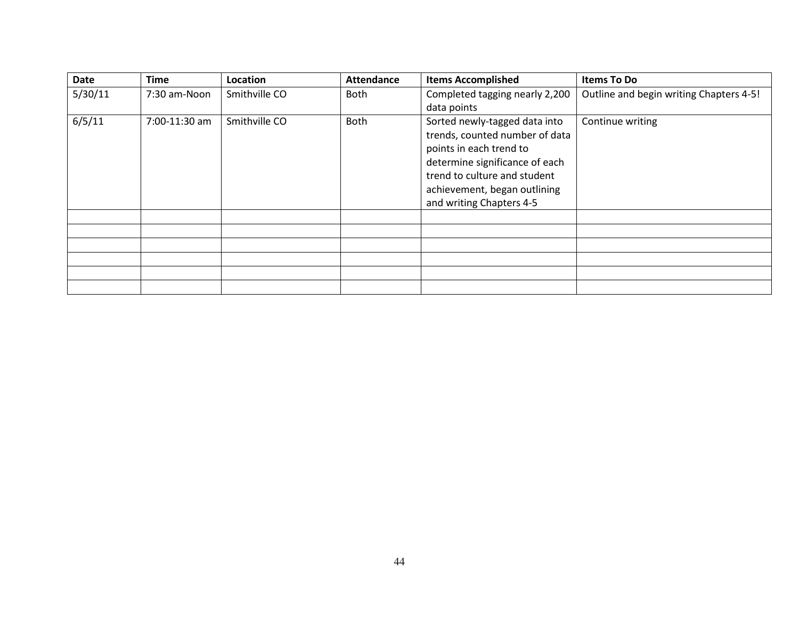| <b>Date</b> | <b>Time</b>   | Location      | <b>Attendance</b>                      | <b>Items Accomplished</b>      | <b>Items To Do</b>                      |
|-------------|---------------|---------------|----------------------------------------|--------------------------------|-----------------------------------------|
| 5/30/11     | 7:30 am-Noon  | Smithville CO | Completed tagging nearly 2,200<br>Both |                                | Outline and begin writing Chapters 4-5! |
|             |               |               |                                        | data points                    |                                         |
| 6/5/11      | 7:00-11:30 am | Smithville CO | <b>Both</b>                            | Sorted newly-tagged data into  | Continue writing                        |
|             |               |               |                                        | trends, counted number of data |                                         |
|             |               |               |                                        | points in each trend to        |                                         |
|             |               |               |                                        | determine significance of each |                                         |
|             |               |               |                                        | trend to culture and student   |                                         |
|             |               |               |                                        | achievement, began outlining   |                                         |
|             |               |               |                                        | and writing Chapters 4-5       |                                         |
|             |               |               |                                        |                                |                                         |
|             |               |               |                                        |                                |                                         |
|             |               |               |                                        |                                |                                         |
|             |               |               |                                        |                                |                                         |
|             |               |               |                                        |                                |                                         |
|             |               |               |                                        |                                |                                         |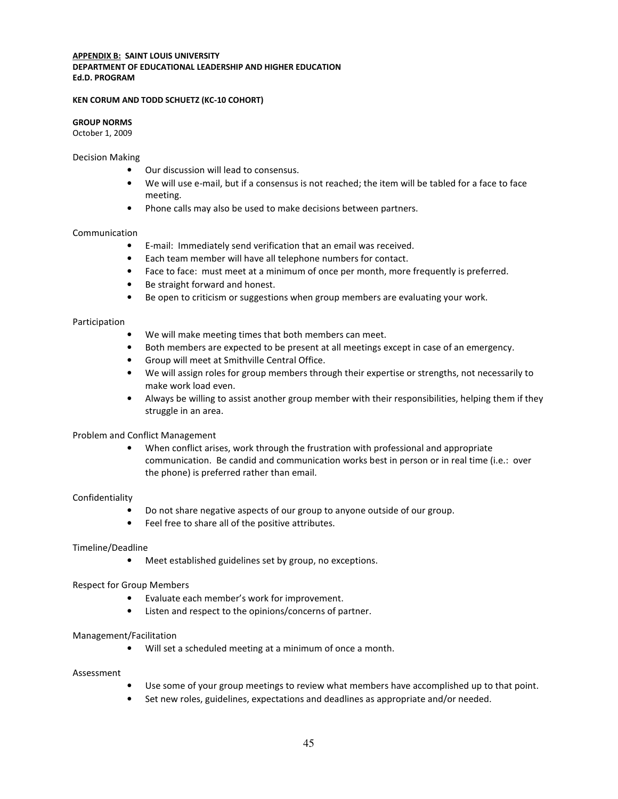#### **APPENDIX B: SAINT LOUIS UNIVERSITY** DEPARTMENT OF EDUCATIONAL LEADERSHIP AND HIGHER EDUCATION Ed.D. PROGRAM

#### KEN CORUM AND TODD SCHUETZ (KC-10 COHORT)

#### GROUP NORMS

October 1, 2009

#### Decision Making

- Our discussion will lead to consensus.
- We will use e-mail, but if a consensus is not reached; the item will be tabled for a face to face meeting.
- Phone calls may also be used to make decisions between partners.

#### Communication

- E-mail: Immediately send verification that an email was received.
- Each team member will have all telephone numbers for contact.
- Face to face: must meet at a minimum of once per month, more frequently is preferred.
- Be straight forward and honest.
- Be open to criticism or suggestions when group members are evaluating your work.

#### Participation

- We will make meeting times that both members can meet.
- Both members are expected to be present at all meetings except in case of an emergency.
- Group will meet at Smithville Central Office.
- We will assign roles for group members through their expertise or strengths, not necessarily to make work load even.
- Always be willing to assist another group member with their responsibilities, helping them if they struggle in an area.

#### Problem and Conflict Management

• When conflict arises, work through the frustration with professional and appropriate communication. Be candid and communication works best in person or in real time (i.e.: over the phone) is preferred rather than email.

#### Confidentiality

- Do not share negative aspects of our group to anyone outside of our group.
- Feel free to share all of the positive attributes.

#### Timeline/Deadline

• Meet established guidelines set by group, no exceptions.

#### Respect for Group Members

- Evaluate each member's work for improvement.
- Listen and respect to the opinions/concerns of partner.

#### Management/Facilitation

• Will set a scheduled meeting at a minimum of once a month.

#### Assessment

- Use some of your group meetings to review what members have accomplished up to that point.
- Set new roles, guidelines, expectations and deadlines as appropriate and/or needed.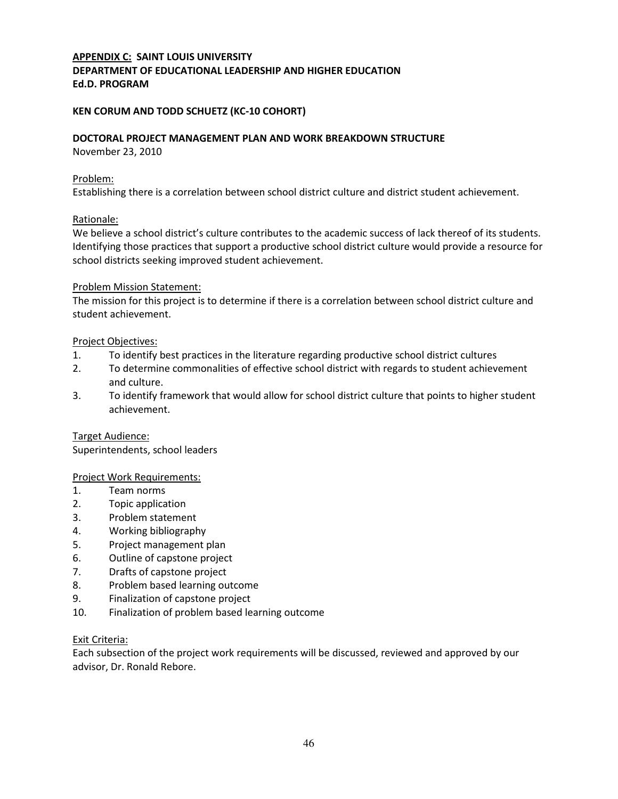# APPENDIX C: SAINT LOUIS UNIVERSITY DEPARTMENT OF EDUCATIONAL LEADERSHIP AND HIGHER EDUCATION Ed.D. PROGRAM

# KEN CORUM AND TODD SCHUETZ (KC-10 COHORT)

#### DOCTORAL PROJECT MANAGEMENT PLAN AND WORK BREAKDOWN STRUCTURE

November 23, 2010

#### Problem:

Establishing there is a correlation between school district culture and district student achievement.

#### Rationale:

We believe a school district's culture contributes to the academic success of lack thereof of its students. Identifying those practices that support a productive school district culture would provide a resource for school districts seeking improved student achievement.

#### Problem Mission Statement:

The mission for this project is to determine if there is a correlation between school district culture and student achievement.

#### Project Objectives:

- 1. To identify best practices in the literature regarding productive school district cultures
- 2. To determine commonalities of effective school district with regards to student achievement and culture.
- 3. To identify framework that would allow for school district culture that points to higher student achievement.

#### Target Audience:

Superintendents, school leaders

#### Project Work Requirements:

- 1. Team norms
- 2. Topic application
- 3. Problem statement
- 4. Working bibliography
- 5. Project management plan
- 6. Outline of capstone project
- 7. Drafts of capstone project
- 8. Problem based learning outcome
- 9. Finalization of capstone project
- 10. Finalization of problem based learning outcome

#### Exit Criteria:

Each subsection of the project work requirements will be discussed, reviewed and approved by our advisor, Dr. Ronald Rebore.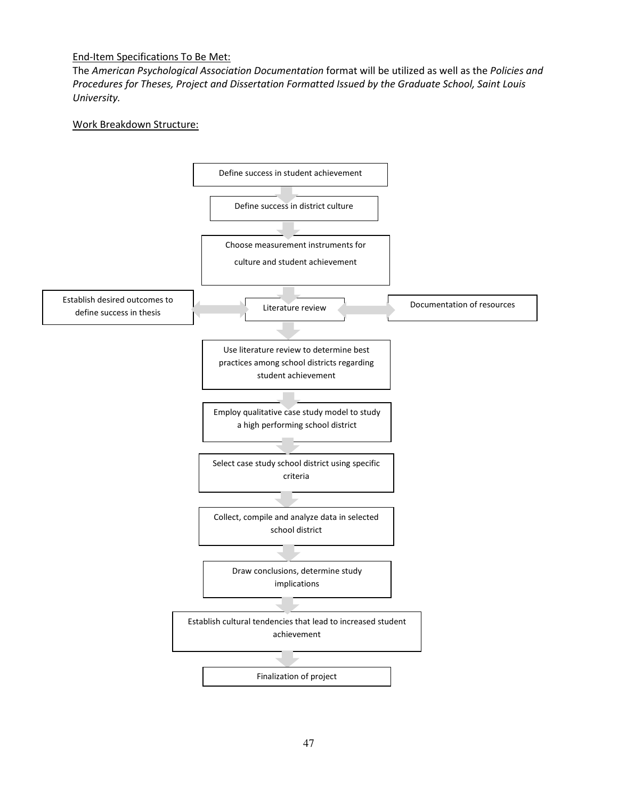#### End-Item Specifications To Be Met:

The American Psychological Association Documentation format will be utilized as well as the Policies and Procedures for Theses, Project and Dissertation Formatted Issued by the Graduate School, Saint Louis University.

## Work Breakdown Structure:

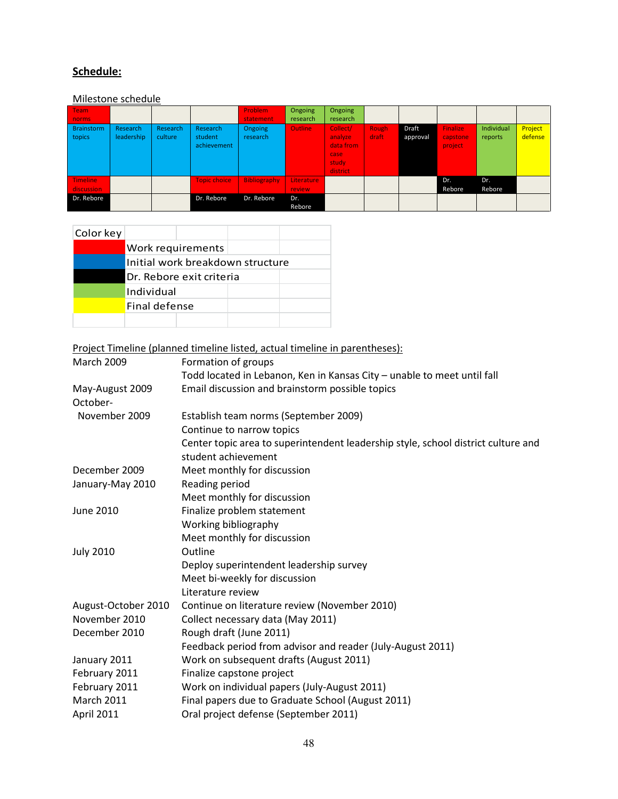# Schedule:

# Milestone schedule

| Team<br>norms<br><b>Brainstorm</b><br>topics | Research<br>leadership | Research<br>culture | Research<br>student<br>achievement | Problem<br>statement<br><b>Ongoing</b><br>research | Ongoing<br>research<br><b>Outline</b> | Ongoing<br>research<br>Collect/<br>analyze<br>data from<br>case<br>study<br>district | Rough<br>draft | Draft<br>approval | <b>Finalize</b><br>capstone<br>project | Individual<br>reports | Project<br>defense |
|----------------------------------------------|------------------------|---------------------|------------------------------------|----------------------------------------------------|---------------------------------------|--------------------------------------------------------------------------------------|----------------|-------------------|----------------------------------------|-----------------------|--------------------|
| <b>Timeline</b><br>discussion                |                        |                     | <b>Topic choice</b>                | <b>Bibliography</b>                                | <b>Literature</b><br><b>review</b>    |                                                                                      |                |                   | Dr.<br>Rebore                          | Dr.<br>Rebore         |                    |
| Dr. Rebore                                   |                        |                     | Dr. Rebore                         | Dr. Rebore                                         | Dr.<br>Rebore                         |                                                                                      |                |                   |                                        |                       |                    |

| Color key |                                  |  |
|-----------|----------------------------------|--|
|           | Work requirements                |  |
|           | Initial work breakdown structure |  |
|           | Dr. Rebore exit criteria         |  |
|           | Individual                       |  |
|           | Final defense                    |  |
|           |                                  |  |

Project Timeline (planned timeline listed, actual timeline in parentheses):

| <b>March 2009</b>   | Formation of groups                                                               |
|---------------------|-----------------------------------------------------------------------------------|
|                     | Todd located in Lebanon, Ken in Kansas City - unable to meet until fall           |
| May-August 2009     | Email discussion and brainstorm possible topics                                   |
| October-            |                                                                                   |
| November 2009       | Establish team norms (September 2009)                                             |
|                     | Continue to narrow topics                                                         |
|                     | Center topic area to superintendent leadership style, school district culture and |
|                     | student achievement                                                               |
| December 2009       | Meet monthly for discussion                                                       |
| January-May 2010    | Reading period                                                                    |
|                     | Meet monthly for discussion                                                       |
| June 2010           | Finalize problem statement                                                        |
|                     | Working bibliography                                                              |
|                     | Meet monthly for discussion                                                       |
| <b>July 2010</b>    | Outline                                                                           |
|                     | Deploy superintendent leadership survey                                           |
|                     | Meet bi-weekly for discussion                                                     |
|                     | Literature review                                                                 |
| August-October 2010 | Continue on literature review (November 2010)                                     |
| November 2010       | Collect necessary data (May 2011)                                                 |
| December 2010       | Rough draft (June 2011)                                                           |
|                     | Feedback period from advisor and reader (July-August 2011)                        |
| January 2011        | Work on subsequent drafts (August 2011)                                           |
| February 2011       | Finalize capstone project                                                         |
| February 2011       | Work on individual papers (July-August 2011)                                      |
| <b>March 2011</b>   | Final papers due to Graduate School (August 2011)                                 |
| April 2011          | Oral project defense (September 2011)                                             |
|                     |                                                                                   |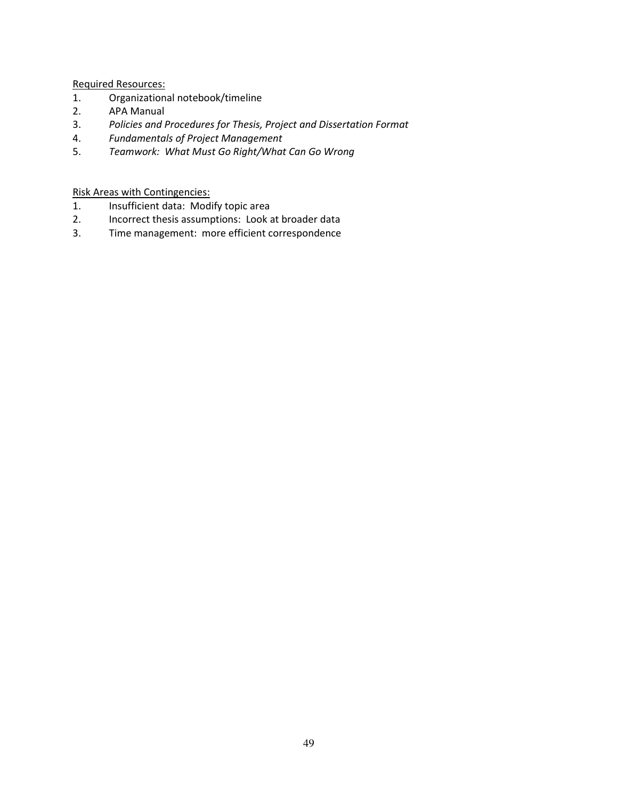Required Resources:

- 1. Organizational notebook/timeline
- 2. APA Manual
- 3. Policies and Procedures for Thesis, Project and Dissertation Format
- 4. Fundamentals of Project Management
- 5. Teamwork: What Must Go Right/What Can Go Wrong

Risk Areas with Contingencies:

- 1. Insufficient data: Modify topic area
- 2. Incorrect thesis assumptions: Look at broader data
- 3. Time management: more efficient correspondence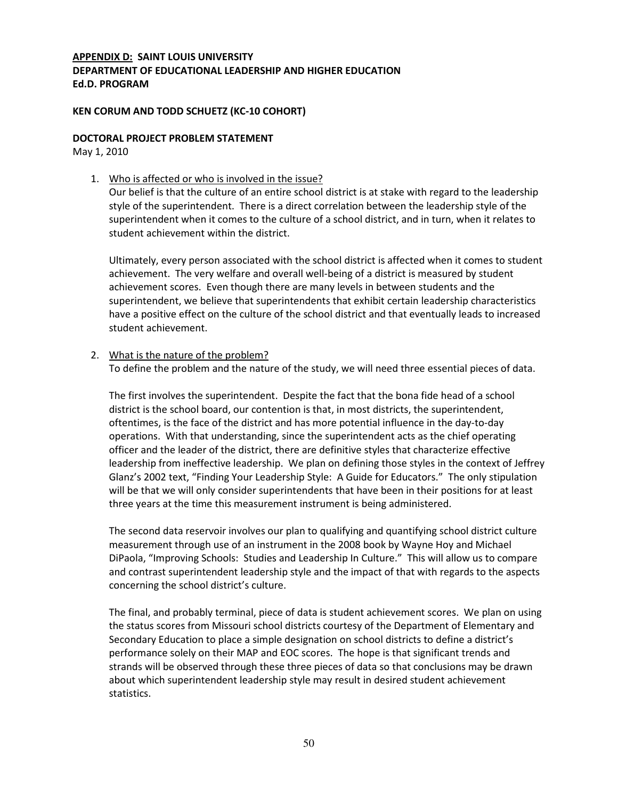# APPENDIX D: SAINT LOUIS UNIVERSITY DEPARTMENT OF EDUCATIONAL LEADERSHIP AND HIGHER EDUCATION Ed.D. PROGRAM

#### KEN CORUM AND TODD SCHUETZ (KC-10 COHORT)

#### DOCTORAL PROJECT PROBLEM STATEMENT

May 1, 2010

1. Who is affected or who is involved in the issue?

Our belief is that the culture of an entire school district is at stake with regard to the leadership style of the superintendent. There is a direct correlation between the leadership style of the superintendent when it comes to the culture of a school district, and in turn, when it relates to student achievement within the district.

Ultimately, every person associated with the school district is affected when it comes to student achievement. The very welfare and overall well-being of a district is measured by student achievement scores. Even though there are many levels in between students and the superintendent, we believe that superintendents that exhibit certain leadership characteristics have a positive effect on the culture of the school district and that eventually leads to increased student achievement.

#### 2. What is the nature of the problem?

To define the problem and the nature of the study, we will need three essential pieces of data.

The first involves the superintendent. Despite the fact that the bona fide head of a school district is the school board, our contention is that, in most districts, the superintendent, oftentimes, is the face of the district and has more potential influence in the day-to-day operations. With that understanding, since the superintendent acts as the chief operating officer and the leader of the district, there are definitive styles that characterize effective leadership from ineffective leadership. We plan on defining those styles in the context of Jeffrey Glanz's 2002 text, "Finding Your Leadership Style: A Guide for Educators." The only stipulation will be that we will only consider superintendents that have been in their positions for at least three years at the time this measurement instrument is being administered.

The second data reservoir involves our plan to qualifying and quantifying school district culture measurement through use of an instrument in the 2008 book by Wayne Hoy and Michael DiPaola, "Improving Schools: Studies and Leadership In Culture." This will allow us to compare and contrast superintendent leadership style and the impact of that with regards to the aspects concerning the school district's culture.

The final, and probably terminal, piece of data is student achievement scores. We plan on using the status scores from Missouri school districts courtesy of the Department of Elementary and Secondary Education to place a simple designation on school districts to define a district's performance solely on their MAP and EOC scores. The hope is that significant trends and strands will be observed through these three pieces of data so that conclusions may be drawn about which superintendent leadership style may result in desired student achievement statistics.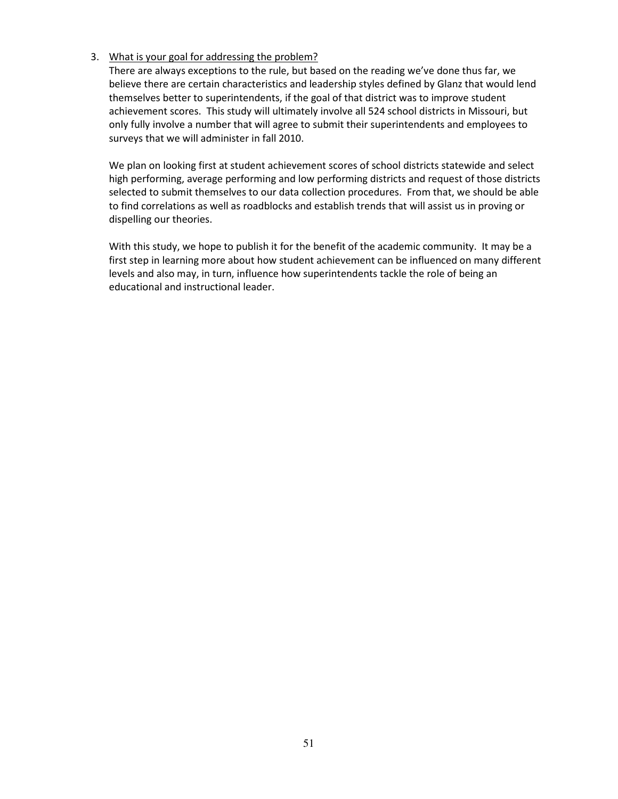#### 3. What is your goal for addressing the problem?

There are always exceptions to the rule, but based on the reading we've done thus far, we believe there are certain characteristics and leadership styles defined by Glanz that would lend themselves better to superintendents, if the goal of that district was to improve student achievement scores. This study will ultimately involve all 524 school districts in Missouri, but only fully involve a number that will agree to submit their superintendents and employees to surveys that we will administer in fall 2010.

We plan on looking first at student achievement scores of school districts statewide and select high performing, average performing and low performing districts and request of those districts selected to submit themselves to our data collection procedures. From that, we should be able to find correlations as well as roadblocks and establish trends that will assist us in proving or dispelling our theories.

With this study, we hope to publish it for the benefit of the academic community. It may be a first step in learning more about how student achievement can be influenced on many different levels and also may, in turn, influence how superintendents tackle the role of being an educational and instructional leader.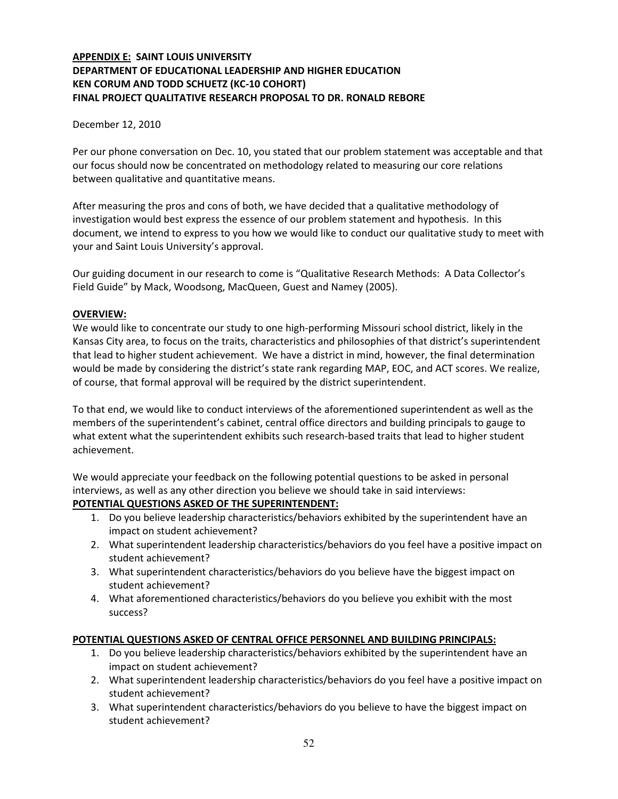# APPENDIX E: SAINT LOUIS UNIVERSITY DEPARTMENT OF EDUCATIONAL LEADERSHIP AND HIGHER EDUCATION KEN CORUM AND TODD SCHUETZ (KC-10 COHORT) FINAL PROJECT QUALITATIVE RESEARCH PROPOSAL TO DR. RONALD REBORE

#### December 12, 2010

Per our phone conversation on Dec. 10, you stated that our problem statement was acceptable and that our focus should now be concentrated on methodology related to measuring our core relations between qualitative and quantitative means.

After measuring the pros and cons of both, we have decided that a qualitative methodology of investigation would best express the essence of our problem statement and hypothesis. In this document, we intend to express to you how we would like to conduct our qualitative study to meet with your and Saint Louis University's approval.

Our guiding document in our research to come is "Qualitative Research Methods: A Data Collector's Field Guide" by Mack, Woodsong, MacQueen, Guest and Namey (2005).

#### OVERVIEW:

We would like to concentrate our study to one high-performing Missouri school district, likely in the Kansas City area, to focus on the traits, characteristics and philosophies of that district's superintendent that lead to higher student achievement. We have a district in mind, however, the final determination would be made by considering the district's state rank regarding MAP, EOC, and ACT scores. We realize, of course, that formal approval will be required by the district superintendent.

To that end, we would like to conduct interviews of the aforementioned superintendent as well as the members of the superintendent's cabinet, central office directors and building principals to gauge to what extent what the superintendent exhibits such research-based traits that lead to higher student achievement.

We would appreciate your feedback on the following potential questions to be asked in personal interviews, as well as any other direction you believe we should take in said interviews:

#### POTENTIAL QUESTIONS ASKED OF THE SUPERINTENDENT:

- 1. Do you believe leadership characteristics/behaviors exhibited by the superintendent have an impact on student achievement?
- 2. What superintendent leadership characteristics/behaviors do you feel have a positive impact on student achievement?
- 3. What superintendent characteristics/behaviors do you believe have the biggest impact on student achievement?
- 4. What aforementioned characteristics/behaviors do you believe you exhibit with the most success?

#### POTENTIAL QUESTIONS ASKED OF CENTRAL OFFICE PERSONNEL AND BUILDING PRINCIPALS:

- 1. Do you believe leadership characteristics/behaviors exhibited by the superintendent have an impact on student achievement?
- 2. What superintendent leadership characteristics/behaviors do you feel have a positive impact on student achievement?
- 3. What superintendent characteristics/behaviors do you believe to have the biggest impact on student achievement?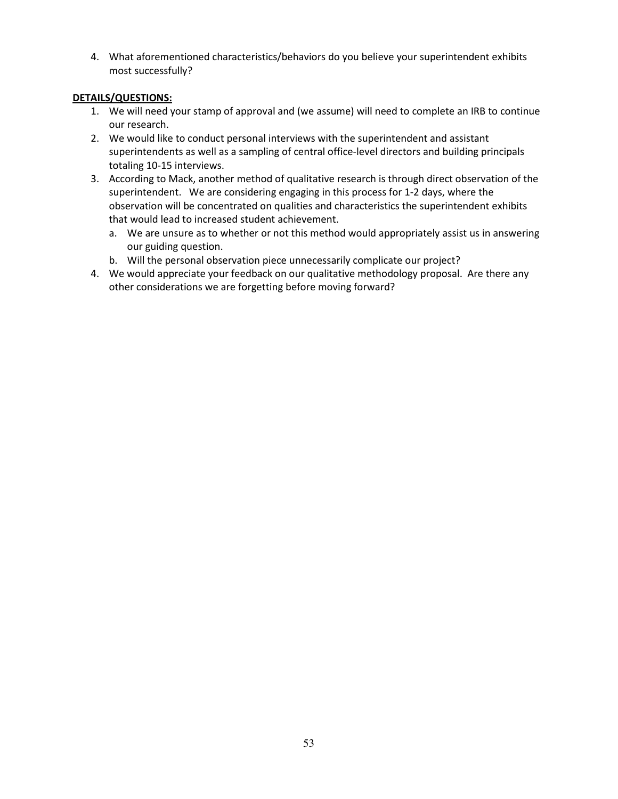4. What aforementioned characteristics/behaviors do you believe your superintendent exhibits most successfully?

## DETAILS/QUESTIONS:

- 1. We will need your stamp of approval and (we assume) will need to complete an IRB to continue our research.
- 2. We would like to conduct personal interviews with the superintendent and assistant superintendents as well as a sampling of central office-level directors and building principals totaling 10-15 interviews.
- 3. According to Mack, another method of qualitative research is through direct observation of the superintendent. We are considering engaging in this process for 1-2 days, where the observation will be concentrated on qualities and characteristics the superintendent exhibits that would lead to increased student achievement.
	- a. We are unsure as to whether or not this method would appropriately assist us in answering our guiding question.
	- b. Will the personal observation piece unnecessarily complicate our project?
- 4. We would appreciate your feedback on our qualitative methodology proposal. Are there any other considerations we are forgetting before moving forward?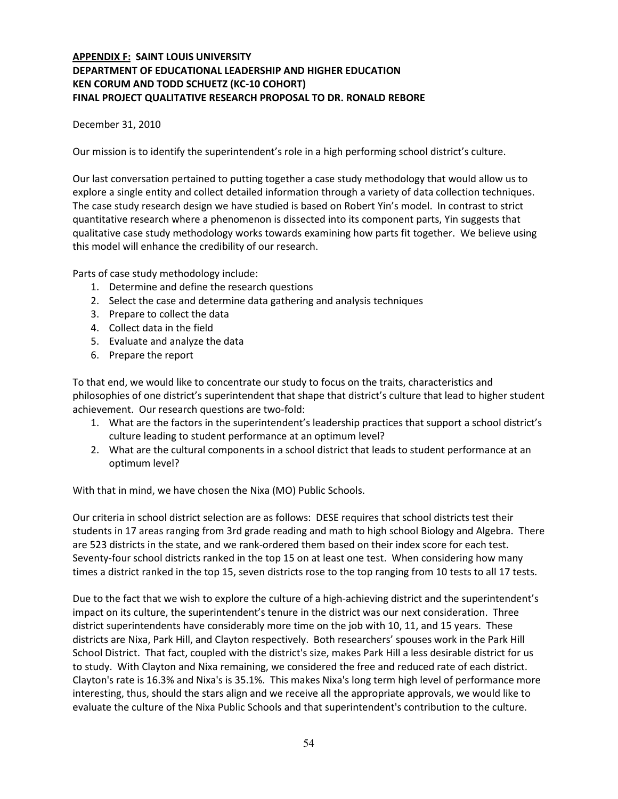# APPENDIX F: SAINT LOUIS UNIVERSITY DEPARTMENT OF EDUCATIONAL LEADERSHIP AND HIGHER EDUCATION KEN CORUM AND TODD SCHUETZ (KC-10 COHORT) FINAL PROJECT QUALITATIVE RESEARCH PROPOSAL TO DR. RONALD REBORE

#### December 31, 2010

Our mission is to identify the superintendent's role in a high performing school district's culture.

Our last conversation pertained to putting together a case study methodology that would allow us to explore a single entity and collect detailed information through a variety of data collection techniques. The case study research design we have studied is based on Robert Yin's model. In contrast to strict quantitative research where a phenomenon is dissected into its component parts, Yin suggests that qualitative case study methodology works towards examining how parts fit together. We believe using this model will enhance the credibility of our research.

Parts of case study methodology include:

- 1. Determine and define the research questions
- 2. Select the case and determine data gathering and analysis techniques
- 3. Prepare to collect the data
- 4. Collect data in the field
- 5. Evaluate and analyze the data
- 6. Prepare the report

To that end, we would like to concentrate our study to focus on the traits, characteristics and philosophies of one district's superintendent that shape that district's culture that lead to higher student achievement. Our research questions are two-fold:

- 1. What are the factors in the superintendent's leadership practices that support a school district's culture leading to student performance at an optimum level?
- 2. What are the cultural components in a school district that leads to student performance at an optimum level?

With that in mind, we have chosen the Nixa (MO) Public Schools.

Our criteria in school district selection are as follows: DESE requires that school districts test their students in 17 areas ranging from 3rd grade reading and math to high school Biology and Algebra. There are 523 districts in the state, and we rank-ordered them based on their index score for each test. Seventy-four school districts ranked in the top 15 on at least one test. When considering how many times a district ranked in the top 15, seven districts rose to the top ranging from 10 tests to all 17 tests.

Due to the fact that we wish to explore the culture of a high-achieving district and the superintendent's impact on its culture, the superintendent's tenure in the district was our next consideration. Three district superintendents have considerably more time on the job with 10, 11, and 15 years. These districts are Nixa, Park Hill, and Clayton respectively. Both researchers' spouses work in the Park Hill School District. That fact, coupled with the district's size, makes Park Hill a less desirable district for us to study. With Clayton and Nixa remaining, we considered the free and reduced rate of each district. Clayton's rate is 16.3% and Nixa's is 35.1%. This makes Nixa's long term high level of performance more interesting, thus, should the stars align and we receive all the appropriate approvals, we would like to evaluate the culture of the Nixa Public Schools and that superintendent's contribution to the culture.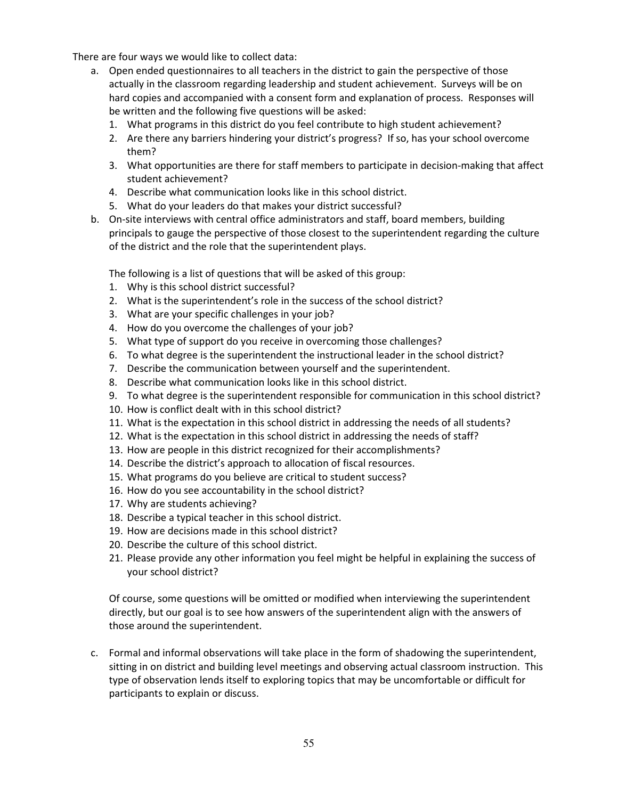There are four ways we would like to collect data:

- a. Open ended questionnaires to all teachers in the district to gain the perspective of those actually in the classroom regarding leadership and student achievement. Surveys will be on hard copies and accompanied with a consent form and explanation of process. Responses will be written and the following five questions will be asked:
	- 1. What programs in this district do you feel contribute to high student achievement?
	- 2. Are there any barriers hindering your district's progress? If so, has your school overcome them?
	- 3. What opportunities are there for staff members to participate in decision-making that affect student achievement?
	- 4. Describe what communication looks like in this school district.
	- 5. What do your leaders do that makes your district successful?
- b. On-site interviews with central office administrators and staff, board members, building principals to gauge the perspective of those closest to the superintendent regarding the culture of the district and the role that the superintendent plays.

The following is a list of questions that will be asked of this group:

- 1. Why is this school district successful?
- 2. What is the superintendent's role in the success of the school district?
- 3. What are your specific challenges in your job?
- 4. How do you overcome the challenges of your job?
- 5. What type of support do you receive in overcoming those challenges?
- 6. To what degree is the superintendent the instructional leader in the school district?
- 7. Describe the communication between yourself and the superintendent.
- 8. Describe what communication looks like in this school district.
- 9. To what degree is the superintendent responsible for communication in this school district?
- 10. How is conflict dealt with in this school district?
- 11. What is the expectation in this school district in addressing the needs of all students?
- 12. What is the expectation in this school district in addressing the needs of staff?
- 13. How are people in this district recognized for their accomplishments?
- 14. Describe the district's approach to allocation of fiscal resources.
- 15. What programs do you believe are critical to student success?
- 16. How do you see accountability in the school district?
- 17. Why are students achieving?
- 18. Describe a typical teacher in this school district.
- 19. How are decisions made in this school district?
- 20. Describe the culture of this school district.
- 21. Please provide any other information you feel might be helpful in explaining the success of your school district?

 Of course, some questions will be omitted or modified when interviewing the superintendent directly, but our goal is to see how answers of the superintendent align with the answers of those around the superintendent.

c. Formal and informal observations will take place in the form of shadowing the superintendent, sitting in on district and building level meetings and observing actual classroom instruction. This type of observation lends itself to exploring topics that may be uncomfortable or difficult for participants to explain or discuss.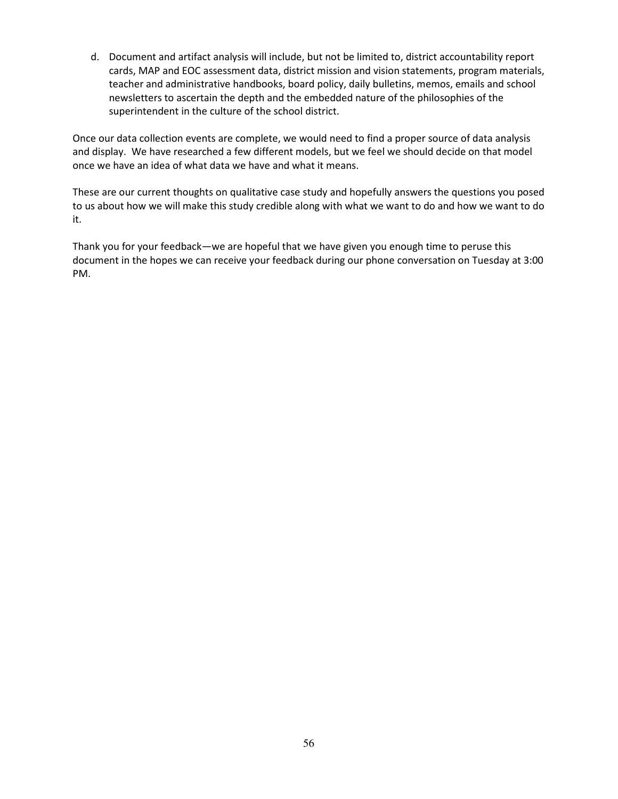d. Document and artifact analysis will include, but not be limited to, district accountability report cards, MAP and EOC assessment data, district mission and vision statements, program materials, teacher and administrative handbooks, board policy, daily bulletins, memos, emails and school newsletters to ascertain the depth and the embedded nature of the philosophies of the superintendent in the culture of the school district.

Once our data collection events are complete, we would need to find a proper source of data analysis and display. We have researched a few different models, but we feel we should decide on that model once we have an idea of what data we have and what it means.

These are our current thoughts on qualitative case study and hopefully answers the questions you posed to us about how we will make this study credible along with what we want to do and how we want to do it.

Thank you for your feedback—we are hopeful that we have given you enough time to peruse this document in the hopes we can receive your feedback during our phone conversation on Tuesday at 3:00 PM.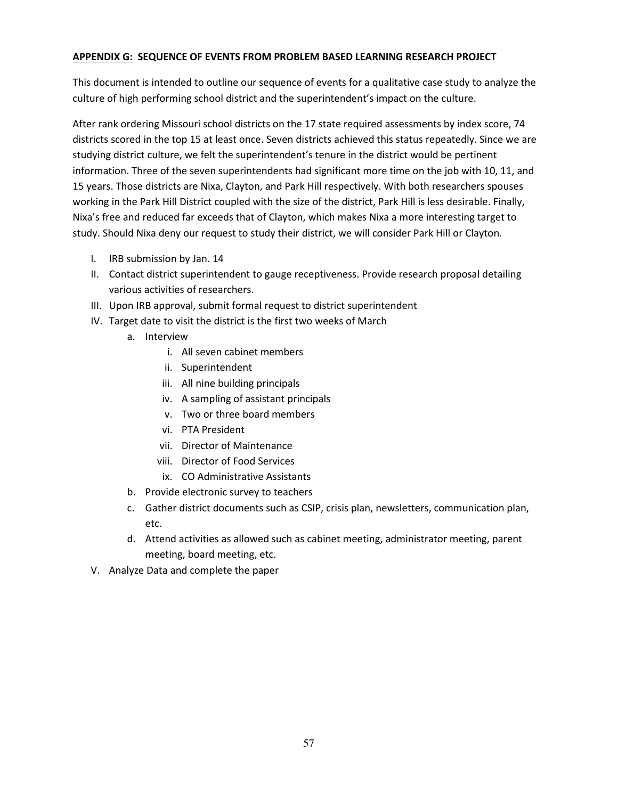#### APPENDIX G: SEQUENCE OF EVENTS FROM PROBLEM BASED LEARNING RESEARCH PROJECT

This document is intended to outline our sequence of events for a qualitative case study to analyze the culture of high performing school district and the superintendent's impact on the culture.

After rank ordering Missouri school districts on the 17 state required assessments by index score, 74 districts scored in the top 15 at least once. Seven districts achieved this status repeatedly. Since we are studying district culture, we felt the superintendent's tenure in the district would be pertinent information. Three of the seven superintendents had significant more time on the job with 10, 11, and 15 years. Those districts are Nixa, Clayton, and Park Hill respectively. With both researchers spouses working in the Park Hill District coupled with the size of the district, Park Hill is less desirable. Finally, Nixa's free and reduced far exceeds that of Clayton, which makes Nixa a more interesting target to study. Should Nixa deny our request to study their district, we will consider Park Hill or Clayton.

- I. IRB submission by Jan. 14
- II. Contact district superintendent to gauge receptiveness. Provide research proposal detailing various activities of researchers.
- III. Upon IRB approval, submit formal request to district superintendent
- IV. Target date to visit the district is the first two weeks of March
	- a. Interview
		- i. All seven cabinet members
		- ii. Superintendent
		- iii. All nine building principals
		- iv. A sampling of assistant principals
		- v. Two or three board members
		- vi. PTA President
		- vii. Director of Maintenance
		- viii. Director of Food Services
		- ix. CO Administrative Assistants
	- b. Provide electronic survey to teachers
	- c. Gather district documents such as CSIP, crisis plan, newsletters, communication plan, etc.
	- d. Attend activities as allowed such as cabinet meeting, administrator meeting, parent meeting, board meeting, etc.
- V. Analyze Data and complete the paper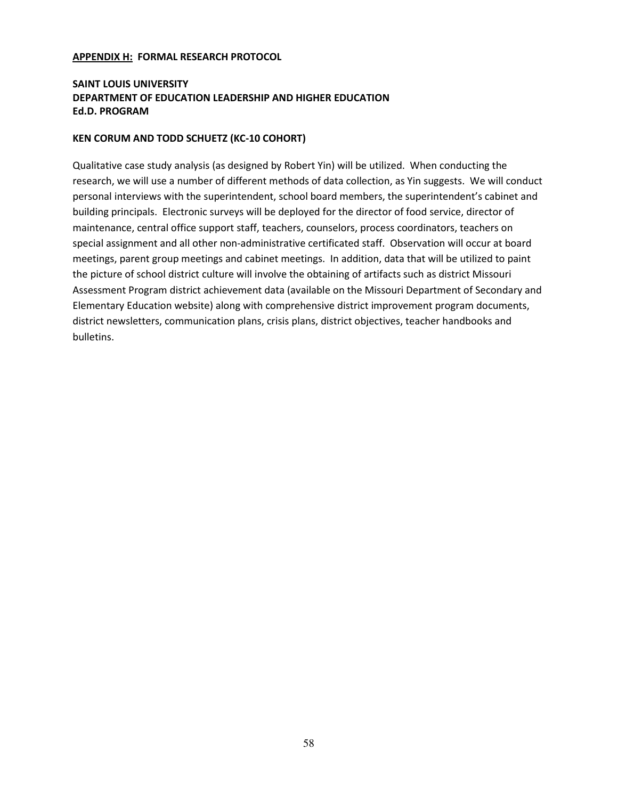#### APPENDIX H: FORMAL RESEARCH PROTOCOL

# SAINT LOUIS UNIVERSITY DEPARTMENT OF EDUCATION LEADERSHIP AND HIGHER EDUCATION Ed.D. PROGRAM

#### KEN CORUM AND TODD SCHUETZ (KC-10 COHORT)

Qualitative case study analysis (as designed by Robert Yin) will be utilized. When conducting the research, we will use a number of different methods of data collection, as Yin suggests. We will conduct personal interviews with the superintendent, school board members, the superintendent's cabinet and building principals. Electronic surveys will be deployed for the director of food service, director of maintenance, central office support staff, teachers, counselors, process coordinators, teachers on special assignment and all other non-administrative certificated staff. Observation will occur at board meetings, parent group meetings and cabinet meetings. In addition, data that will be utilized to paint the picture of school district culture will involve the obtaining of artifacts such as district Missouri Assessment Program district achievement data (available on the Missouri Department of Secondary and Elementary Education website) along with comprehensive district improvement program documents, district newsletters, communication plans, crisis plans, district objectives, teacher handbooks and bulletins.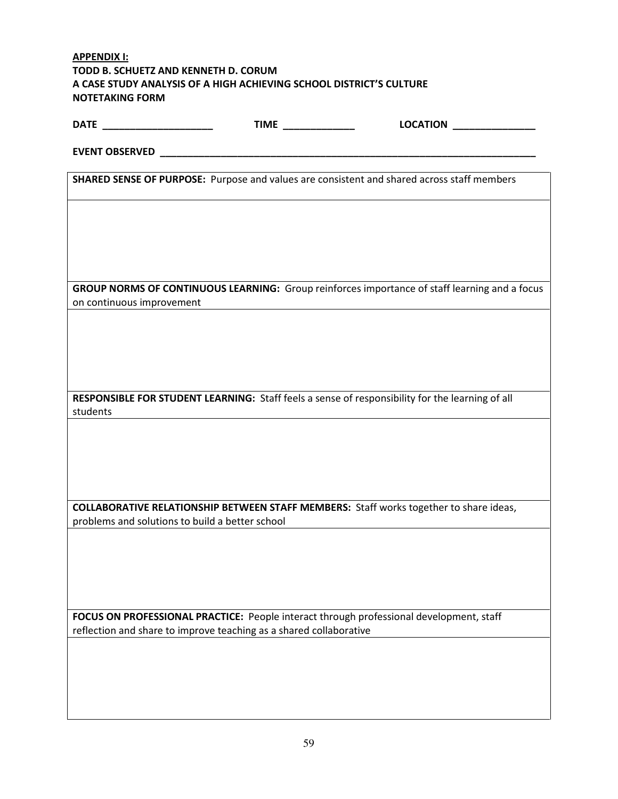| <b>APPENDIX I:</b>                              |                                                                     |                                                                                                   |
|-------------------------------------------------|---------------------------------------------------------------------|---------------------------------------------------------------------------------------------------|
| TODD B. SCHUETZ AND KENNETH D. CORUM            |                                                                     |                                                                                                   |
|                                                 | A CASE STUDY ANALYSIS OF A HIGH ACHIEVING SCHOOL DISTRICT'S CULTURE |                                                                                                   |
| <b>NOTETAKING FORM</b>                          |                                                                     |                                                                                                   |
|                                                 |                                                                     |                                                                                                   |
| DATE ______________________                     | TIME _____________                                                  | LOCATION <b>AND RESIDENT</b>                                                                      |
|                                                 |                                                                     |                                                                                                   |
|                                                 |                                                                     |                                                                                                   |
|                                                 |                                                                     |                                                                                                   |
|                                                 |                                                                     | <b>SHARED SENSE OF PURPOSE:</b> Purpose and values are consistent and shared across staff members |
|                                                 |                                                                     |                                                                                                   |
|                                                 |                                                                     |                                                                                                   |
|                                                 |                                                                     |                                                                                                   |
|                                                 |                                                                     |                                                                                                   |
|                                                 |                                                                     |                                                                                                   |
|                                                 |                                                                     |                                                                                                   |
|                                                 |                                                                     |                                                                                                   |
|                                                 |                                                                     |                                                                                                   |
|                                                 |                                                                     | GROUP NORMS OF CONTINUOUS LEARNING: Group reinforces importance of staff learning and a focus     |
| on continuous improvement                       |                                                                     |                                                                                                   |
|                                                 |                                                                     |                                                                                                   |
|                                                 |                                                                     |                                                                                                   |
|                                                 |                                                                     |                                                                                                   |
|                                                 |                                                                     |                                                                                                   |
|                                                 |                                                                     |                                                                                                   |
|                                                 |                                                                     |                                                                                                   |
|                                                 |                                                                     |                                                                                                   |
|                                                 |                                                                     | RESPONSIBLE FOR STUDENT LEARNING: Staff feels a sense of responsibility for the learning of all   |
| students                                        |                                                                     |                                                                                                   |
|                                                 |                                                                     |                                                                                                   |
|                                                 |                                                                     |                                                                                                   |
|                                                 |                                                                     |                                                                                                   |
|                                                 |                                                                     |                                                                                                   |
|                                                 |                                                                     |                                                                                                   |
|                                                 |                                                                     |                                                                                                   |
|                                                 |                                                                     | <b>COLLABORATIVE RELATIONSHIP BETWEEN STAFF MEMBERS:</b> Staff works together to share ideas,     |
| problems and solutions to build a better school |                                                                     |                                                                                                   |
|                                                 |                                                                     |                                                                                                   |
|                                                 |                                                                     |                                                                                                   |
|                                                 |                                                                     |                                                                                                   |
|                                                 |                                                                     |                                                                                                   |
|                                                 |                                                                     |                                                                                                   |
|                                                 |                                                                     |                                                                                                   |
|                                                 |                                                                     |                                                                                                   |
|                                                 |                                                                     | FOCUS ON PROFESSIONAL PRACTICE: People interact through professional development, staff           |
|                                                 | reflection and share to improve teaching as a shared collaborative  |                                                                                                   |
|                                                 |                                                                     |                                                                                                   |
|                                                 |                                                                     |                                                                                                   |
|                                                 |                                                                     |                                                                                                   |
|                                                 |                                                                     |                                                                                                   |
|                                                 |                                                                     |                                                                                                   |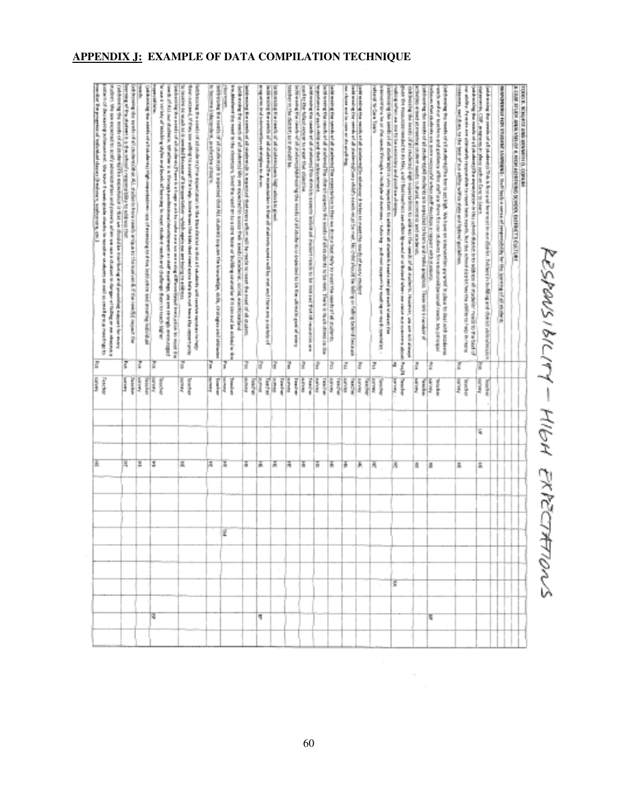# RESPONSIBILITY - HIGH EXPECTATIONS

| A GASE AT LEV ARRANGED A HUSE ACHEVING SCHOOL DUFFUSTS CULTURE<br>TODO IL INVERTO AND ARRESTED OL CORRENT                                                                                                                                                                                                                                                                                                                                                              |     |                                                                                                                              |    |    |    |  |   |   |    |  |
|------------------------------------------------------------------------------------------------------------------------------------------------------------------------------------------------------------------------------------------------------------------------------------------------------------------------------------------------------------------------------------------------------------------------------------------------------------------------|-----|------------------------------------------------------------------------------------------------------------------------------|----|----|----|--|---|---|----|--|
| designed for the time in the property of the fight and of manufacture for the terms of of the design                                                                                                                                                                                                                                                                                                                                                                   |     |                                                                                                                              |    |    |    |  |   |   |    |  |
|                                                                                                                                                                                                                                                                                                                                                                                                                                                                        |     |                                                                                                                              |    |    |    |  |   |   |    |  |
| and the COV, printing and part in the column of the State of the column<br>and the state of the state of all the state of the state of the state of the state of the state of the state of the state of the state of the state of the state of the state of the state of the state of the state of the st                                                                                                                                                              |     | lin d<br>I                                                                                                                   | S, |    | ä. |  |   |   |    |  |
| and with the state of a photos of a photos are relatively in this state distribution of the state of the state of the state of the state of the state of the state of the state of the state of the state of the state of the<br>www.mission.com/similar-weater com/similar-weater for the state of the state of the state of the state of the state of the state of the state of the state of the state of the state of the state of the state of the state of        |     | Ĩ                                                                                                                            |    |    |    |  |   |   |    |  |
|                                                                                                                                                                                                                                                                                                                                                                                                                                                                        | ť   | Apparent                                                                                                                     |    |    | 盂  |  |   |   |    |  |
| contrast the state of the line of the state of the state of the state of the state of the state of the state of the state of the state of the state of the state of the state of the<br>ends to the control and the state and the state of the state of the state of the state of the state of the state of the state of the state of the state of the state                                                                                                           |     | in 1999.                                                                                                                     |    |    |    |  |   |   |    |  |
| Have the students are used and approved the whole that the change is reported to the control of the                                                                                                                                                                                                                                                                                                                                                                    | ğ   | ļ                                                                                                                            |    |    | ā  |  |   |   | τ  |  |
| considerably assistant to the construction of the construction of the construction of the construction of the construction of the construction of the construction of the construction of the construction of the construction<br><b>Solution of the contract of the contract of the contract of the contract of the contract of the contract of the contract of the contract of the contract of the contract of the contract of the contract of the contract of t</b> | č   | Į<br>Í                                                                                                                       |    |    | ð, |  |   |   |    |  |
| Out brought the meets of introduced ingelessance to sold was the warm the weak of at attainst, Househel, an ane-not attack                                                                                                                                                                                                                                                                                                                                             |     |                                                                                                                              |    |    |    |  |   |   |    |  |
| (Fold the European condition) on the Mid-Fand in the Mid-Fand and are all the mid-Fand white, we will also access to the mid-                                                                                                                                                                                                                                                                                                                                          | ļ   | ŗ                                                                                                                            |    |    |    |  |   |   |    |  |
| adding adverse are determined and a self-bent teacher of points.                                                                                                                                                                                                                                                                                                                                                                                                       | la, | line of                                                                                                                      |    |    | A, |  |   | ε |    |  |
| Additional Secretary of the constitution of the fighter of the context context of the constitution of the constitution of the constitution of the constitution of the constitution of the constitution of the constitution of<br>Michael Charles (Michael of Michael Andrew Michael Line Andrew Michael Michael Michael Andrew Michael Andrew Michael Michael Michael Michael Michael Michael Michael Michael Michael Michael Michael Michael Michael Michael M        |     | ingerei                                                                                                                      |    |    |    |  |   |   |    |  |
| dent work have                                                                                                                                                                                                                                                                                                                                                                                                                                                         | Z   | <b>RACKER</b>                                                                                                                |    |    | R, |  |   |   |    |  |
| and with the result of all speeds of a contemplation of the first to many the most the constitution of the product                                                                                                                                                                                                                                                                                                                                                     | Z   | Į<br>in King                                                                                                                 |    |    | F. |  |   |   |    |  |
| the chance and its course are the arcyficially<br>and some first and at the first of the control of the state of the control of the control of the control of the control of the control of the control of the control of the control of the control of the control of the contr                                                                                                                                                                                       | è   | Į<br>鸟类                                                                                                                      |    |    | Ŧ  |  |   |   |    |  |
| admitted the particular and restricted for expect the tradition of the particle and particle in the first and the first                                                                                                                                                                                                                                                                                                                                                | ģ   | ii i<br>Į                                                                                                                    |    |    | Ŧ  |  |   |   |    |  |
| <b>The Contract of the American State of American State of American State of American</b><br>believe the convent of a strict man of the convention of the node of sill reader as to be rest from a state of the control of the                                                                                                                                                                                                                                         | ř   | in the sea<br>is in the control of the control of the control of the control of the control of the control of the control of |    |    | Ŧ  |  |   |   |    |  |
| Factor and the countries of at a structure district a consect indicate reading the state of the state of the state of the state of the state of the state of the state of the state of the state of the state of the state of                                                                                                                                                                                                                                          |     | ļ                                                                                                                            |    |    |    |  |   |   |    |  |
| 网络马蹄 医甲状腺瘤 医皮肤病 化二甲基 经股份经济                                                                                                                                                                                                                                                                                                                                                                                                                                             | ř   | î.                                                                                                                           |    |    | Ŧ  |  |   |   |    |  |
| security of the district in its about his<br>Political Security of its advertised to the control of the second control of the second to be the ultimated on the second                                                                                                                                                                                                                                                                                                 | ī   | <b>Service</b><br>Ī                                                                                                          |    |    | ä, |  |   |   |    |  |
| active to let us in the charge of our selection basis that carter is as an activities                                                                                                                                                                                                                                                                                                                                                                                  | R   | ě<br>in great                                                                                                                |    |    | 舌  |  |   |   |    |  |
| indeterming the needs of all otherwist the experience is their all starteries systems in the first and started and all otherwist.                                                                                                                                                                                                                                                                                                                                      |     | 罰金                                                                                                                           |    |    |    |  |   |   |    |  |
| in registrated the all testimonolities advertising into the state                                                                                                                                                                                                                                                                                                                                                                                                      | 9   | Ĩ<br>i<br>S                                                                                                                  |    |    | ā  |  |   |   | ۹  |  |
| the control of the company of the control of the control of the control of the control of the control of the control of the control of the control of the control of the control of the control of the control of the control                                                                                                                                                                                                                                          | ī   | diam'r.                                                                                                                      |    |    | Ŧ  |  |   |   |    |  |
| where the contract of the contract of the contract of the contract of the second contract of the contract of the contract of the contract of the contract of the contract of the contract of the contract of the contract of t                                                                                                                                                                                                                                         |     |                                                                                                                              |    |    |    |  |   |   |    |  |
| 1世の後の時間<br>by definition that mand in the stressens profit in rank and are to a case in the state of the definition of the state of the state of the                                                                                                                                                                                                                                                                                                                   | I   | ļ<br>line of                                                                                                                 |    |    | Ŧ  |  | ž |   |    |  |
| Selection of a number of the pole to the sequence of the old content any are the low-redist, state, civil and considerated amount                                                                                                                                                                                                                                                                                                                                      |     | anger (                                                                                                                      |    |    |    |  |   |   |    |  |
| 不可以为自己的APS 电子系统 , 可以为了不可以提供的                                                                                                                                                                                                                                                                                                                                                                                                                                           | ĩ   | i.                                                                                                                           |    |    | 滿  |  |   |   |    |  |
| contrast and the contrast of the contrast of the contrast of the contrast of the contrast of the contrast of the contrast of the contrast of the contrast of the contrast of the contrast of the contrast of the contrast of t                                                                                                                                                                                                                                         |     |                                                                                                                              |    |    |    |  |   |   |    |  |
| the first of all first case within this country in a control communication should make the state of a real pance but opportunities<br>Which the walls are the temperature of the government of the relative respects on an excepting to a different                                                                                                                                                                                                                    | š   | <b>Abrualis</b><br><b>Secherold</b>                                                                                          |    |    | Щ  |  |   |   |    |  |
| the first of the selection of the control of the control of the control of the control of the control of the control of the control of the control of the control of the control of the control of the control of the control                                                                                                                                                                                                                                          |     |                                                                                                                              |    |    |    |  |   |   |    |  |
| he case of the control of the control of the control of the control of the control of the control of the control of the control of the control of the control of the control of the control of the control of the control of t<br>inational different statement is a function of the internal experimental or state manifestion of the statement of the statement of the statement of the statement of the statement of the statement of the statement of the st       |     | Į                                                                                                                            |    |    |    |  |   |   |    |  |
| many per such a                                                                                                                                                                                                                                                                                                                                                                                                                                                        | ē   | Į                                                                                                                            |    |    | 2  |  |   |   | R. |  |
| (where the same areas of the same special relations and the same special relationships in the same state of the same state of the same state of the same state of the same state of the same state of the same state of the sa                                                                                                                                                                                                                                         | Z   | ļ<br>Ĭ                                                                                                                       |    |    | ă  |  |   |   |    |  |
| debity was the next of all restrict that ALL trained from combinities to the such all the results impact the                                                                                                                                                                                                                                                                                                                                                           |     | Į                                                                                                                            |    |    |    |  |   |   |    |  |
| 在有效的 化甲基苯基苯基苯基 化四苯基苯基苯基苯基苯基苯基苯基苯基苯基                                                                                                                                                                                                                                                                                                                                                                                                                                    | ĩ   | <b>State</b>                                                                                                                 |    | H, |    |  |   |   |    |  |
| 2008 of the access to the control of the second control of the second second control in the second control of the second control of the second control of the second control of the second control of the second control of th<br>[off-miles by multi-bill (the detail) [14 appearing the second second terms below and presented number of the reservoir                                                                                                              |     |                                                                                                                              |    |    |    |  |   |   |    |  |
| particularly discrimed in the second of the basic of second gradient company of the second and the results of the product of the second second second second second second second second second second second second second se                                                                                                                                                                                                                                         |     | 高い時                                                                                                                          |    |    |    |  |   |   |    |  |
| intervalse the progress of individual stages of melones a symptom system                                                                                                                                                                                                                                                                                                                                                                                               | š   | li ya                                                                                                                        |    | ä. |    |  |   |   |    |  |

# **APPENDIX J: EXAMPLE OF DATA COMPILATION TECHNIQUE**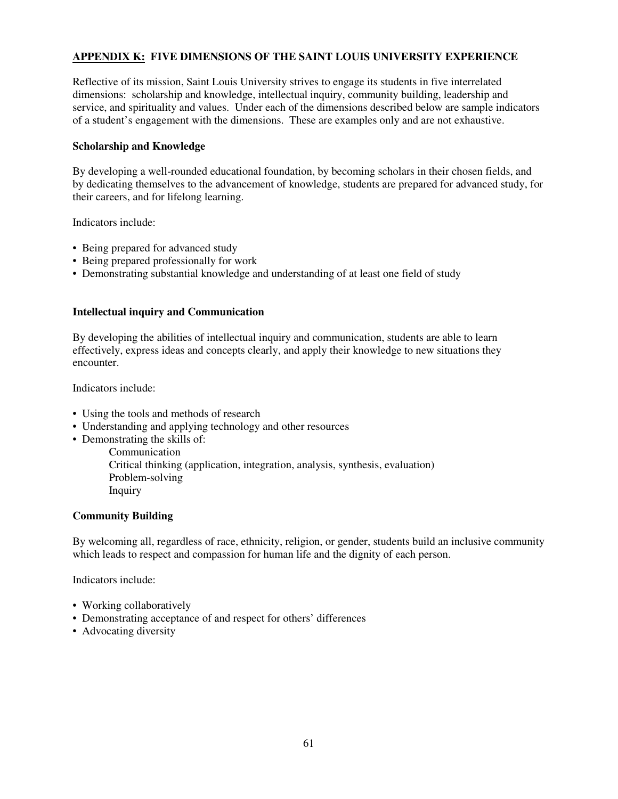### **APPENDIX K: FIVE DIMENSIONS OF THE SAINT LOUIS UNIVERSITY EXPERIENCE**

Reflective of its mission, Saint Louis University strives to engage its students in five interrelated dimensions: scholarship and knowledge, intellectual inquiry, community building, leadership and service, and spirituality and values. Under each of the dimensions described below are sample indicators of a student's engagement with the dimensions. These are examples only and are not exhaustive.

#### **Scholarship and Knowledge**

By developing a well-rounded educational foundation, by becoming scholars in their chosen fields, and by dedicating themselves to the advancement of knowledge, students are prepared for advanced study, for their careers, and for lifelong learning.

Indicators include:

- Being prepared for advanced study
- Being prepared professionally for work
- Demonstrating substantial knowledge and understanding of at least one field of study

#### **Intellectual inquiry and Communication**

By developing the abilities of intellectual inquiry and communication, students are able to learn effectively, express ideas and concepts clearly, and apply their knowledge to new situations they encounter.

Indicators include:

- Using the tools and methods of research
- Understanding and applying technology and other resources
- Demonstrating the skills of:

 Communication Critical thinking (application, integration, analysis, synthesis, evaluation) Problem-solving Inquiry

#### **Community Building**

By welcoming all, regardless of race, ethnicity, religion, or gender, students build an inclusive community which leads to respect and compassion for human life and the dignity of each person.

Indicators include:

- Working collaboratively
- Demonstrating acceptance of and respect for others' differences
- Advocating diversity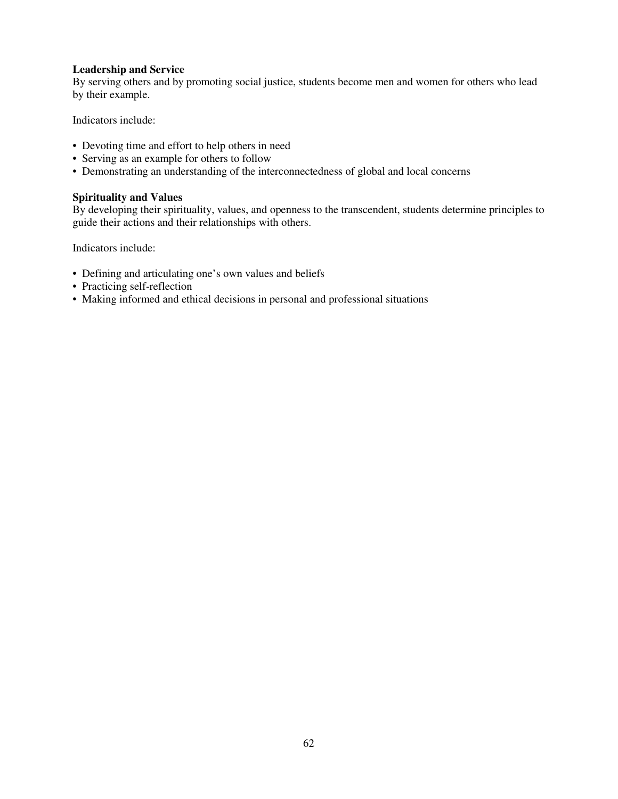#### **Leadership and Service**

By serving others and by promoting social justice, students become men and women for others who lead by their example.

Indicators include:

- Devoting time and effort to help others in need
- Serving as an example for others to follow
- Demonstrating an understanding of the interconnectedness of global and local concerns

#### **Spirituality and Values**

By developing their spirituality, values, and openness to the transcendent, students determine principles to guide their actions and their relationships with others.

Indicators include:

- Defining and articulating one's own values and beliefs
- Practicing self-reflection
- Making informed and ethical decisions in personal and professional situations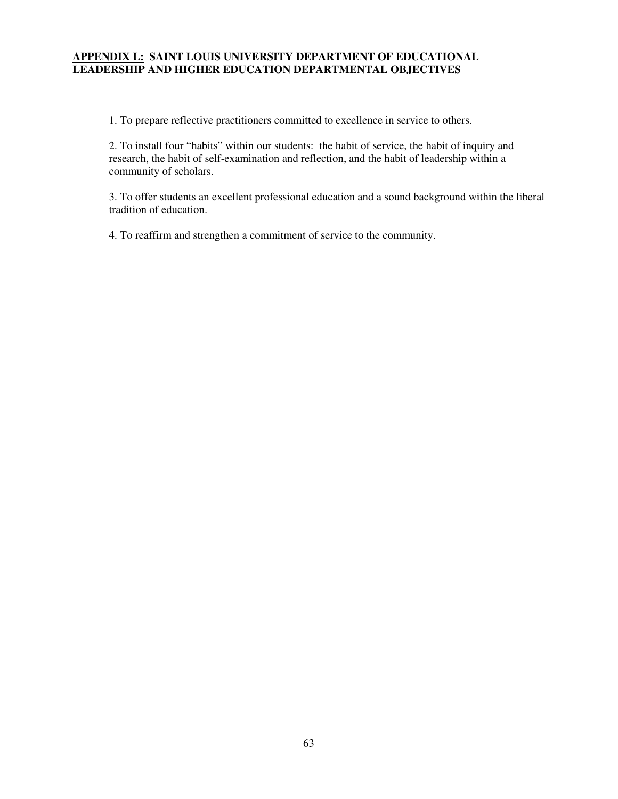### **APPENDIX L: SAINT LOUIS UNIVERSITY DEPARTMENT OF EDUCATIONAL LEADERSHIP AND HIGHER EDUCATION DEPARTMENTAL OBJECTIVES**

1. To prepare reflective practitioners committed to excellence in service to others.

2. To install four "habits" within our students: the habit of service, the habit of inquiry and research, the habit of self-examination and reflection, and the habit of leadership within a community of scholars.

3. To offer students an excellent professional education and a sound background within the liberal tradition of education.

4. To reaffirm and strengthen a commitment of service to the community.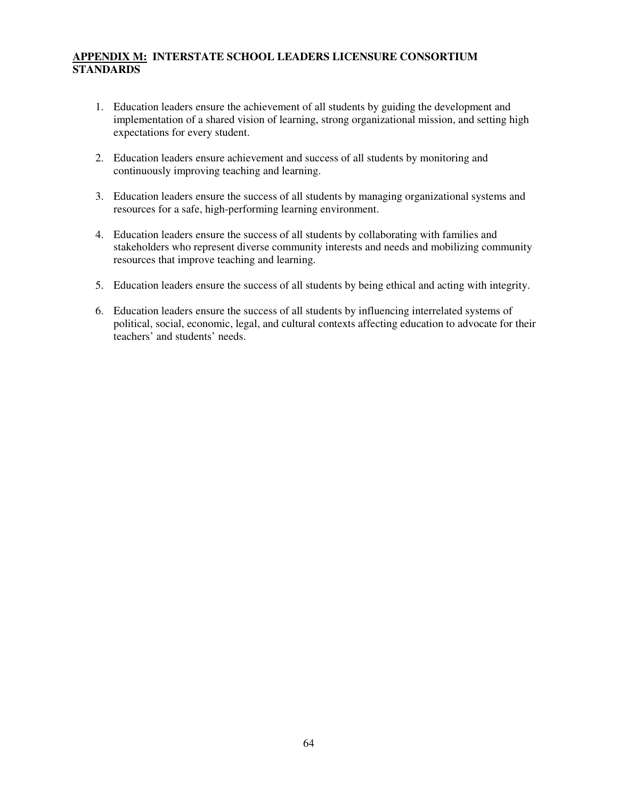# **APPENDIX M: INTERSTATE SCHOOL LEADERS LICENSURE CONSORTIUM STANDARDS**

- 1. Education leaders ensure the achievement of all students by guiding the development and implementation of a shared vision of learning, strong organizational mission, and setting high expectations for every student.
- 2. Education leaders ensure achievement and success of all students by monitoring and continuously improving teaching and learning.
- 3. Education leaders ensure the success of all students by managing organizational systems and resources for a safe, high-performing learning environment.
- 4. Education leaders ensure the success of all students by collaborating with families and stakeholders who represent diverse community interests and needs and mobilizing community resources that improve teaching and learning.
- 5. Education leaders ensure the success of all students by being ethical and acting with integrity.
- 6. Education leaders ensure the success of all students by influencing interrelated systems of political, social, economic, legal, and cultural contexts affecting education to advocate for their teachers' and students' needs.